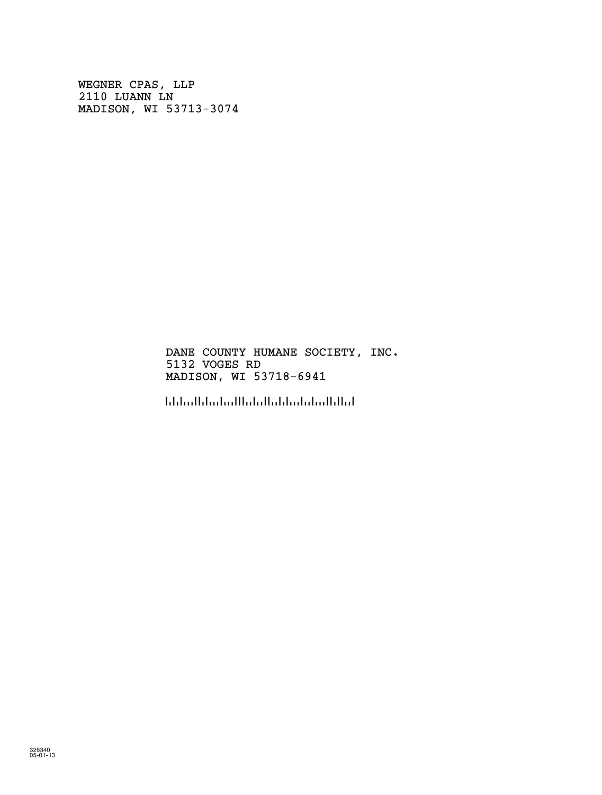WEGNER CPAS, LLP 2110 LUANN LN MADISON, WI 53713-3074

> DANE COUNTY HUMANE SOCIETY, INC. 5132 VOGES RD MADISON, WI 53718-6941

!5371869416!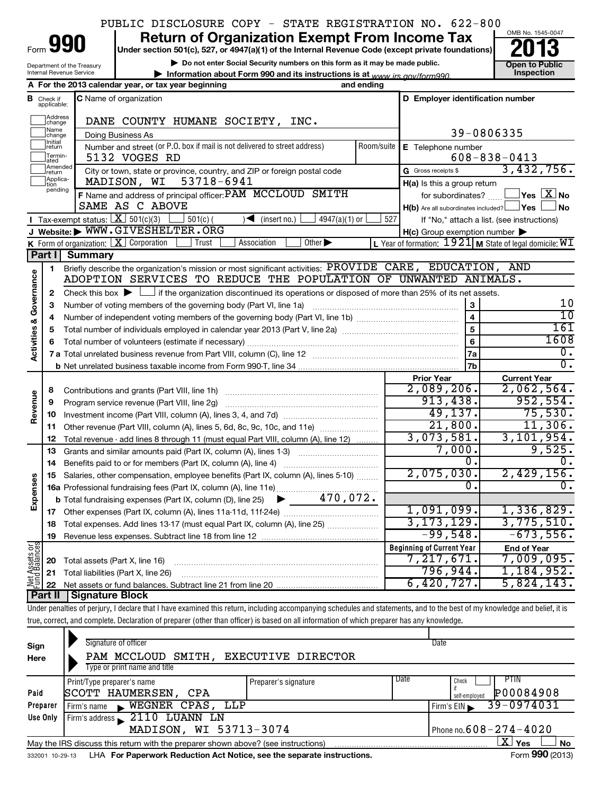|  |  | PUBLIC DISCLOSURE COPY - STATE REGISTRATION NO. 622-800 |  |
|--|--|---------------------------------------------------------|--|
|  |  |                                                         |  |

| Form | n<br>۱ |
|------|--------|
|      |        |

Department of the Treasury Internal Revenue Service

# **990** Return of Organization Exempt From Income Tax **Punce 13**

**| Do not enter Social Security numbers on this form as it may be made public. | Information about Form 990 and its instructions is at Inspection** *www.irs.gov/form990.*



|                                    |                             | A For the 2013 calendar year, or tax year beginning                                                                                                                     | and ending |                                                         |                                                             |  |  |  |  |  |
|------------------------------------|-----------------------------|-------------------------------------------------------------------------------------------------------------------------------------------------------------------------|------------|---------------------------------------------------------|-------------------------------------------------------------|--|--|--|--|--|
| в                                  | Check if<br>applicable:     | <b>C</b> Name of organization                                                                                                                                           |            | D Employer identification number                        |                                                             |  |  |  |  |  |
|                                    | Address<br>change           | DANE COUNTY HUMANE SOCIETY, INC.                                                                                                                                        |            |                                                         |                                                             |  |  |  |  |  |
|                                    | Name<br>change              | Doing Business As                                                                                                                                                       |            | 39-0806335                                              |                                                             |  |  |  |  |  |
|                                    | Initial<br>return           | Number and street (or P.O. box if mail is not delivered to street address)                                                                                              | Room/suite | E Telephone number                                      |                                                             |  |  |  |  |  |
|                                    | Termin-<br>ated             | 5132 VOGES RD                                                                                                                                                           |            |                                                         | $608 - 838 - 0413$                                          |  |  |  |  |  |
|                                    | Amended<br>Ireturn          | City or town, state or province, country, and ZIP or foreign postal code                                                                                                |            | G Gross receipts \$                                     | 3,432,756.                                                  |  |  |  |  |  |
|                                    | Applica-<br>tion<br>pending | MADISON, WI<br>53718-6941                                                                                                                                               |            | H(a) Is this a group return                             |                                                             |  |  |  |  |  |
|                                    |                             | F Name and address of principal officer: PAM MCCLOUD SMITH                                                                                                              |            | for subordinates?                                       | $ {\mathsf Y}$ es $ $ $\overline{{\mathsf X}}$ $ $ No       |  |  |  |  |  |
|                                    |                             | SAME AS C ABOVE                                                                                                                                                         |            | $H(b)$ Are all subordinates included? $\Box$ Yes $\Box$ | ∫No                                                         |  |  |  |  |  |
|                                    |                             | Tax-exempt status: $X \overline{301(c)(3)}$<br>$\sqrt{\frac{1}{1}}$ (insert no.)<br>$4947(a)(1)$ or<br>$501(c)$ (                                                       | 527        |                                                         | If "No," attach a list. (see instructions)                  |  |  |  |  |  |
|                                    |                             | J Website: WWW.GIVESHELTER.ORG                                                                                                                                          |            | $H(c)$ Group exemption number $\blacktriangleright$     |                                                             |  |  |  |  |  |
|                                    |                             | K Form of organization: $X$ Corporation<br>Other $\blacktriangleright$<br>Trust<br>Association                                                                          |            |                                                         | L Year of formation: $1921$ M State of legal domicile: $WT$ |  |  |  |  |  |
|                                    |                             | Part I Summary                                                                                                                                                          |            |                                                         | AND                                                         |  |  |  |  |  |
|                                    | 1                           | Briefly describe the organization's mission or most significant activities: PROVIDE CARE, EDUCATION,<br>ADOPTION SERVICES TO REDUCE THE POPULATION OF UNWANTED ANIMALS. |            |                                                         |                                                             |  |  |  |  |  |
| <b>Activities &amp; Governance</b> | 2                           | Check this box $\blacktriangleright$ $\Box$ if the organization discontinued its operations or disposed of more than 25% of its net assets.                             |            |                                                         |                                                             |  |  |  |  |  |
|                                    | 3                           | Number of voting members of the governing body (Part VI, line 1a)                                                                                                       |            | 3                                                       | 10                                                          |  |  |  |  |  |
|                                    | 4                           |                                                                                                                                                                         |            | $\overline{\mathbf{4}}$                                 | $\overline{10}$                                             |  |  |  |  |  |
|                                    | 5                           |                                                                                                                                                                         |            | 5                                                       | 161                                                         |  |  |  |  |  |
|                                    |                             |                                                                                                                                                                         | 6          | 1608                                                    |                                                             |  |  |  |  |  |
|                                    |                             |                                                                                                                                                                         |            | 7a                                                      | 0.                                                          |  |  |  |  |  |
|                                    |                             |                                                                                                                                                                         |            | 7b                                                      | σ.                                                          |  |  |  |  |  |
|                                    |                             |                                                                                                                                                                         |            | <b>Prior Year</b>                                       | <b>Current Year</b>                                         |  |  |  |  |  |
|                                    | 8                           |                                                                                                                                                                         |            | 2,089,206.                                              | 2,062,564.<br>952,554.                                      |  |  |  |  |  |
| Revenue                            | 9                           | Program service revenue (Part VIII, line 2g)                                                                                                                            | 913,438.   |                                                         |                                                             |  |  |  |  |  |
|                                    | 10                          |                                                                                                                                                                         |            | 49,137.                                                 | 75,530.                                                     |  |  |  |  |  |
|                                    | 11                          | Other revenue (Part VIII, column (A), lines 5, 6d, 8c, 9c, 10c, and 11e)                                                                                                |            | 21,800.                                                 | 11,306.                                                     |  |  |  |  |  |
|                                    | 12                          | Total revenue - add lines 8 through 11 (must equal Part VIII, column (A), line 12)                                                                                      |            | 3,073,581.                                              | 3, 101, 954.                                                |  |  |  |  |  |
|                                    | 13                          | Grants and similar amounts paid (Part IX, column (A), lines 1-3)                                                                                                        |            | 7,000.                                                  | 9,525.                                                      |  |  |  |  |  |
|                                    | 14                          |                                                                                                                                                                         |            | 0.<br>2,075,030.                                        | 0.                                                          |  |  |  |  |  |
| Expenses                           | 15                          | Salaries, other compensation, employee benefits (Part IX, column (A), lines 5-10)                                                                                       |            | 0.                                                      | 2,429,156.<br>О.                                            |  |  |  |  |  |
|                                    |                             |                                                                                                                                                                         |            |                                                         |                                                             |  |  |  |  |  |
|                                    |                             |                                                                                                                                                                         |            | 1,091,099.                                              | 1,336,829.                                                  |  |  |  |  |  |
|                                    | 18                          | Total expenses. Add lines 13-17 (must equal Part IX, column (A), line 25)                                                                                               |            | 3, 173, 129.                                            | 3,775,510.                                                  |  |  |  |  |  |
|                                    | 19                          |                                                                                                                                                                         |            | $-99,548.$                                              | $-673,556.$                                                 |  |  |  |  |  |
| $rac{\text{or}}{\text{cos}}$       |                             |                                                                                                                                                                         |            | <b>Beginning of Current Year</b>                        | <b>End of Year</b>                                          |  |  |  |  |  |
| Assets<br>1 Balanc                 | 20                          | Total assets (Part X, line 16)                                                                                                                                          |            | 7,217,671.                                              | 7,009,095.                                                  |  |  |  |  |  |
|                                    | 21                          | Total liabilities (Part X, line 26)                                                                                                                                     |            | 796,944.                                                | 1,184,952.                                                  |  |  |  |  |  |
| <u> 홍든</u>                         |                             |                                                                                                                                                                         |            | 6,420,727.                                              | 5,824,143.                                                  |  |  |  |  |  |
|                                    |                             | Part II   Signature Block                                                                                                                                               |            |                                                         |                                                             |  |  |  |  |  |

Under penalties of perjury, I declare that I have examined this return, including accompanying schedules and statements, and to the best of my knowledge and belief, it is true, correct, and complete. Declaration of preparer (other than officer) is based on all information of which preparer has any knowledge.

| Sign<br>Here           | Signature of officer<br>PAM MCCLOUD<br>Type or print name and title               | SMITH, EXECUTIVE DIRECTOR |                 | Date                                        |  |  |
|------------------------|-----------------------------------------------------------------------------------|---------------------------|-----------------|---------------------------------------------|--|--|
| Paid                   | Print/Type preparer's name<br>SCOTT HAUMERSEN,<br><b>CPA</b>                      | Preparer's signature      | Date            | PTIN<br>Check<br>P00084908<br>self-emploved |  |  |
| Preparer               | WEGNER CPAS, LLP<br>Firm's name<br>$\blacksquare$                                 |                           |                 | 39-0974031<br>Firm's $EIN$                  |  |  |
| Use Only               | $2110$ LUANN LN<br>Firm's address                                                 |                           |                 |                                             |  |  |
| MADISON, WI 53713-3074 |                                                                                   |                           |                 | Phone no. $608 - 274 - 4020$                |  |  |
|                        | May the IRS discuss this return with the preparer shown above? (see instructions) |                           |                 | ΧI<br>Yes<br><b>No</b>                      |  |  |
| 332001 10-29-13        | LHA For Paperwork Reduction Act Notice, see the separate instructions.            |                           | Form 990 (2013) |                                             |  |  |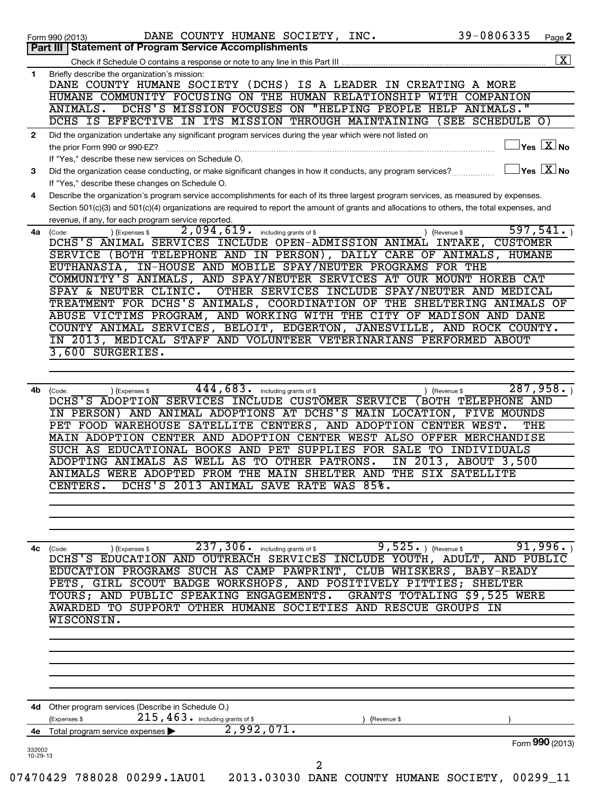|                | 39-0806335<br>Page 2<br>Form 990 (2013)                                                                                                             |
|----------------|-----------------------------------------------------------------------------------------------------------------------------------------------------|
|                | <b>Statement of Program Service Accomplishments</b><br>Part III I                                                                                   |
|                | $\boxed{\textbf{X}}$                                                                                                                                |
| 1              | Briefly describe the organization's mission:                                                                                                        |
|                | DANE COUNTY HUMANE SOCIETY (DCHS) IS A LEADER IN CREATING A MORE                                                                                    |
|                | HUMANE COMMUNITY FOCUSING ON THE HUMAN RELATIONSHIP WITH COMPANION                                                                                  |
|                | "HELPING PEOPLE HELP ANIMALS."<br>DCHS'S MISSION FOCUSES ON<br>ANIMALS.                                                                             |
|                | DCHS IS EFFECTIVE IN ITS MISSION THROUGH MAINTAINING<br>(SEE SCHEDULE O)                                                                            |
| $\mathbf{2}$   | Did the organization undertake any significant program services during the year which were not listed on                                            |
|                | $\exists$ Yes $\boxed{\text{X}}$ No<br>the prior Form 990 or 990-EZ?                                                                                |
|                | If "Yes." describe these new services on Schedule O.                                                                                                |
| 3              | $\exists$ Yes $\boxed{\text{X}}$ No<br>Did the organization cease conducting, or make significant changes in how it conducts, any program services? |
|                | If "Yes," describe these changes on Schedule O.                                                                                                     |
| 4              | Describe the organization's program service accomplishments for each of its three largest program services, as measured by expenses.                |
|                | Section 501(c)(3) and 501(c)(4) organizations are required to report the amount of grants and allocations to others, the total expenses, and        |
|                | revenue, if any, for each program service reported.                                                                                                 |
| 4a             | 2,094,619. including grants of \$<br>597, 541.<br>(Code:<br>(Expenses \$<br>) (Revenue \$                                                           |
|                | DCHS'S ANIMAL SERVICES INCLUDE OPEN-ADMISSION ANIMAL INTAKE,<br><b>CUSTOMER</b>                                                                     |
|                | SERVICE (BOTH TELEPHONE AND IN PERSON), DAILY CARE OF ANIMALS, HUMANE                                                                               |
|                | EUTHANASIA, IN-HOUSE AND MOBILE SPAY/NEUTER PROGRAMS FOR THE                                                                                        |
|                | COMMUNITY'S ANIMALS, AND SPAY/NEUTER SERVICES AT OUR MOUNT HOREB CAT                                                                                |
|                | SPAY & NEUTER CLINIC.<br>OTHER SERVICES INCLUDE SPAY/NEUTER AND MEDICAL                                                                             |
|                | TREATMENT FOR DCHS'S ANIMALS, COORDINATION OF THE SHELTERING ANIMALS OF                                                                             |
|                | ABUSE VICTIMS PROGRAM, AND WORKING WITH THE CITY OF MADISON AND DANE                                                                                |
|                | COUNTY ANIMAL SERVICES, BELOIT, EDGERTON, JANESVILLE, AND ROCK COUNTY.                                                                              |
|                | IN 2013, MEDICAL STAFF AND VOLUNTEER VETERINARIANS PERFORMED ABOUT                                                                                  |
|                | 3,600 SURGERIES.                                                                                                                                    |
|                |                                                                                                                                                     |
|                |                                                                                                                                                     |
| 4b             | $\overline{444,683\cdot\frac{1}{2}}$ including grants of \$<br>287,958.<br>) (Revenue \$<br>(Code:<br>(Expenses \$                                  |
|                | DCHS'S ADOPTION SERVICES INCLUDE CUSTOMER SERVICE (BOTH TELEPHONE AND                                                                               |
|                | IN PERSON) AND ANIMAL ADOPTIONS AT DCHS'S MAIN LOCATION, FIVE MOUNDS                                                                                |
|                | PET FOOD WAREHOUSE SATELLITE CENTERS, AND ADOPTION CENTER WEST.<br>THE                                                                              |
|                | MAIN ADOPTION CENTER AND ADOPTION CENTER WEST ALSO OFFER MERCHANDISE                                                                                |
|                | SUCH AS EDUCATIONAL BOOKS AND PET SUPPLIES FOR SALE TO INDIVIDUALS                                                                                  |
|                | ADOPTING ANIMALS AS WELL AS TO OTHER PATRONS.<br>IN 2013, ABOUT 3,500                                                                               |
|                | ANIMALS WERE ADOPTED FROM THE MAIN SHELTER AND<br>THE SIX SATELLITE                                                                                 |
|                | DCHS'S 2013 ANIMAL SAVE RATE WAS 85%.<br>CENTERS.                                                                                                   |
|                |                                                                                                                                                     |
|                |                                                                                                                                                     |
|                |                                                                                                                                                     |
|                |                                                                                                                                                     |
|                |                                                                                                                                                     |
|                | $9,525.$ (Revenue \$<br>(Expenses \$<br>(Code:                                                                                                      |
|                | 237, 306. including grants of \$                                                                                                                    |
|                | EDUCATION PROGRAMS SUCH AS CAMP PAWPRINT, CLUB WHISKERS, BABY-READY                                                                                 |
|                | PETS, GIRL SCOUT BADGE WORKSHOPS, AND POSITIVELY PITTIES; SHELTER                                                                                   |
|                |                                                                                                                                                     |
|                | TOURS; AND PUBLIC SPEAKING ENGAGEMENTS.<br>GRANTS TOTALING \$9,525 WERE<br>AWARDED TO SUPPORT OTHER HUMANE SOCIETIES AND RESCUE GROUPS IN           |
|                | WISCONSIN.                                                                                                                                          |
|                |                                                                                                                                                     |
|                |                                                                                                                                                     |
|                |                                                                                                                                                     |
|                |                                                                                                                                                     |
|                |                                                                                                                                                     |
|                |                                                                                                                                                     |
|                |                                                                                                                                                     |
|                | 4d Other program services (Describe in Schedule O.)                                                                                                 |
|                | $215$ , $463$ $\cdot$ including grants of \$<br>(Expenses \$<br>(Revenue \$                                                                         |
| 4с<br>4е       | 91,996.<br>DCHS'S EDUCATION AND OUTREACH SERVICES INCLUDE YOUTH, ADULT, AND PUBLIC<br>2,992,071.<br>Total program service expenses                  |
| 332002         | Form 990 (2013)                                                                                                                                     |
| $10 - 29 - 13$ |                                                                                                                                                     |
|                | 2<br>07470429 788028 00299.1AU01  2013.03030 DANE COUNTY HUMANE SOCIETY, 00299_11                                                                   |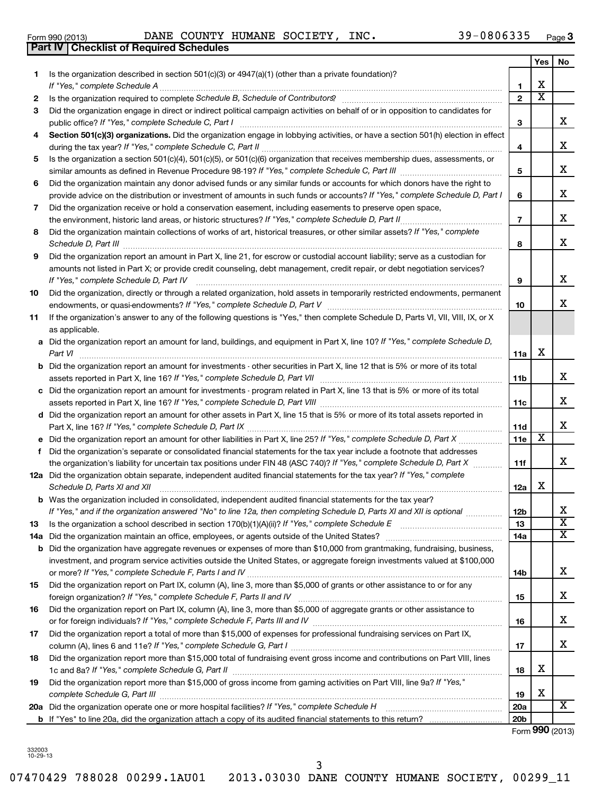## Form 990 (2013) Page DANE COUNTY HUMANE SOCIETY, INC. 39-0806335

**3**

|     | <b>Part IV   Checklist of Required Schedules</b>                                                                                                                                                                               |                 |                       |    |
|-----|--------------------------------------------------------------------------------------------------------------------------------------------------------------------------------------------------------------------------------|-----------------|-----------------------|----|
|     |                                                                                                                                                                                                                                |                 | Yes                   | No |
| 1.  | Is the organization described in section $501(c)(3)$ or $4947(a)(1)$ (other than a private foundation)?                                                                                                                        |                 |                       |    |
|     | If "Yes," complete Schedule A                                                                                                                                                                                                  | 1               | Х                     |    |
| 2   | Is the organization required to complete Schedule B, Schedule of Contributors? [111] [12] the organization required to complete Schedule B, Schedule of Contributors? [11] [12] [12] the organization required to complete Sch | $\mathbf{2}$    | $\overline{\text{x}}$ |    |
|     |                                                                                                                                                                                                                                |                 |                       |    |
| 3   | Did the organization engage in direct or indirect political campaign activities on behalf of or in opposition to candidates for                                                                                                | 3               |                       | X  |
| 4   | Section 501(c)(3) organizations. Did the organization engage in lobbying activities, or have a section 501(h) election in effect                                                                                               |                 |                       |    |
|     |                                                                                                                                                                                                                                | 4               |                       | X  |
| 5   | Is the organization a section 501(c)(4), 501(c)(5), or 501(c)(6) organization that receives membership dues, assessments, or                                                                                                   |                 |                       |    |
|     |                                                                                                                                                                                                                                | 5               |                       | X  |
| 6   | Did the organization maintain any donor advised funds or any similar funds or accounts for which donors have the right to                                                                                                      |                 |                       |    |
|     | provide advice on the distribution or investment of amounts in such funds or accounts? If "Yes," complete Schedule D, Part I                                                                                                   | 6               |                       | X  |
| 7   | Did the organization receive or hold a conservation easement, including easements to preserve open space,                                                                                                                      |                 |                       |    |
|     | the environment, historic land areas, or historic structures? If "Yes," complete Schedule D, Part II                                                                                                                           | $\overline{7}$  |                       | X  |
| 8   | Did the organization maintain collections of works of art, historical treasures, or other similar assets? If "Yes," complete                                                                                                   |                 |                       |    |
|     | Schedule D, Part III                                                                                                                                                                                                           |                 |                       | х  |
|     |                                                                                                                                                                                                                                | 8               |                       |    |
| 9   | Did the organization report an amount in Part X, line 21, for escrow or custodial account liability; serve as a custodian for                                                                                                  |                 |                       |    |
|     | amounts not listed in Part X; or provide credit counseling, debt management, credit repair, or debt negotiation services?                                                                                                      |                 |                       |    |
|     | If "Yes," complete Schedule D, Part IV                                                                                                                                                                                         | 9               |                       | X  |
| 10  | Did the organization, directly or through a related organization, hold assets in temporarily restricted endowments, permanent                                                                                                  |                 |                       |    |
|     |                                                                                                                                                                                                                                | 10              |                       | х  |
| 11  | If the organization's answer to any of the following questions is "Yes," then complete Schedule D, Parts VI, VII, VIII, IX, or X                                                                                               |                 |                       |    |
|     | as applicable.                                                                                                                                                                                                                 |                 |                       |    |
|     | a Did the organization report an amount for land, buildings, and equipment in Part X, line 10? If "Yes," complete Schedule D,                                                                                                  |                 |                       |    |
|     | Part VI                                                                                                                                                                                                                        | 11a             | х                     |    |
|     | <b>b</b> Did the organization report an amount for investments - other securities in Part X, line 12 that is 5% or more of its total                                                                                           |                 |                       |    |
|     |                                                                                                                                                                                                                                | 11b             |                       | X  |
|     | c Did the organization report an amount for investments - program related in Part X, line 13 that is 5% or more of its total                                                                                                   |                 |                       |    |
|     |                                                                                                                                                                                                                                | 11c             |                       | х  |
|     | d Did the organization report an amount for other assets in Part X, line 15 that is 5% or more of its total assets reported in                                                                                                 |                 |                       |    |
|     |                                                                                                                                                                                                                                | <b>11d</b>      |                       | х  |
|     |                                                                                                                                                                                                                                | <b>11e</b>      | $\overline{\text{x}}$ |    |
| f   | Did the organization's separate or consolidated financial statements for the tax year include a footnote that addresses                                                                                                        |                 |                       |    |
|     | the organization's liability for uncertain tax positions under FIN 48 (ASC 740)? If "Yes," complete Schedule D, Part X                                                                                                         | 11f             |                       | х  |
|     | 12a Did the organization obtain separate, independent audited financial statements for the tax year? If "Yes," complete                                                                                                        |                 |                       |    |
|     | Schedule D, Parts XI and XII                                                                                                                                                                                                   | 12a             | х                     |    |
|     | b Was the organization included in consolidated, independent audited financial statements for the tax year?                                                                                                                    |                 |                       |    |
|     | If "Yes," and if the organization answered "No" to line 12a, then completing Schedule D, Parts XI and XII is optional                                                                                                          | <b>12b</b>      |                       | х  |
| 13  |                                                                                                                                                                                                                                | 13              |                       | X  |
| 14a |                                                                                                                                                                                                                                | 14a             |                       | х  |
|     | <b>b</b> Did the organization have aggregate revenues or expenses of more than \$10,000 from grantmaking, fundraising, business,                                                                                               |                 |                       |    |
|     | investment, and program service activities outside the United States, or aggregate foreign investments valued at \$100,000                                                                                                     |                 |                       |    |
|     |                                                                                                                                                                                                                                | 14b             |                       | х  |
| 15  | Did the organization report on Part IX, column (A), line 3, more than \$5,000 of grants or other assistance to or for any                                                                                                      |                 |                       |    |
|     |                                                                                                                                                                                                                                |                 |                       | х  |
|     |                                                                                                                                                                                                                                | 15              |                       |    |
| 16  | Did the organization report on Part IX, column (A), line 3, more than \$5,000 of aggregate grants or other assistance to                                                                                                       |                 |                       | х  |
|     |                                                                                                                                                                                                                                | 16              |                       |    |
| 17  | Did the organization report a total of more than \$15,000 of expenses for professional fundraising services on Part IX,                                                                                                        |                 |                       |    |
|     |                                                                                                                                                                                                                                | 17              |                       | х  |
| 18  | Did the organization report more than \$15,000 total of fundraising event gross income and contributions on Part VIII, lines                                                                                                   |                 |                       |    |
|     |                                                                                                                                                                                                                                | 18              | х                     |    |
| 19  | Did the organization report more than \$15,000 of gross income from gaming activities on Part VIII, line 9a? If "Yes,"                                                                                                         |                 |                       |    |
|     | complete Schedule G, Part III                                                                                                                                                                                                  | 19              | х                     |    |
|     |                                                                                                                                                                                                                                | <b>20a</b>      |                       | X  |
|     |                                                                                                                                                                                                                                | 20 <sub>b</sub> |                       |    |

Form (2013) **990**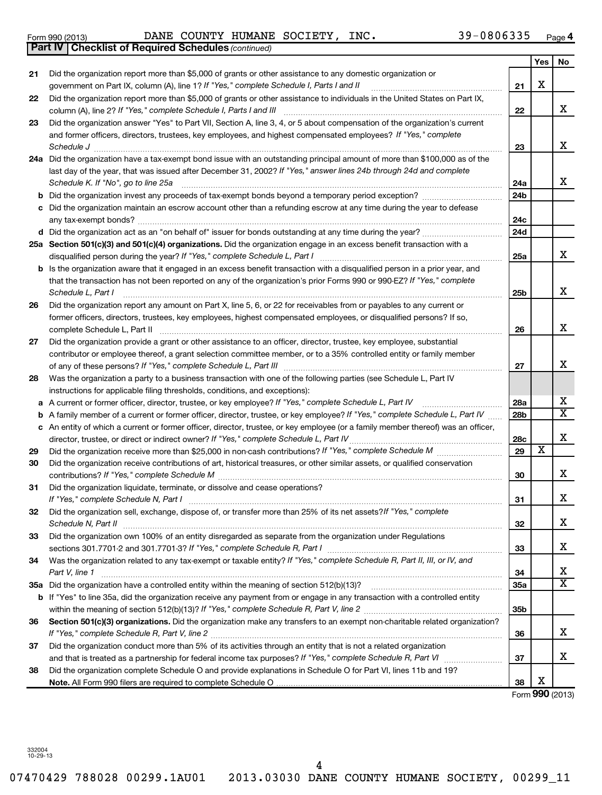| Form 990 (2013) |                                                              |  | DANE COUNTY HUMANE SOCIETY, | INC. | 39-0806335 | Page |
|-----------------|--------------------------------------------------------------|--|-----------------------------|------|------------|------|
|                 | <b>Part IV   Checklist of Required Schedules (continued)</b> |  |                             |      |            |      |

|    | <b>Part IV   Checklist of Required Schedules (continued)</b>                                                                                                                                                                                                                              |                        |     |                         |
|----|-------------------------------------------------------------------------------------------------------------------------------------------------------------------------------------------------------------------------------------------------------------------------------------------|------------------------|-----|-------------------------|
|    |                                                                                                                                                                                                                                                                                           |                        | Yes | No                      |
| 21 | Did the organization report more than \$5,000 of grants or other assistance to any domestic organization or                                                                                                                                                                               |                        |     |                         |
|    | government on Part IX, column (A), line 1? If "Yes," complete Schedule I, Parts I and II                                                                                                                                                                                                  | 21                     | х   |                         |
| 22 | Did the organization report more than \$5,000 of grants or other assistance to individuals in the United States on Part IX,                                                                                                                                                               | 22                     |     | x                       |
| 23 | Did the organization answer "Yes" to Part VII, Section A, line 3, 4, or 5 about compensation of the organization's current                                                                                                                                                                |                        |     |                         |
|    | and former officers, directors, trustees, key employees, and highest compensated employees? If "Yes," complete<br>Schedule J                                                                                                                                                              | 23                     |     | x                       |
|    | 24a Did the organization have a tax-exempt bond issue with an outstanding principal amount of more than \$100,000 as of the                                                                                                                                                               |                        |     |                         |
|    | last day of the year, that was issued after December 31, 2002? If "Yes," answer lines 24b through 24d and complete                                                                                                                                                                        |                        |     | x                       |
|    | Schedule K. If "No", go to line 25a                                                                                                                                                                                                                                                       | 24a                    |     |                         |
|    |                                                                                                                                                                                                                                                                                           | 24b                    |     |                         |
|    | c Did the organization maintain an escrow account other than a refunding escrow at any time during the year to defease                                                                                                                                                                    | 24c                    |     |                         |
|    |                                                                                                                                                                                                                                                                                           | 24d                    |     |                         |
|    | 25a Section 501(c)(3) and 501(c)(4) organizations. Did the organization engage in an excess benefit transaction with a                                                                                                                                                                    |                        |     |                         |
|    |                                                                                                                                                                                                                                                                                           | 25a                    |     | x                       |
|    | <b>b</b> Is the organization aware that it engaged in an excess benefit transaction with a disqualified person in a prior year, and                                                                                                                                                       |                        |     |                         |
|    | that the transaction has not been reported on any of the organization's prior Forms 990 or 990-EZ? If "Yes," complete                                                                                                                                                                     |                        |     |                         |
|    | Schedule L, Part I                                                                                                                                                                                                                                                                        | 25b                    |     | x                       |
| 26 | Did the organization report any amount on Part X, line 5, 6, or 22 for receivables from or payables to any current or                                                                                                                                                                     |                        |     |                         |
|    | former officers, directors, trustees, key employees, highest compensated employees, or disqualified persons? If so,                                                                                                                                                                       |                        |     |                         |
|    |                                                                                                                                                                                                                                                                                           | 26                     |     | x                       |
| 27 | Did the organization provide a grant or other assistance to an officer, director, trustee, key employee, substantial                                                                                                                                                                      |                        |     |                         |
|    | contributor or employee thereof, a grant selection committee member, or to a 35% controlled entity or family member                                                                                                                                                                       |                        |     |                         |
|    |                                                                                                                                                                                                                                                                                           | 27                     |     | x                       |
| 28 | Was the organization a party to a business transaction with one of the following parties (see Schedule L, Part IV                                                                                                                                                                         |                        |     |                         |
|    | instructions for applicable filing thresholds, conditions, and exceptions):                                                                                                                                                                                                               |                        |     | x                       |
|    | a A current or former officer, director, trustee, or key employee? If "Yes," complete Schedule L, Part IV<br><b>b</b> A family member of a current or former officer, director, trustee, or key employee? If "Yes," complete Schedule L, Part IV                                          | 28a<br>28 <sub>b</sub> |     | $\overline{\texttt{x}}$ |
|    | c An entity of which a current or former officer, director, trustee, or key employee (or a family member thereof) was an officer,                                                                                                                                                         |                        |     |                         |
|    |                                                                                                                                                                                                                                                                                           | 28c                    |     | x                       |
| 29 |                                                                                                                                                                                                                                                                                           | 29                     | х   |                         |
| 30 | Did the organization receive contributions of art, historical treasures, or other similar assets, or qualified conservation                                                                                                                                                               |                        |     |                         |
|    |                                                                                                                                                                                                                                                                                           | 30                     |     | x                       |
| 31 | Did the organization liquidate, terminate, or dissolve and cease operations?                                                                                                                                                                                                              |                        |     |                         |
|    | If "Yes," complete Schedule N, Part I                                                                                                                                                                                                                                                     | 31                     |     | х                       |
| 32 | Did the organization sell, exchange, dispose of, or transfer more than 25% of its net assets? If "Yes," complete<br>Schedule N, Part II                                                                                                                                                   | 32                     |     | х                       |
| 33 | Did the organization own 100% of an entity disregarded as separate from the organization under Regulations<br>sections 301.7701-2 and 301.7701-3? If "Yes," complete Schedule R, Part I [1] [1] [1] [1] [1] [1] sections 301.7701-2 and 301.7701-3? If "Yes," complete Schedule R, Part I | 33                     |     | х                       |
| 34 | Was the organization related to any tax-exempt or taxable entity? If "Yes," complete Schedule R, Part II, III, or IV, and                                                                                                                                                                 |                        |     |                         |
|    | Part V, line 1                                                                                                                                                                                                                                                                            | 34                     |     | x                       |
|    |                                                                                                                                                                                                                                                                                           | 35a                    |     | $\overline{\mathtt{x}}$ |
|    | b If "Yes" to line 35a, did the organization receive any payment from or engage in any transaction with a controlled entity                                                                                                                                                               |                        |     |                         |
|    |                                                                                                                                                                                                                                                                                           | 35 <sub>b</sub>        |     |                         |
| 36 | Section 501(c)(3) organizations. Did the organization make any transfers to an exempt non-charitable related organization?                                                                                                                                                                | 36                     |     | x                       |
| 37 | Did the organization conduct more than 5% of its activities through an entity that is not a related organization                                                                                                                                                                          |                        |     |                         |
|    |                                                                                                                                                                                                                                                                                           | 37                     |     | x                       |
| 38 | Did the organization complete Schedule O and provide explanations in Schedule O for Part VI, lines 11b and 19?                                                                                                                                                                            |                        |     |                         |
|    |                                                                                                                                                                                                                                                                                           | 38                     | х   |                         |

Form (2013) **990**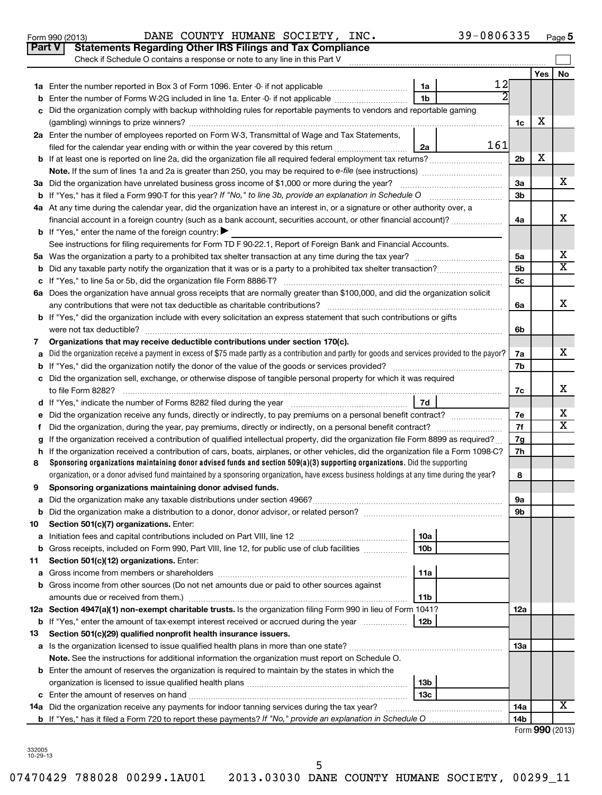|    | Part V<br><b>Statements Regarding Other IRS Filings and Tax Compliance</b>                                                                      |     |                |                     |                         |
|----|-------------------------------------------------------------------------------------------------------------------------------------------------|-----|----------------|---------------------|-------------------------|
|    | Check if Schedule O contains a response or note to any line in this Part V                                                                      |     |                |                     |                         |
|    | 1a                                                                                                                                              | 12  |                | Yes                 | No                      |
|    | 1 <sub>b</sub><br>Enter the number of Forms W-2G included in line 1a. Enter -0- if not applicable                                               |     |                |                     |                         |
| b  | Did the organization comply with backup withholding rules for reportable payments to vendors and reportable gaming                              |     |                |                     |                         |
| с  |                                                                                                                                                 |     | 1c             | х                   |                         |
|    | 2a Enter the number of employees reported on Form W-3, Transmittal of Wage and Tax Statements,                                                  |     |                |                     |                         |
|    | filed for the calendar year ending with or within the year covered by this return<br>2a                                                         | 161 |                |                     |                         |
|    |                                                                                                                                                 |     | 2 <sub>b</sub> | X                   |                         |
|    |                                                                                                                                                 |     |                |                     |                         |
|    | 3a Did the organization have unrelated business gross income of \$1,000 or more during the year?                                                |     | За             |                     | х                       |
| b  | If "Yes," has it filed a Form 990-T for this year? If "No," to line 3b, provide an explanation in Schedule O                                    |     | 3b             |                     |                         |
|    | 4a At any time during the calendar year, did the organization have an interest in, or a signature or other authority over, a                    |     |                |                     |                         |
|    | financial account in a foreign country (such as a bank account, securities account, or other financial account)?                                |     | 4a             |                     | x                       |
|    | <b>b</b> If "Yes," enter the name of the foreign country:                                                                                       |     |                |                     |                         |
|    | See instructions for filing requirements for Form TD F 90-22.1, Report of Foreign Bank and Financial Accounts.                                  |     |                |                     |                         |
|    |                                                                                                                                                 |     | 5a             |                     | х                       |
| b  |                                                                                                                                                 |     | 5b             |                     | $\overline{\textbf{X}}$ |
|    |                                                                                                                                                 |     | 5 <sub>c</sub> |                     |                         |
|    | 6a Does the organization have annual gross receipts that are normally greater than \$100,000, and did the organization solicit                  |     |                |                     |                         |
|    |                                                                                                                                                 |     | 6a             |                     | x                       |
|    | <b>b</b> If "Yes," did the organization include with every solicitation an express statement that such contributions or gifts                   |     |                |                     |                         |
|    |                                                                                                                                                 |     | 6b             |                     |                         |
| 7  | Organizations that may receive deductible contributions under section 170(c).                                                                   |     |                |                     |                         |
| a  | Did the organization receive a payment in excess of \$75 made partly as a contribution and partly for goods and services provided to the payor? |     | 7a             |                     | х                       |
| b  |                                                                                                                                                 |     | 7b             |                     |                         |
|    | c Did the organization sell, exchange, or otherwise dispose of tangible personal property for which it was required                             |     |                |                     |                         |
|    |                                                                                                                                                 |     | 7c             |                     | х                       |
|    | 7d                                                                                                                                              |     |                |                     |                         |
| е  | Did the organization receive any funds, directly or indirectly, to pay premiums on a personal benefit contract?                                 |     | 7е             |                     | х                       |
| f. |                                                                                                                                                 |     | 7f             |                     | X                       |
| g  | If the organization received a contribution of qualified intellectual property, did the organization file Form 8899 as required?                |     | 7g             |                     |                         |
| h  | If the organization received a contribution of cars, boats, airplanes, or other vehicles, did the organization file a Form 1098-C?              |     | 7h             |                     |                         |
| 8  | Sponsoring organizations maintaining donor advised funds and section 509(a)(3) supporting organizations. Did the supporting                     |     |                |                     |                         |
|    | organization, or a donor advised fund maintained by a sponsoring organization, have excess business holdings at any time during the year?       |     | 8              |                     |                         |
| 9  | Sponsoring organizations maintaining donor advised funds.                                                                                       |     |                |                     |                         |
|    |                                                                                                                                                 |     | эа             |                     |                         |
| b  |                                                                                                                                                 |     | 9b             |                     |                         |
| 10 | Section 501(c)(7) organizations. Enter:                                                                                                         |     |                |                     |                         |
| а  | 10a                                                                                                                                             |     |                |                     |                         |
| b  | Gross receipts, included on Form 990, Part VIII, line 12, for public use of club facilities<br>10b                                              |     |                |                     |                         |
| 11 | Section 501(c)(12) organizations. Enter:<br>11a                                                                                                 |     |                |                     |                         |
| а  | b Gross income from other sources (Do not net amounts due or paid to other sources against                                                      |     |                |                     |                         |
|    | 11b                                                                                                                                             |     |                |                     |                         |
|    | 12a Section 4947(a)(1) non-exempt charitable trusts. Is the organization filing Form 990 in lieu of Form 1041?                                  |     | 12a            |                     |                         |
| b  | If "Yes," enter the amount of tax-exempt interest received or accrued during the year<br>12b                                                    |     |                |                     |                         |
| 13 | Section 501(c)(29) qualified nonprofit health insurance issuers.                                                                                |     |                |                     |                         |
|    | a Is the organization licensed to issue qualified health plans in more than one state?                                                          |     | 13a            |                     |                         |
|    | Note. See the instructions for additional information the organization must report on Schedule O.                                               |     |                |                     |                         |
|    | <b>b</b> Enter the amount of reserves the organization is required to maintain by the states in which the                                       |     |                |                     |                         |
|    | 13 <sub>b</sub>                                                                                                                                 |     |                |                     |                         |
| c  | 13с                                                                                                                                             |     |                |                     |                         |
|    | 14a Did the organization receive any payments for indoor tanning services during the tax year?                                                  |     | 14a            |                     | х                       |
|    | <b>b</b> If "Yes," has it filed a Form 720 to report these payments? If "No," provide an explanation in Schedule O                              |     | 14b            |                     |                         |
|    |                                                                                                                                                 |     |                | $Form$ QQQ $(2012)$ |                         |

Form 990 (2013) Page

DANE COUNTY HUMANE SOCIETY, INC.  $39-0806335$ 

Form **990** (2013)

**5**

332005 10-29-13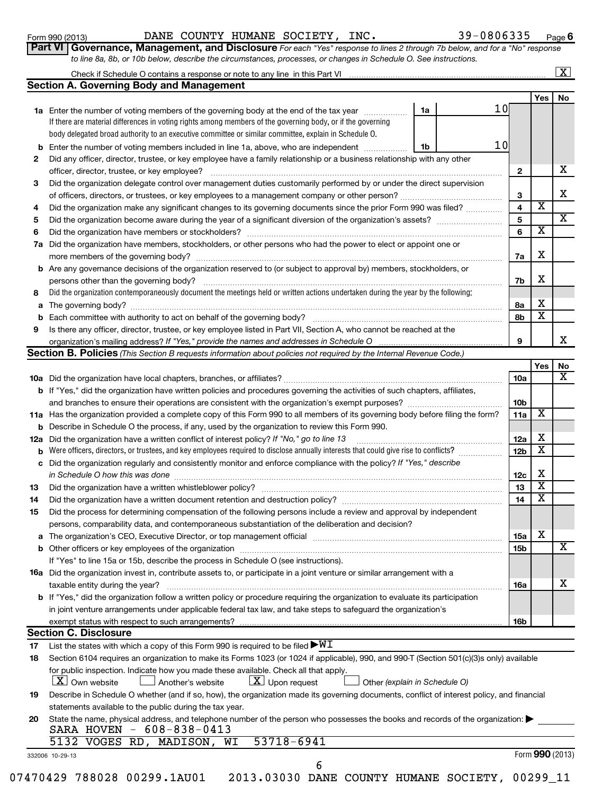Form 990 (2013) Page DANE COUNTY HUMANE SOCIETY, INC. 39-0806335

**6**

| LOLIII AAN (SA 19) |                                                                                                                             |  | LAND COUNTI MUMMU DOCIDII, INC. |  | uuuuu cu | rau |
|--------------------|-----------------------------------------------------------------------------------------------------------------------------|--|---------------------------------|--|----------|-----|
|                    | Part VI Governance, Management, and Disclosure For each "Yes" response to lines 2 through 7b below, and for a "No" response |  |                                 |  |          |     |
|                    | to line 8a, 8b, or 10b below, describe the circumstances, processes, or changes in Schedule O. See instructions.            |  |                                 |  |          |     |

### **Yes No** Check if Schedule O contains a response or note to any line in this Part VI **Section A. Governing Body and Management**  $\lfloor x \rfloor$

|    |                                                                                                                                   |    |  |      |     | Yes | No. |
|----|-----------------------------------------------------------------------------------------------------------------------------------|----|--|------|-----|-----|-----|
|    | 1a Enter the number of voting members of the governing body at the end of the tax year                                            | 1a |  | 1 Ol |     |     |     |
|    | If there are material differences in voting rights among members of the governing body, or if the governing                       |    |  |      |     |     |     |
|    | body delegated broad authority to an executive committee or similar committee, explain in Schedule O.                             |    |  |      |     |     |     |
| b  | Enter the number of voting members included in line 1a, above, who are independent                                                | 1b |  | 1 OI |     |     |     |
| 2  | Did any officer, director, trustee, or key employee have a family relationship or a business relationship with any other          |    |  |      |     |     |     |
|    | officer, director, trustee, or key employee?                                                                                      |    |  |      |     |     | х   |
| 3  | Did the organization delegate control over management duties customarily performed by or under the direct supervision             |    |  |      |     |     |     |
|    | of officers, directors, or trustees, or key employees to a management company or other person?                                    |    |  |      | 3   |     | х   |
| 4  | Did the organization make any significant changes to its governing documents since the prior Form 990 was filed?                  |    |  |      | 4   | X   |     |
| 5  | Did the organization become aware during the year of a significant diversion of the organization's assets?                        |    |  |      |     |     | X   |
| 6  | Did the organization have members or stockholders?                                                                                |    |  |      |     | X   |     |
| 7a | Did the organization have members, stockholders, or other persons who had the power to elect or appoint one or                    |    |  |      |     |     |     |
|    | more members of the governing body?                                                                                               |    |  |      | 7a  | X   |     |
| b  | Are any governance decisions of the organization reserved to (or subject to approval by) members, stockholders, or                |    |  |      |     |     |     |
|    | persons other than the governing body?                                                                                            |    |  |      | 7b  | X   |     |
| 8  | Did the organization contemporaneously document the meetings held or written actions undertaken during the year by the following: |    |  |      |     |     |     |
| a  | The governing body?                                                                                                               |    |  |      | 8а  | X   |     |
| b  | Each committee with authority to act on behalf of the governing body?                                                             |    |  |      | 8b  | x   |     |
| 9  | Is there any officer, director, trustee, or key employee listed in Part VII, Section A, who cannot be reached at the              |    |  |      |     |     |     |
|    | organization's mailing address? If "Yes," provide the names and addresses in Schedule O manumumumumumumumumumu                    |    |  |      | 9   |     | x   |
|    | Section B. Policies (This Section B requests information about policies not required by the Internal Revenue Code.)               |    |  |      |     |     |     |
|    |                                                                                                                                   |    |  |      |     | Yes | No. |
|    | <b>10a</b> Did the organization have local chapters, branches, or affiliates?                                                     |    |  |      | 10a |     | x   |
|    |                                                                                                                                   |    |  |      |     |     |     |

|     |                                                                                                                                                                                                                                     | <b>TUA</b>      |                         | ▵ |
|-----|-------------------------------------------------------------------------------------------------------------------------------------------------------------------------------------------------------------------------------------|-----------------|-------------------------|---|
|     | <b>b</b> If "Yes," did the organization have written policies and procedures governing the activities of such chapters, affiliates,                                                                                                 |                 |                         |   |
|     |                                                                                                                                                                                                                                     | 10 <sub>b</sub> |                         |   |
|     | 11a Has the organization provided a complete copy of this Form 990 to all members of its governing body before filing the form?                                                                                                     | 11a             | х                       |   |
|     | <b>b</b> Describe in Schedule O the process, if any, used by the organization to review this Form 990.                                                                                                                              |                 |                         |   |
| 12a | Did the organization have a written conflict of interest policy? If "No," go to line 13                                                                                                                                             | 12a             | х                       |   |
| b   | Were officers, directors, or trustees, and key employees required to disclose annually interests that could give rise to conflicts?                                                                                                 | 12 <sub>b</sub> | $\overline{\textbf{x}}$ |   |
| c   | Did the organization regularly and consistently monitor and enforce compliance with the policy? If "Yes," describe                                                                                                                  |                 |                         |   |
|     | in Schedule O how this was done                                                                                                                                                                                                     | 12c             | X                       |   |
| 13  |                                                                                                                                                                                                                                     | 13              | X                       |   |
| 14  | Did the organization have a written document retention and destruction policy? [11] manufaction in the organization have a written document retention and destruction policy?                                                       | 14              | x                       |   |
| 15  | Did the process for determining compensation of the following persons include a review and approval by independent                                                                                                                  |                 |                         |   |
|     | persons, comparability data, and contemporaneous substantiation of the deliberation and decision?                                                                                                                                   |                 |                         |   |
| a   | The organization's CEO, Executive Director, or top management official manufactured content of the organization's CEO, Executive Director, or top management official manufactured content of the state of the state of the st      | 15a             | х                       |   |
|     |                                                                                                                                                                                                                                     | 15 <sub>b</sub> |                         | x |
|     | If "Yes" to line 15a or 15b, describe the process in Schedule O (see instructions).                                                                                                                                                 |                 |                         |   |
|     | <b>16a</b> Did the organization invest in, contribute assets to, or participate in a joint venture or similar arrangement with a                                                                                                    |                 |                         |   |
|     | taxable entity during the year?                                                                                                                                                                                                     | 16a             |                         | x |
| b   | If "Yes," did the organization follow a written policy or procedure requiring the organization to evaluate its participation                                                                                                        |                 |                         |   |
|     | in joint venture arrangements under applicable federal tax law, and take steps to safeguard the organization's                                                                                                                      |                 |                         |   |
|     |                                                                                                                                                                                                                                     | 16 <sub>b</sub> |                         |   |
|     | <b>Section C. Disclosure</b>                                                                                                                                                                                                        |                 |                         |   |
| 17  | List the states with which a copy of this Form 990 is required to be filed $\blacktriangleright\text{WL}$                                                                                                                           |                 |                         |   |
| 18  | Section 6104 requires an organization to make its Forms 1023 (or 1024 if applicable), 990, and 990-T (Section 501(c)(3)s only) available                                                                                            |                 |                         |   |
|     | for public inspection. Indicate how you made these available. Check all that apply.<br>$\lfloor x \rfloor$ Own website<br>$\lfloor \underline{X} \rfloor$ Upon request<br>$\Box$ Another's website<br>Other (explain in Schedule O) |                 |                         |   |
| 19  | Describe in Schedule O whether (and if so, how), the organization made its governing documents, conflict of interest policy, and financial                                                                                          |                 |                         |   |
|     | statements available to the public during the tax year.                                                                                                                                                                             |                 |                         |   |
| 20  | State the name, physical address, and telephone number of the person who possesses the books and records of the organization:<br>CARA HOVENI – 608–838–0413                                                                         |                 |                         |   |

## SARA HOVEN - 608-838-0413 5132 VOGES RD, MADISON, WI 53718-6941

|                 |  | JIJA VOULU KU, KIKUIUUN, NI JJIJ |  |
|-----------------|--|----------------------------------|--|
| 332006 10-29-13 |  |                                  |  |

| 07470429 788028 00299.1AU01 2013.03030 DANE COUNTY HUMANE SOCIETY, 00299 11 |  |  |  |  |  |  |
|-----------------------------------------------------------------------------|--|--|--|--|--|--|
|-----------------------------------------------------------------------------|--|--|--|--|--|--|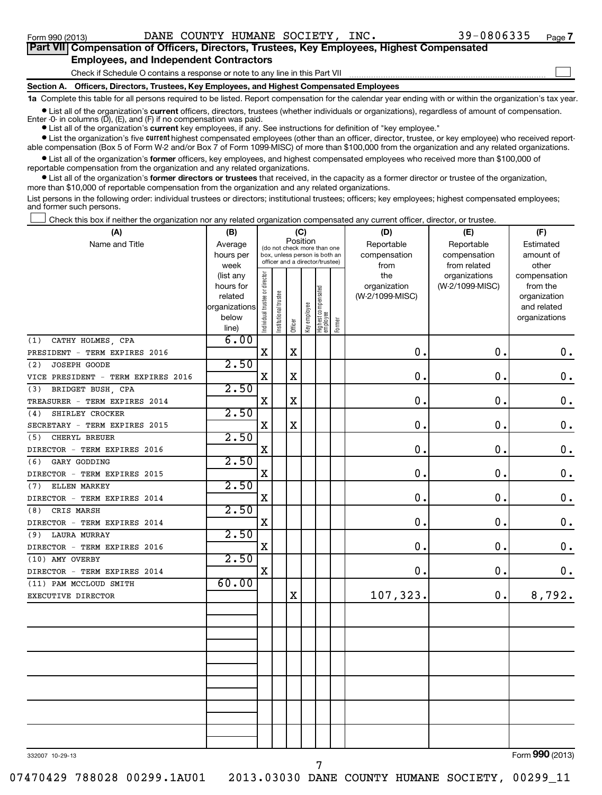### **Section A. Officers, Directors, Trustees, Key Employees, and Highest Compensated Employees** Check if Schedule O contains a response or note to any line in this Part VII **Part VII Compensation of Officers, Directors, Trustees, Key Employees, Highest Compensated Employees, and Independent Contractors**  $\sim$

**1a**  Complete this table for all persons required to be listed. Report compensation for the calendar year ending with or within the organization's tax year. **•** List all of the organization's current officers, directors, trustees (whether individuals or organizations), regardless of amount of compensation.

Enter -0- in columns  $(D)$ ,  $(E)$ , and  $(F)$  if no compensation was paid.

**•** List all of the organization's **current** key employees, if any. See instructions for definition of "key employee."

**•** List the organization's five *current* highest compensated employees (other than an officer, director, trustee, or key employee) who received reportable compensation (Box 5 of Form W-2 and/or Box 7 of Form 1099-MISC) of more than \$100,000 from the organization and any related organizations.

 $\bullet$  List all of the organization's former officers, key employees, and highest compensated employees who received more than \$100,000 of reportable compensation from the organization and any related organizations.

**•** List all of the organization's former directors or trustees that received, in the capacity as a former director or trustee of the organization, more than \$10,000 of reportable compensation from the organization and any related organizations.

List persons in the following order: individual trustees or directors; institutional trustees; officers; key employees; highest compensated employees; and former such persons.

Check this box if neither the organization nor any related organization compensated any current officer, director, or trustee.  $\pm$ 

| (A)                                | (B)                    | (C)<br>Position                |                                                                  |             |              |                                   |        | (D)             | (E)                              | (F)                         |  |  |
|------------------------------------|------------------------|--------------------------------|------------------------------------------------------------------|-------------|--------------|-----------------------------------|--------|-----------------|----------------------------------|-----------------------------|--|--|
| Name and Title                     | Average                |                                | (do not check more than one                                      |             |              |                                   |        | Reportable      | Reportable                       | Estimated                   |  |  |
|                                    | hours per              |                                | box, unless person is both an<br>officer and a director/trustee) |             |              |                                   |        | compensation    | compensation                     | amount of                   |  |  |
|                                    | week                   |                                |                                                                  |             |              |                                   |        | from<br>the     | from related                     | other                       |  |  |
|                                    | (list any<br>hours for |                                |                                                                  |             |              |                                   |        | organization    | organizations<br>(W-2/1099-MISC) | compensation<br>from the    |  |  |
|                                    | related                |                                |                                                                  |             |              |                                   |        | (W-2/1099-MISC) |                                  | organization                |  |  |
|                                    | organizations          |                                |                                                                  |             |              |                                   |        |                 |                                  | and related                 |  |  |
|                                    | below                  | Individual trustee or director | Institutional trustee                                            |             | Key employee |                                   |        |                 |                                  | organizations               |  |  |
|                                    | line)                  |                                |                                                                  | Officer     |              | Highest compensated<br>  employee | Former |                 |                                  |                             |  |  |
| CATHY HOLMES, CPA<br>(1)           | 6.00                   |                                |                                                                  |             |              |                                   |        |                 |                                  |                             |  |  |
| PRESIDENT - TERM EXPIRES 2016      |                        | X                              |                                                                  | Χ           |              |                                   |        | 0.              | $\mathbf 0$ .                    | 0.                          |  |  |
| JOSEPH GOODE<br>(2)                | 2.50                   |                                |                                                                  |             |              |                                   |        |                 |                                  |                             |  |  |
| VICE PRESIDENT - TERM EXPIRES 2016 |                        | $\mathbf X$                    |                                                                  | X           |              |                                   |        | $\mathbf 0$ .   | $\mathbf 0$ .                    | $\mathbf 0$ .               |  |  |
| BRIDGET BUSH, CPA<br>(3)           | 2.50                   |                                |                                                                  |             |              |                                   |        |                 |                                  |                             |  |  |
| TREASURER - TERM EXPIRES 2014      |                        | X                              |                                                                  | X           |              |                                   |        | $\mathbf 0$ .   | $\mathbf 0$ .                    | $\mathbf 0$ .               |  |  |
| SHIRLEY CROCKER<br>(4)             | 2.50                   |                                |                                                                  |             |              |                                   |        |                 |                                  |                             |  |  |
| SECRETARY - TERM EXPIRES 2015      |                        | X                              |                                                                  | $\mathbf X$ |              |                                   |        | $\mathbf 0$ .   | 0.                               | $\mathbf 0$ .               |  |  |
| CHERYL BREUER<br>(5)               | 2.50                   |                                |                                                                  |             |              |                                   |        |                 |                                  |                             |  |  |
| DIRECTOR - TERM EXPIRES 2016       |                        | X                              |                                                                  |             |              |                                   |        | $\mathbf 0$ .   | $\mathbf 0$ .                    | $\mathbf 0$ .               |  |  |
| GARY GODDING<br>(6)                | 2.50                   |                                |                                                                  |             |              |                                   |        |                 |                                  |                             |  |  |
| DIRECTOR - TERM EXPIRES 2015       |                        | X                              |                                                                  |             |              |                                   |        | 0.              | $\mathbf 0$ .                    | $\mathbf 0$ .               |  |  |
| ELLEN MARKEY<br>(7)                | 2.50                   |                                |                                                                  |             |              |                                   |        |                 |                                  |                             |  |  |
| DIRECTOR - TERM EXPIRES 2014       |                        | $\mathbf X$                    |                                                                  |             |              |                                   |        | 0.              | $\mathbf 0$ .                    | $\mathbf 0$ .               |  |  |
| CRIS MARSH<br>(8)                  | 2.50                   |                                |                                                                  |             |              |                                   |        |                 |                                  |                             |  |  |
| DIRECTOR - TERM EXPIRES 2014       |                        | $\mathbf X$                    |                                                                  |             |              |                                   |        | 0.              | $\mathbf 0$ .                    | $\mathbf 0$ .               |  |  |
| <b>LAURA MURRAY</b><br>(9)         | 2.50                   |                                |                                                                  |             |              |                                   |        |                 |                                  |                             |  |  |
| DIRECTOR - TERM EXPIRES 2016       |                        | $\mathbf X$                    |                                                                  |             |              |                                   |        | 0.              | $\mathbf 0$ .                    | $\mathbf 0$ .               |  |  |
| (10) AMY OVERBY                    | 2.50                   |                                |                                                                  |             |              |                                   |        |                 |                                  |                             |  |  |
| DIRECTOR - TERM EXPIRES 2014       |                        | X                              |                                                                  |             |              |                                   |        | 0.              | $\mathbf 0$ .                    | 0.                          |  |  |
| (11) PAM MCCLOUD SMITH             | 60.00                  |                                |                                                                  |             |              |                                   |        |                 |                                  |                             |  |  |
| EXECUTIVE DIRECTOR                 |                        |                                |                                                                  | Χ           |              |                                   |        | 107,323.        | $\mathbf 0$ .                    | 8,792.                      |  |  |
|                                    |                        |                                |                                                                  |             |              |                                   |        |                 |                                  |                             |  |  |
|                                    |                        |                                |                                                                  |             |              |                                   |        |                 |                                  |                             |  |  |
|                                    |                        |                                |                                                                  |             |              |                                   |        |                 |                                  |                             |  |  |
|                                    |                        |                                |                                                                  |             |              |                                   |        |                 |                                  |                             |  |  |
|                                    |                        |                                |                                                                  |             |              |                                   |        |                 |                                  |                             |  |  |
|                                    |                        |                                |                                                                  |             |              |                                   |        |                 |                                  |                             |  |  |
|                                    |                        |                                |                                                                  |             |              |                                   |        |                 |                                  |                             |  |  |
|                                    |                        |                                |                                                                  |             |              |                                   |        |                 |                                  |                             |  |  |
|                                    |                        |                                |                                                                  |             |              |                                   |        |                 |                                  |                             |  |  |
|                                    |                        |                                |                                                                  |             |              |                                   |        |                 |                                  |                             |  |  |
|                                    |                        |                                |                                                                  |             |              |                                   |        |                 |                                  |                             |  |  |
|                                    |                        |                                |                                                                  |             |              |                                   |        |                 |                                  | $T_{\text{max}}$ 000 (0010) |  |  |
| $0.007 \times 0.001$               |                        |                                |                                                                  |             |              |                                   |        |                 |                                  |                             |  |  |

7

332007 10-29-13

Form (2013) **990**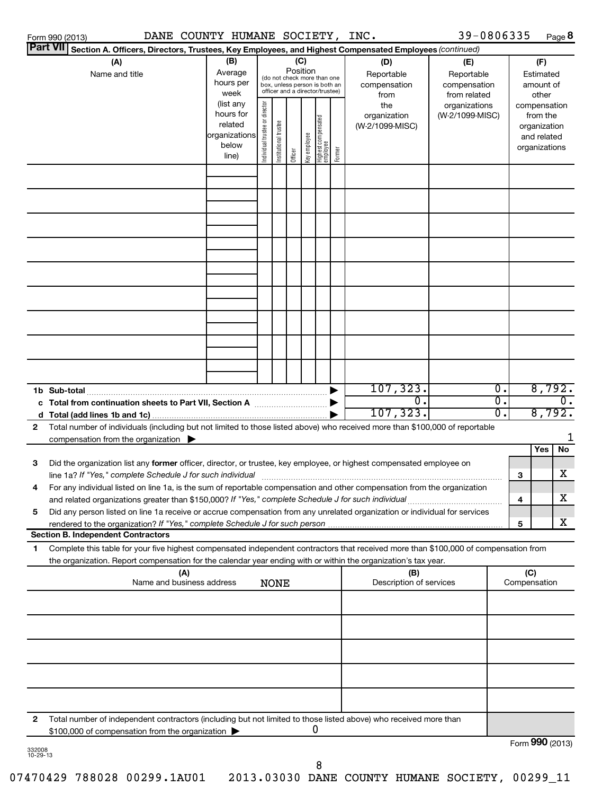| DANE COUNTY HUMANE SOCIETY, INC.<br>Form 990 (2013)                                                                                        |                          |                                |                       |          |              |                                 |        |                         | 39-0806335      |                  |     |                 | Page 8                      |
|--------------------------------------------------------------------------------------------------------------------------------------------|--------------------------|--------------------------------|-----------------------|----------|--------------|---------------------------------|--------|-------------------------|-----------------|------------------|-----|-----------------|-----------------------------|
| <b>Part VII</b><br>Section A. Officers, Directors, Trustees, Key Employees, and Highest Compensated Employees (continued)                  |                          |                                |                       |          |              |                                 |        |                         |                 |                  |     |                 |                             |
| (A)                                                                                                                                        | (B)                      |                                |                       |          | (C)          |                                 |        | (D)                     | (E)             |                  |     | (F)             |                             |
| Name and title                                                                                                                             | Average                  |                                |                       | Position |              | (do not check more than one     |        | Reportable              | Reportable      |                  |     | Estimated       |                             |
|                                                                                                                                            | hours per                |                                |                       |          |              | box, unless person is both an   |        | compensation            | compensation    |                  |     | amount of       |                             |
|                                                                                                                                            | week                     |                                |                       |          |              | officer and a director/trustee) |        | from                    | from related    |                  |     | other           |                             |
|                                                                                                                                            | (list any                |                                |                       |          |              |                                 |        | the                     | organizations   |                  |     | compensation    |                             |
|                                                                                                                                            | hours for                |                                |                       |          |              |                                 |        | organization            | (W-2/1099-MISC) |                  |     | from the        |                             |
|                                                                                                                                            | related<br>organizations |                                |                       |          |              |                                 |        | (W-2/1099-MISC)         |                 |                  |     | organization    |                             |
|                                                                                                                                            | below                    |                                |                       |          |              |                                 |        |                         |                 |                  |     | and related     |                             |
|                                                                                                                                            | line)                    | Individual trustee or director | Institutional trustee | Officer  | Key employee | Highest compensated<br>employee | Former |                         |                 |                  |     | organizations   |                             |
|                                                                                                                                            |                          |                                |                       |          |              |                                 |        |                         |                 |                  |     |                 |                             |
|                                                                                                                                            |                          |                                |                       |          |              |                                 |        |                         |                 |                  |     |                 |                             |
|                                                                                                                                            |                          |                                |                       |          |              |                                 |        |                         |                 |                  |     |                 |                             |
|                                                                                                                                            |                          |                                |                       |          |              |                                 |        |                         |                 |                  |     |                 |                             |
|                                                                                                                                            |                          |                                |                       |          |              |                                 |        |                         |                 |                  |     |                 |                             |
|                                                                                                                                            |                          |                                |                       |          |              |                                 |        |                         |                 |                  |     |                 |                             |
|                                                                                                                                            |                          |                                |                       |          |              |                                 |        |                         |                 |                  |     |                 |                             |
|                                                                                                                                            |                          |                                |                       |          |              |                                 |        |                         |                 |                  |     |                 |                             |
|                                                                                                                                            |                          |                                |                       |          |              |                                 |        |                         |                 |                  |     |                 |                             |
|                                                                                                                                            |                          |                                |                       |          |              |                                 |        |                         |                 |                  |     |                 |                             |
|                                                                                                                                            |                          |                                |                       |          |              |                                 |        |                         |                 |                  |     |                 |                             |
|                                                                                                                                            |                          |                                |                       |          |              |                                 |        |                         |                 |                  |     |                 |                             |
|                                                                                                                                            |                          |                                |                       |          |              |                                 |        |                         |                 |                  |     |                 |                             |
|                                                                                                                                            |                          |                                |                       |          |              |                                 |        |                         |                 |                  |     |                 |                             |
|                                                                                                                                            |                          |                                |                       |          |              |                                 |        |                         |                 |                  |     |                 |                             |
|                                                                                                                                            |                          |                                |                       |          |              |                                 |        |                         |                 |                  |     |                 |                             |
|                                                                                                                                            |                          |                                |                       |          |              |                                 |        |                         |                 |                  |     |                 |                             |
|                                                                                                                                            |                          |                                |                       |          |              |                                 |        |                         |                 |                  |     |                 |                             |
|                                                                                                                                            |                          |                                |                       |          |              |                                 |        | 107, 323.               |                 | $\overline{0}$ . |     | 8,792.          |                             |
|                                                                                                                                            |                          |                                |                       |          |              |                                 |        | σ.                      |                 | σ.               |     |                 | $\overline{\mathfrak{o}}$ . |
|                                                                                                                                            |                          |                                |                       |          |              |                                 |        | 107, 323.               |                 | $\overline{0}$ . |     | 8,792.          |                             |
| Total number of individuals (including but not limited to those listed above) who received more than \$100,000 of reportable<br>2          |                          |                                |                       |          |              |                                 |        |                         |                 |                  |     |                 |                             |
| compensation from the organization $\blacktriangleright$                                                                                   |                          |                                |                       |          |              |                                 |        |                         |                 |                  |     |                 |                             |
|                                                                                                                                            |                          |                                |                       |          |              |                                 |        |                         |                 |                  |     | Yes             | No                          |
| 3<br>Did the organization list any former officer, director, or trustee, key employee, or highest compensated employee on                  |                          |                                |                       |          |              |                                 |        |                         |                 |                  |     |                 |                             |
| line 1a? If "Yes," complete Schedule J for such individual manufacture content to the set of the set of the schedule J for such individual |                          |                                |                       |          |              |                                 |        |                         |                 |                  | 3   |                 | x                           |
| For any individual listed on line 1a, is the sum of reportable compensation and other compensation from the organization                   |                          |                                |                       |          |              |                                 |        |                         |                 |                  |     |                 |                             |
| and related organizations greater than \$150,000? If "Yes," complete Schedule J for such individual                                        |                          |                                |                       |          |              |                                 |        |                         |                 |                  | 4   |                 | х                           |
| Did any person listed on line 1a receive or accrue compensation from any unrelated organization or individual for services<br>5            |                          |                                |                       |          |              |                                 |        |                         |                 |                  |     |                 |                             |
| rendered to the organization? If "Yes," complete Schedule J for such person                                                                |                          |                                |                       |          |              |                                 |        |                         |                 |                  | 5   |                 | x                           |
| <b>Section B. Independent Contractors</b>                                                                                                  |                          |                                |                       |          |              |                                 |        |                         |                 |                  |     |                 |                             |
| Complete this table for your five highest compensated independent contractors that received more than \$100,000 of compensation from<br>1  |                          |                                |                       |          |              |                                 |        |                         |                 |                  |     |                 |                             |
| the organization. Report compensation for the calendar year ending with or within the organization's tax year.                             |                          |                                |                       |          |              |                                 |        |                         |                 |                  |     |                 |                             |
| (A)                                                                                                                                        |                          |                                |                       |          |              |                                 |        | (B)                     |                 |                  | (C) |                 |                             |
| Name and business address                                                                                                                  |                          |                                | <b>NONE</b>           |          |              |                                 |        | Description of services |                 |                  |     | Compensation    |                             |
|                                                                                                                                            |                          |                                |                       |          |              |                                 |        |                         |                 |                  |     |                 |                             |
|                                                                                                                                            |                          |                                |                       |          |              |                                 |        |                         |                 |                  |     |                 |                             |
|                                                                                                                                            |                          |                                |                       |          |              |                                 |        |                         |                 |                  |     |                 |                             |
|                                                                                                                                            |                          |                                |                       |          |              |                                 |        |                         |                 |                  |     |                 |                             |
|                                                                                                                                            |                          |                                |                       |          |              |                                 |        |                         |                 |                  |     |                 |                             |
|                                                                                                                                            |                          |                                |                       |          |              |                                 |        |                         |                 |                  |     |                 |                             |
|                                                                                                                                            |                          |                                |                       |          |              |                                 |        |                         |                 |                  |     |                 |                             |
|                                                                                                                                            |                          |                                |                       |          |              |                                 |        |                         |                 |                  |     |                 |                             |
|                                                                                                                                            |                          |                                |                       |          |              |                                 |        |                         |                 |                  |     |                 |                             |
|                                                                                                                                            |                          |                                |                       |          |              |                                 |        |                         |                 |                  |     |                 |                             |
| Total number of independent contractors (including but not limited to those listed above) who received more than<br>2                      |                          |                                |                       |          |              |                                 |        |                         |                 |                  |     |                 |                             |
| \$100,000 of compensation from the organization                                                                                            |                          |                                |                       |          |              | 0                               |        |                         |                 |                  |     |                 |                             |
| 332008                                                                                                                                     |                          |                                |                       |          |              |                                 |        |                         |                 |                  |     | Form 990 (2013) |                             |

332008 10-29-13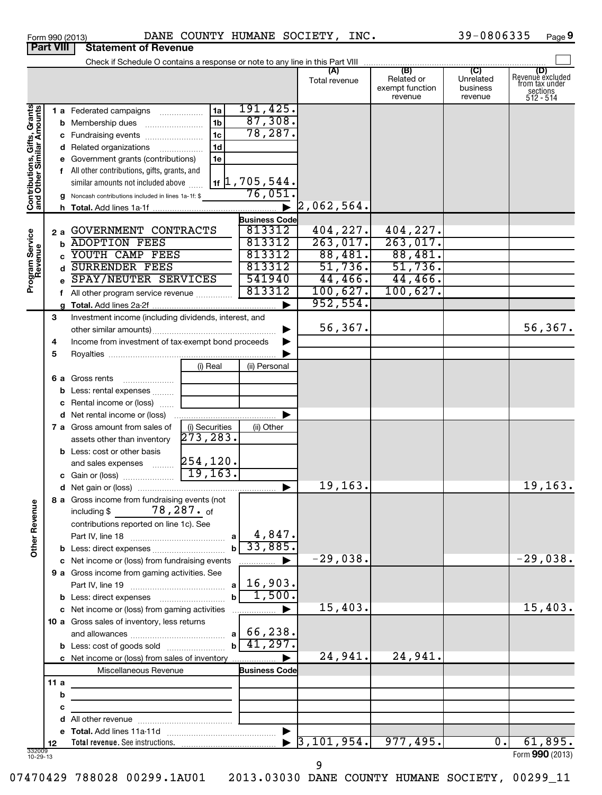| Form 990 (2013) |                                         | DANE CO |  |
|-----------------|-----------------------------------------|---------|--|
|                 | <b>Part VIII   Statement of Revenue</b> |         |  |

### Form 990 (2013) DANE COUNTY HUMANE SOCIETY,INC**.** 39-0806335 Page **9** DANE COUNTY HUMANE SOCIETY, INC.  $39-0806335$

|                                                           |     | Check if Schedule O contains a response or note to any line in this Part VIII |                |                           |                                  |                               |                       |                         |
|-----------------------------------------------------------|-----|-------------------------------------------------------------------------------|----------------|---------------------------|----------------------------------|-------------------------------|-----------------------|-------------------------|
|                                                           |     |                                                                               |                |                           | (A)                              | (B)                           | (C)                   | (D)<br>Revenue excluded |
|                                                           |     |                                                                               |                |                           | Total revenue                    | Related or<br>exempt function | Unrelated<br>business | from tax under          |
|                                                           |     |                                                                               |                |                           |                                  | revenue                       | revenue               | sections<br>512 - 514   |
|                                                           |     | 1 a Federated campaigns                                                       | 1a             | 191,425.                  |                                  |                               |                       |                         |
|                                                           |     | <b>b</b> Membership dues                                                      | 1 <sub>b</sub> | 87,308.                   |                                  |                               |                       |                         |
|                                                           |     | c Fundraising events                                                          | 1 <sub>c</sub> | 78,287.                   |                                  |                               |                       |                         |
|                                                           |     | d Related organizations                                                       | 1 <sub>d</sub> |                           |                                  |                               |                       |                         |
|                                                           |     | e Government grants (contributions)                                           | 1e             |                           |                                  |                               |                       |                         |
| Contributions, Gifts, Grants<br>and Other Similar Amounts |     | f All other contributions, gifts, grants, and                                 |                |                           |                                  |                               |                       |                         |
|                                                           |     | similar amounts not included above                                            |                | $1$ $1$ , $705$ , $544$ . |                                  |                               |                       |                         |
|                                                           |     | g Noncash contributions included in lines 1a-1f: \$                           |                | 76,051.                   |                                  |                               |                       |                         |
|                                                           |     |                                                                               |                |                           | $\blacktriangleright$ 2,062,564. |                               |                       |                         |
|                                                           |     |                                                                               |                | <b>Business Code</b>      |                                  |                               |                       |                         |
|                                                           | 2a  | GOVERNMENT CONTRACTS                                                          |                | 813312                    | 404,227.                         | 404,227.                      |                       |                         |
|                                                           | b   | <b>ADOPTION FEES</b>                                                          |                | 813312                    | 263,017.                         | 263,017.                      |                       |                         |
|                                                           |     | YOUTH CAMP FEES                                                               |                | 813312                    | 88,481.                          | 88,481.                       |                       |                         |
| Program Service<br>Revenue                                |     | <b>SURRENDER FEES</b>                                                         |                | 813312                    | 51,736.                          | 51,736.                       |                       |                         |
|                                                           |     | SPAY/NEUTER SERVICES                                                          |                | 541940                    | 44,466.                          | 44,466.                       |                       |                         |
|                                                           |     | f All other program service revenue                                           |                | 813312                    | 100,627.                         | 100,627.                      |                       |                         |
|                                                           |     |                                                                               |                |                           | 952,554.                         |                               |                       |                         |
|                                                           | 3   | Investment income (including dividends, interest, and                         |                |                           |                                  |                               |                       |                         |
|                                                           |     |                                                                               |                |                           | 56,367.                          |                               |                       | 56, 367.                |
|                                                           | 4   | Income from investment of tax-exempt bond proceeds                            |                |                           |                                  |                               |                       |                         |
|                                                           | 5   |                                                                               |                |                           |                                  |                               |                       |                         |
|                                                           |     |                                                                               | (i) Real       | (ii) Personal             |                                  |                               |                       |                         |
|                                                           |     | <b>6 a</b> Gross rents                                                        |                |                           |                                  |                               |                       |                         |
|                                                           |     | <b>b</b> Less: rental expenses                                                |                |                           |                                  |                               |                       |                         |
|                                                           |     | c Rental income or (loss)                                                     |                |                           |                                  |                               |                       |                         |
|                                                           |     |                                                                               |                |                           |                                  |                               |                       |                         |
|                                                           |     | <b>7 a</b> Gross amount from sales of                                         | (i) Securities | (ii) Other                |                                  |                               |                       |                         |
|                                                           |     | assets other than inventory                                                   | 273, 283.      |                           |                                  |                               |                       |                         |
|                                                           |     | <b>b</b> Less: cost or other basis                                            |                |                           |                                  |                               |                       |                         |
|                                                           |     |                                                                               |                |                           |                                  |                               |                       |                         |
|                                                           |     |                                                                               |                |                           |                                  |                               |                       |                         |
|                                                           |     |                                                                               |                |                           | 19, 163.                         |                               |                       | 19, 163.                |
| g                                                         |     | 8 a Gross income from fundraising events (not                                 |                |                           |                                  |                               |                       |                         |
|                                                           |     | including $$78,287.$ of                                                       |                |                           |                                  |                               |                       |                         |
|                                                           |     | contributions reported on line 1c). See                                       |                |                           |                                  |                               |                       |                         |
| Other Reven                                               |     |                                                                               | a l            | 4,847.                    |                                  |                               |                       |                         |
|                                                           |     |                                                                               |                | 33,885.                   |                                  |                               |                       |                         |
|                                                           |     | c Net income or (loss) from fundraising events                                |                |                           | $-29,038.$                       |                               |                       | $-29,038.$              |
|                                                           |     | 9 a Gross income from gaming activities. See                                  |                |                           |                                  |                               |                       |                         |
|                                                           |     |                                                                               | a              | 16,903.                   |                                  |                               |                       |                         |
|                                                           |     |                                                                               |                | 1,500.                    |                                  |                               |                       |                         |
|                                                           |     | c Net income or (loss) from gaming activities                                 |                |                           | 15,403.                          |                               |                       | 15,403.                 |
|                                                           |     | 10 a Gross sales of inventory, less returns                                   |                |                           |                                  |                               |                       |                         |
|                                                           |     |                                                                               |                | $a \mid 66, 238.$         |                                  |                               |                       |                         |
|                                                           |     | <b>b</b> Less: cost of goods sold                                             |                | 41,297.                   |                                  |                               |                       |                         |
|                                                           |     | c Net income or (loss) from sales of inventory                                |                |                           | 24,941.                          | 24,941.                       |                       |                         |
|                                                           |     | Miscellaneous Revenue                                                         |                | <b>Business Code</b>      |                                  |                               |                       |                         |
|                                                           | 11a | the control of the control of the control of the                              |                |                           |                                  |                               |                       |                         |
|                                                           | b   |                                                                               |                |                           |                                  |                               |                       |                         |
|                                                           | с   |                                                                               |                |                           |                                  |                               |                       |                         |
|                                                           |     |                                                                               |                |                           |                                  |                               |                       |                         |
|                                                           |     |                                                                               |                |                           | 3, 101, 954.                     |                               | $\overline{0}$ .      |                         |
|                                                           | 12  |                                                                               |                |                           |                                  | 977,495.                      |                       | 61,895.                 |
| 332009<br>10-29-13                                        |     |                                                                               |                |                           |                                  |                               |                       | Form 990 (2013)         |

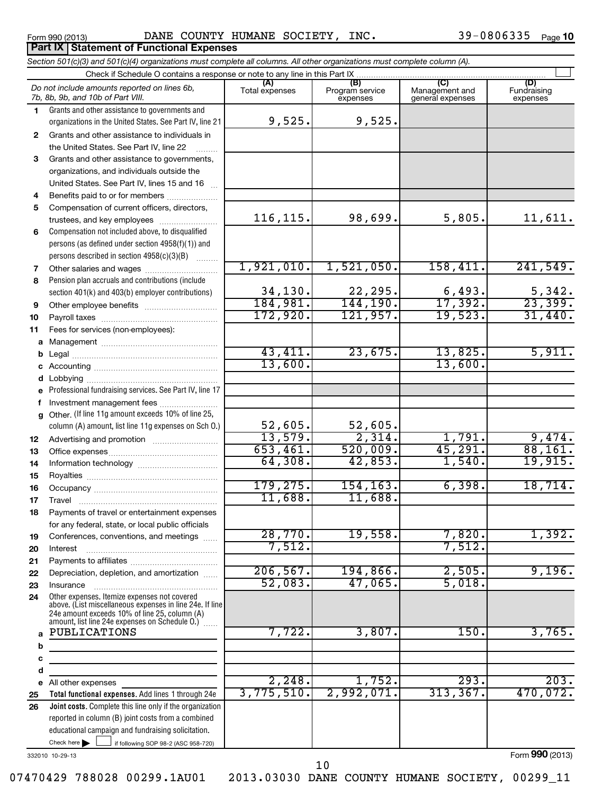## Form 990 (2013) Page DANE COUNTY HUMANE SOCIETY, INC. 39-0806335

39-0806335 Page 10

|              | Check if Schedule O contains a response or note to any line in this Part IX                              |                          |                                    |                                                                   |                                |
|--------------|----------------------------------------------------------------------------------------------------------|--------------------------|------------------------------------|-------------------------------------------------------------------|--------------------------------|
|              | Do not include amounts reported on lines 6b,<br>7b, 8b, 9b, and 10b of Part VIII.                        | (A)<br>Total expenses    | (B)<br>Program service<br>expenses | $\overline{(\overline{C})}$<br>Management and<br>general expenses | (D)<br>Fundraising<br>expenses |
| 1.           | Grants and other assistance to governments and                                                           |                          |                                    |                                                                   |                                |
|              | organizations in the United States. See Part IV, line 21                                                 | 9,525.                   | 9,525.                             |                                                                   |                                |
| $\mathbf{2}$ | Grants and other assistance to individuals in                                                            |                          |                                    |                                                                   |                                |
|              | the United States. See Part IV, line 22                                                                  |                          |                                    |                                                                   |                                |
| 3            | Grants and other assistance to governments,                                                              |                          |                                    |                                                                   |                                |
|              | organizations, and individuals outside the                                                               |                          |                                    |                                                                   |                                |
|              | United States. See Part IV, lines 15 and 16                                                              |                          |                                    |                                                                   |                                |
| 4            | Benefits paid to or for members                                                                          |                          |                                    |                                                                   |                                |
| 5            | Compensation of current officers, directors,                                                             |                          |                                    |                                                                   |                                |
|              | trustees, and key employees                                                                              | 116, 115.                | 98,699.                            | 5,805.                                                            | 11,611.                        |
| 6            | Compensation not included above, to disqualified                                                         |                          |                                    |                                                                   |                                |
|              | persons (as defined under section 4958(f)(1)) and                                                        |                          |                                    |                                                                   |                                |
|              | persons described in section 4958(c)(3)(B)<br>.                                                          |                          |                                    |                                                                   |                                |
| 7            |                                                                                                          | 1,921,010.               | 1,521,050.                         | 158,411.                                                          | 241,549.                       |
| 8            | Pension plan accruals and contributions (include                                                         |                          |                                    |                                                                   |                                |
|              | section 401(k) and 403(b) employer contributions)                                                        | $\frac{34,130}{184,981}$ | 22,295.<br>144,190.                | $\frac{6,493}{17,392}$                                            | $\frac{5,342}{23,399}$         |
| 9            |                                                                                                          | 172,920.                 |                                    | 19,523.                                                           |                                |
| 10           |                                                                                                          |                          | 121,957.                           |                                                                   | 31,440.                        |
| 11           | Fees for services (non-employees):                                                                       |                          |                                    |                                                                   |                                |
|              |                                                                                                          | 43,411.                  | 23,675.                            | 13,825.                                                           | 5,911.                         |
|              |                                                                                                          | 13,600.                  |                                    | 13,600.                                                           |                                |
|              |                                                                                                          |                          |                                    |                                                                   |                                |
|              |                                                                                                          |                          |                                    |                                                                   |                                |
|              | e Professional fundraising services. See Part IV, line 17                                                |                          |                                    |                                                                   |                                |
| f            | Investment management fees<br>g Other. (If line 11g amount exceeds 10% of line 25,                       |                          |                                    |                                                                   |                                |
|              | column (A) amount, list line 11g expenses on Sch O.)                                                     | 52,605.                  | 52,605.                            |                                                                   |                                |
| 12           |                                                                                                          | 13,579.                  | 2,314.                             | 1,791.                                                            | 9,474.                         |
| 13           |                                                                                                          | 653,461.                 | 520,009.                           | 45,291.                                                           | 88,161.                        |
| 14           |                                                                                                          | 64,308.                  | 42,853.                            | 1,540.                                                            | 19,915.                        |
| 15           |                                                                                                          |                          |                                    |                                                                   |                                |
| 16           |                                                                                                          | 179, 275.                | 154, 163.                          | 6,398.                                                            | 18,714.                        |
| 17           |                                                                                                          | 11,688.                  | 11,688.                            |                                                                   |                                |
| 18           | Payments of travel or entertainment expenses                                                             |                          |                                    |                                                                   |                                |
|              | for any federal, state, or local public officials                                                        |                          |                                    |                                                                   |                                |
| 19           | Conferences, conventions, and meetings                                                                   | 28,770.                  | 19,558.                            | 7,820.                                                            | 1,392.                         |
| 20           | Interest                                                                                                 | 7,512.                   |                                    | 7,512.                                                            |                                |
| 21           |                                                                                                          |                          |                                    |                                                                   |                                |
| 22           | Depreciation, depletion, and amortization                                                                | 206, 567.                | 194,866.                           | 2,505.                                                            | 9,196.                         |
| 23           | Insurance                                                                                                | 52,083.                  | 47,065.                            | 5,018.                                                            |                                |
| 24           | Other expenses. Itemize expenses not covered                                                             |                          |                                    |                                                                   |                                |
|              | above. (List miscellaneous expenses in line 24e. If line                                                 |                          |                                    |                                                                   |                                |
|              | 24e amount exceeds 10% of line 25, column (A)<br>amount, list line 24e expenses on Schedule 0.) [        |                          |                                    |                                                                   |                                |
|              | a PUBLICATIONS                                                                                           | 7,722.                   | 3,807.                             | 150.                                                              | 3,765.                         |
| b            |                                                                                                          |                          |                                    |                                                                   |                                |
| c            | the control of the control of the control of                                                             |                          |                                    |                                                                   |                                |
| d            |                                                                                                          |                          |                                    |                                                                   |                                |
|              | e All other expenses                                                                                     | 2,248.                   | 1,752.                             | 293.                                                              | 203.                           |
|              | Total functional expenses. Add lines 1 through 24e                                                       | 3,775,510.               | 2,992,071.                         | 313, 367.                                                         | 470,072.                       |
|              |                                                                                                          |                          |                                    |                                                                   |                                |
| 25           |                                                                                                          |                          |                                    |                                                                   |                                |
|              | Joint costs. Complete this line only if the organization                                                 |                          |                                    |                                                                   |                                |
| 26           | reported in column (B) joint costs from a combined<br>educational campaign and fundraising solicitation. |                          |                                    |                                                                   |                                |

332010 10-29-13

Form **990** (2013)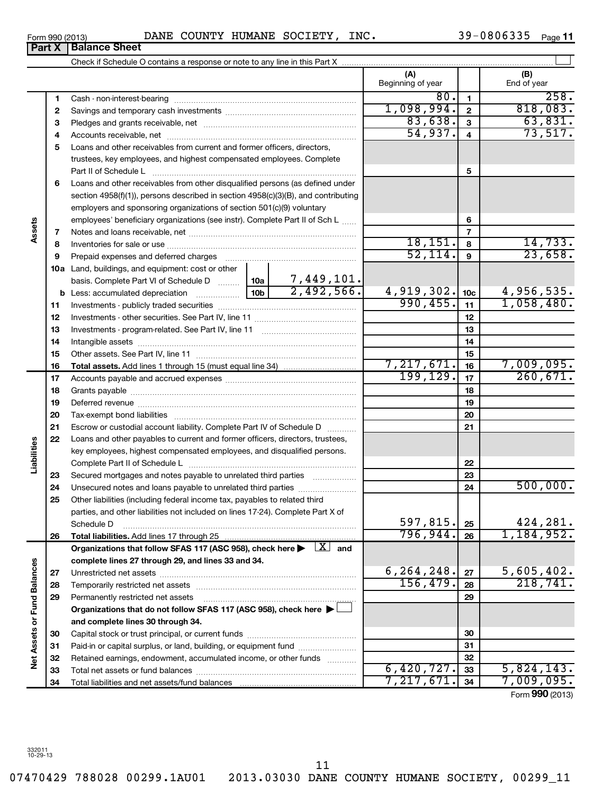| Form 990 (2013)                  | DANE | COUNTY | <b>HUMANE</b> | SOCIETY | INC. | - ۱۵ | Page |
|----------------------------------|------|--------|---------------|---------|------|------|------|
| <b>Part X</b><br>i Balance Sheet |      |        |               |         |      |      |      |

|                             |    |                                                                                                                                                          |  |    | (A)<br>Beginning of year |                 | (B)<br>End of year     |
|-----------------------------|----|----------------------------------------------------------------------------------------------------------------------------------------------------------|--|----|--------------------------|-----------------|------------------------|
|                             | 1  |                                                                                                                                                          |  |    | 80.                      | $\mathbf{1}$    | 258.                   |
|                             | 2  |                                                                                                                                                          |  |    | 1,098,994.               | $\mathbf{2}$    | 818,083.               |
|                             | З  |                                                                                                                                                          |  |    | 83,638.                  | 3               | 63,831.                |
|                             | 4  |                                                                                                                                                          |  |    | 54,937.                  | $\overline{4}$  | 73,517.                |
|                             | 5  | Loans and other receivables from current and former officers, directors,                                                                                 |  |    |                          |                 |                        |
|                             |    | trustees, key employees, and highest compensated employees. Complete                                                                                     |  |    |                          |                 |                        |
|                             |    | Part II of Schedule L                                                                                                                                    |  |    |                          | 5               |                        |
|                             | 6  | Loans and other receivables from other disqualified persons (as defined under                                                                            |  |    |                          |                 |                        |
|                             |    | section 4958(f)(1)), persons described in section 4958(c)(3)(B), and contributing                                                                        |  |    |                          |                 |                        |
|                             |    | employers and sponsoring organizations of section 501(c)(9) voluntary                                                                                    |  |    |                          |                 |                        |
| Assets                      |    | employees' beneficiary organizations (see instr). Complete Part II of Sch L                                                                              |  |    |                          | 6               |                        |
|                             | 7  |                                                                                                                                                          |  |    |                          | $\overline{7}$  |                        |
|                             | 8  |                                                                                                                                                          |  |    | 18,151.                  | 8               | 14,733.                |
|                             | 9  | Prepaid expenses and deferred charges                                                                                                                    |  |    | 52,114.                  | $\mathbf{9}$    | 23,658.                |
|                             |    | <b>10a</b> Land, buildings, and equipment: cost or other                                                                                                 |  |    |                          |                 |                        |
|                             |    |                                                                                                                                                          |  |    |                          |                 |                        |
|                             |    |                                                                                                                                                          |  |    | 4,919,302.               | 10 <sub>c</sub> | 4,956,535.             |
|                             | 11 |                                                                                                                                                          |  |    | 990, 455.                | 11              | 1,058,480.             |
|                             | 12 |                                                                                                                                                          |  | 12 |                          |                 |                        |
|                             | 13 |                                                                                                                                                          |  |    | 13                       |                 |                        |
|                             | 14 |                                                                                                                                                          |  |    |                          | 14              |                        |
|                             | 15 |                                                                                                                                                          |  |    |                          | 15              |                        |
|                             | 16 |                                                                                                                                                          |  |    | 7,217,671.<br>199, 129.  | 16              | 7,009,095.<br>260,671. |
|                             | 17 |                                                                                                                                                          |  |    |                          | 17              |                        |
|                             | 18 |                                                                                                                                                          |  | 18 |                          |                 |                        |
|                             | 19 |                                                                                                                                                          |  |    | 19                       |                 |                        |
|                             | 20 |                                                                                                                                                          |  |    | 20                       |                 |                        |
|                             | 21 | Escrow or custodial account liability. Complete Part IV of Schedule D                                                                                    |  |    |                          | 21              |                        |
|                             | 22 | Loans and other payables to current and former officers, directors, trustees,<br>key employees, highest compensated employees, and disqualified persons. |  |    |                          |                 |                        |
|                             |    |                                                                                                                                                          |  |    |                          | 22              |                        |
| Liabilities                 | 23 | Secured mortgages and notes payable to unrelated third parties                                                                                           |  |    |                          | 23              |                        |
|                             | 24 |                                                                                                                                                          |  |    |                          | 24              | 500,000.               |
|                             | 25 | Other liabilities (including federal income tax, payables to related third                                                                               |  |    |                          |                 |                        |
|                             |    | parties, and other liabilities not included on lines 17-24). Complete Part X of                                                                          |  |    |                          |                 |                        |
|                             |    | Schedule D                                                                                                                                               |  |    | 597,815.                 | 25              | 424,281.               |
|                             | 26 | Total liabilities. Add lines 17 through 25                                                                                                               |  |    | 796,944.                 | 26              | 1,184,952.             |
|                             |    | Organizations that follow SFAS 117 (ASC 958), check here $\blacktriangleright$ $\boxed{X}$ and                                                           |  |    |                          |                 |                        |
|                             |    | complete lines 27 through 29, and lines 33 and 34.                                                                                                       |  |    |                          |                 |                        |
|                             | 27 |                                                                                                                                                          |  |    | 6, 264, 248.             | 27              | 5,605,402.             |
|                             | 28 | Temporarily restricted net assets                                                                                                                        |  |    | 156,479.                 | 28              | 218, 741.              |
|                             | 29 | Permanently restricted net assets                                                                                                                        |  |    |                          | 29              |                        |
|                             |    | Organizations that do not follow SFAS 117 (ASC 958), check here ▶ □                                                                                      |  |    |                          |                 |                        |
| Net Assets or Fund Balances |    | and complete lines 30 through 34.                                                                                                                        |  |    |                          |                 |                        |
|                             | 30 |                                                                                                                                                          |  |    |                          | 30              |                        |
|                             | 31 | Paid-in or capital surplus, or land, building, or equipment fund                                                                                         |  |    |                          | 31              |                        |
|                             | 32 | Retained earnings, endowment, accumulated income, or other funds                                                                                         |  |    |                          | 32              |                        |
|                             | 33 |                                                                                                                                                          |  |    | 6,420,727.               | 33              | 5,824,143.             |
|                             | 34 |                                                                                                                                                          |  |    | 7,217,671                | 34              | 7,009,095.             |

Form (2013) **990**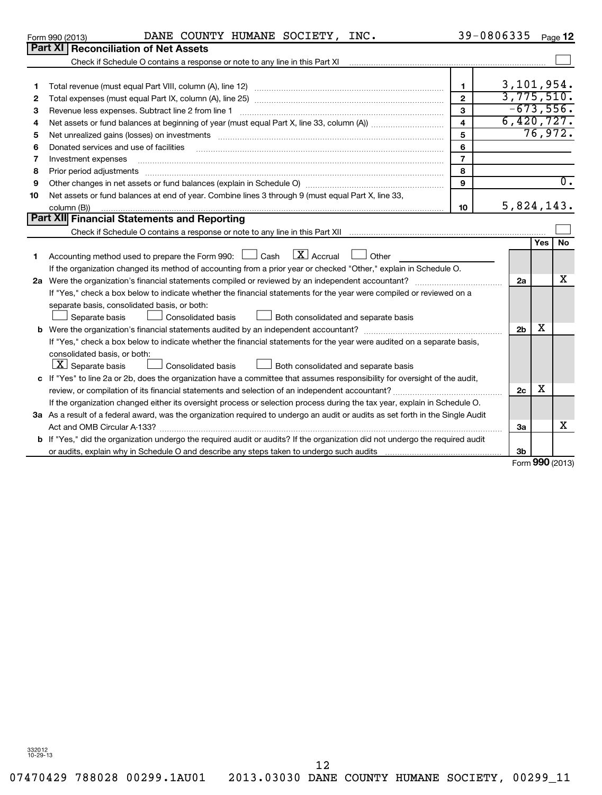07470429 788028 00299.1AU01 2013.03030 DANE COUNTY HUMANE SOCIETY, 00299\_11

| 4  |                                                                                                                             | 4              | 6,420,727.     |            |           |
|----|-----------------------------------------------------------------------------------------------------------------------------|----------------|----------------|------------|-----------|
| 5  |                                                                                                                             | 5              |                | 76,972.    |           |
| 6  | Donated services and use of facilities                                                                                      | 6              |                |            |           |
| 7  | Investment expenses                                                                                                         | $\overline{7}$ |                |            |           |
| 8  |                                                                                                                             | 8              |                |            |           |
| 9  |                                                                                                                             | 9              |                |            | 0.        |
| 10 | Net assets or fund balances at end of year. Combine lines 3 through 9 (must equal Part X, line 33,<br>column (B))           | 10             | 5,824,143.     |            |           |
|    | Part XII Financial Statements and Reporting                                                                                 |                |                |            |           |
|    |                                                                                                                             |                |                |            |           |
|    |                                                                                                                             |                |                | <b>Yes</b> | <b>No</b> |
| 1  | Accounting method used to prepare the Form 990: $\Box$ Cash $\Box X$ Accrual $\Box$ Other                                   |                |                |            |           |
|    | If the organization changed its method of accounting from a prior year or checked "Other," explain in Schedule O.           |                |                |            |           |
|    | 2a Were the organization's financial statements compiled or reviewed by an independent accountant?                          |                | 2a             |            | x         |
|    | If "Yes," check a box below to indicate whether the financial statements for the year were compiled or reviewed on a        |                |                |            |           |
|    | separate basis, consolidated basis, or both:                                                                                |                |                |            |           |
|    | Both consolidated and separate basis<br><b>Consolidated basis</b><br>Separate basis                                         |                |                |            |           |
|    | b Were the organization's financial statements audited by an independent accountant?                                        |                | 2 <sub>b</sub> | х          |           |
|    | If "Yes," check a box below to indicate whether the financial statements for the year were audited on a separate basis,     |                |                |            |           |
|    | consolidated basis, or both:                                                                                                |                |                |            |           |
|    | $\lfloor \underline{X} \rfloor$ Separate basis<br>Consolidated basis<br>Both consolidated and separate basis                |                |                |            |           |
|    | c If "Yes" to line 2a or 2b, does the organization have a committee that assumes responsibility for oversight of the audit, |                |                |            |           |

**3 a** As a result of a federal award, was the organization required to undergo an audit or audits as set forth in the Single Audit

review, or compilation of its financial statements and selection of an independent accountant?  $~~...~~...~~...~~...~~...~~$ If the organization changed either its oversight process or selection process during the tax year, explain in Schedule O.

Act and OMB Circular A-133? ~~~~~~~~~~~~~~~~~~~~~~~~~~~~~~~~~~~~~~~~~~~~~~~

**b** If "Yes," did the organization undergo the required audit or audits? If the organization did not undergo the required audit

or audits, explain why in Schedule O and describe any steps taken to undergo such audits

| Form<br>nor<br>10012<br>ו טבע ובטו | -----<br>DANE . | <b>JNTY</b> | ----------<br>HUMANE | COCTETV<br>. 61.<br>יי ה | INC | Pane<br>auc |
|------------------------------------|-----------------|-------------|----------------------|--------------------------|-----|-------------|
| $\sim$ $\sim$ $\sim$<br>--- --     | -----           |             |                      |                          |     |             |

 $\sim$ 

3,101,954. 3,775,510. -673,556. 6,420,727.

 $\overline{0}$ .

Total revenue (must equal Part VIII, column (A), line 12) ~~~~~~~~~~~~~~~~~~~~~~~~~~ Total expenses (must equal Part IX, column (A), line 25) ~~~~~~~~~~~~~~~~~~~~~~~~~~ Revenue less expenses. Subtract line 2 from line 1 [2000] [2000] [2000] [2000] [2000] [2000] [2000] [2000] [20

Check if Schedule O contains a response or note to any line in this Part XI **Part XI Reconciliation of Net Assets**

**10**

Form **990** (2013)

X

X

**2c**

**3a**

**3b**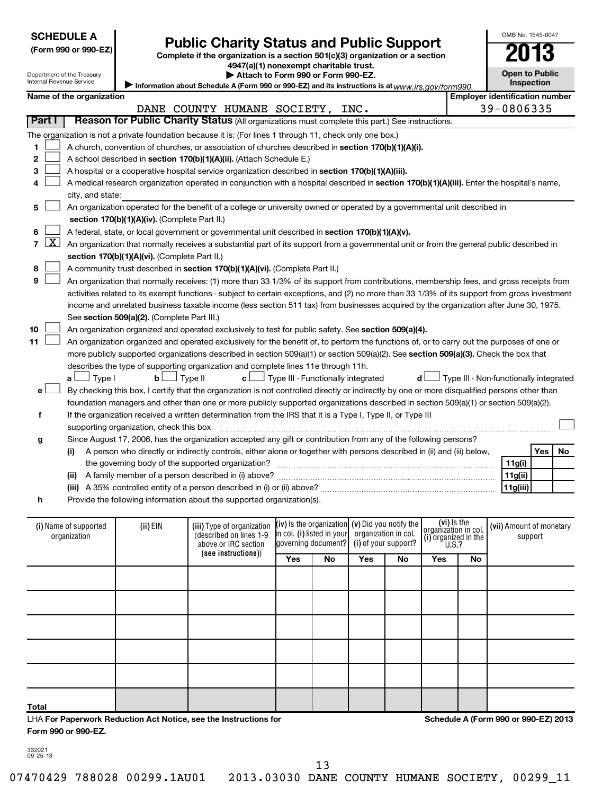| <b>SCHEDULE A</b> |  |  |  |  |  |
|-------------------|--|--|--|--|--|
|                   |  |  |  |  |  |

OMB No. 1545-0047

|                                                                                                                                                          |                                                                  | JUNLDULL M               |                                                 |                                                                                                                                               |                                                        |                        |                                     |                                        |     |    |
|----------------------------------------------------------------------------------------------------------------------------------------------------------|------------------------------------------------------------------|--------------------------|-------------------------------------------------|-----------------------------------------------------------------------------------------------------------------------------------------------|--------------------------------------------------------|------------------------|-------------------------------------|----------------------------------------|-----|----|
| <b>Public Charity Status and Public Support</b><br>(Form 990 or 990-EZ)<br>Complete if the organization is a section 501(c)(3) organization or a section |                                                                  |                          |                                                 |                                                                                                                                               |                                                        | 013                    |                                     |                                        |     |    |
| 4947(a)(1) nonexempt charitable trust.                                                                                                                   |                                                                  |                          |                                                 |                                                                                                                                               |                                                        |                        |                                     |                                        |     |    |
|                                                                                                                                                          | Department of the Treasury<br>Attach to Form 990 or Form 990-EZ. |                          |                                                 |                                                                                                                                               |                                                        |                        | <b>Open to Public</b>               |                                        |     |    |
|                                                                                                                                                          |                                                                  | Internal Revenue Service |                                                 | Information about Schedule A (Form 990 or 990-EZ) and its instructions is at $www.irs. gov/form990$ .                                         |                                                        |                        |                                     | <b>Inspection</b>                      |     |    |
|                                                                                                                                                          |                                                                  | Name of the organization |                                                 |                                                                                                                                               |                                                        |                        |                                     | <b>Employer identification number</b>  |     |    |
|                                                                                                                                                          |                                                                  |                          |                                                 | DANE COUNTY HUMANE SOCIETY, INC.                                                                                                              |                                                        |                        |                                     | 39-0806335                             |     |    |
|                                                                                                                                                          | Part I                                                           |                          |                                                 | Reason for Public Charity Status (All organizations must complete this part.) See instructions.                                               |                                                        |                        |                                     |                                        |     |    |
|                                                                                                                                                          |                                                                  |                          |                                                 | The organization is not a private foundation because it is: (For lines 1 through 11, check only one box.)                                     |                                                        |                        |                                     |                                        |     |    |
| 1                                                                                                                                                        |                                                                  |                          |                                                 | A church, convention of churches, or association of churches described in section 170(b)(1)(A)(i).                                            |                                                        |                        |                                     |                                        |     |    |
| 2                                                                                                                                                        |                                                                  |                          |                                                 | A school described in section 170(b)(1)(A)(ii). (Attach Schedule E.)                                                                          |                                                        |                        |                                     |                                        |     |    |
| 3                                                                                                                                                        |                                                                  |                          |                                                 | A hospital or a cooperative hospital service organization described in section 170(b)(1)(A)(iii).                                             |                                                        |                        |                                     |                                        |     |    |
| 4                                                                                                                                                        |                                                                  |                          |                                                 | A medical research organization operated in conjunction with a hospital described in section 170(b)(1)(A)(iii). Enter the hospital's name,    |                                                        |                        |                                     |                                        |     |    |
|                                                                                                                                                          |                                                                  | city, and state:         |                                                 |                                                                                                                                               |                                                        |                        |                                     |                                        |     |    |
| 5                                                                                                                                                        |                                                                  |                          |                                                 | An organization operated for the benefit of a college or university owned or operated by a governmental unit described in                     |                                                        |                        |                                     |                                        |     |    |
|                                                                                                                                                          |                                                                  |                          | section 170(b)(1)(A)(iv). (Complete Part II.)   |                                                                                                                                               |                                                        |                        |                                     |                                        |     |    |
| 6                                                                                                                                                        |                                                                  |                          |                                                 | A federal, state, or local government or governmental unit described in section 170(b)(1)(A)(v).                                              |                                                        |                        |                                     |                                        |     |    |
| $\overline{7}$                                                                                                                                           | $\lfloor x \rfloor$                                              |                          |                                                 |                                                                                                                                               |                                                        |                        |                                     |                                        |     |    |
|                                                                                                                                                          |                                                                  |                          |                                                 | An organization that normally receives a substantial part of its support from a governmental unit or from the general public described in     |                                                        |                        |                                     |                                        |     |    |
|                                                                                                                                                          |                                                                  |                          | section 170(b)(1)(A)(vi). (Complete Part II.)   |                                                                                                                                               |                                                        |                        |                                     |                                        |     |    |
| 8<br>9                                                                                                                                                   |                                                                  |                          |                                                 | A community trust described in section 170(b)(1)(A)(vi). (Complete Part II.)                                                                  |                                                        |                        |                                     |                                        |     |    |
|                                                                                                                                                          |                                                                  |                          |                                                 | An organization that normally receives: (1) more than 33 1/3% of its support from contributions, membership fees, and gross receipts from     |                                                        |                        |                                     |                                        |     |    |
|                                                                                                                                                          |                                                                  |                          |                                                 | activities related to its exempt functions - subject to certain exceptions, and (2) no more than 33 1/3% of its support from gross investment |                                                        |                        |                                     |                                        |     |    |
|                                                                                                                                                          |                                                                  |                          |                                                 | income and unrelated business taxable income (less section 511 tax) from businesses acquired by the organization after June 30, 1975.         |                                                        |                        |                                     |                                        |     |    |
|                                                                                                                                                          |                                                                  |                          | See section 509(a)(2). (Complete Part III.)     |                                                                                                                                               |                                                        |                        |                                     |                                        |     |    |
| 10                                                                                                                                                       |                                                                  |                          |                                                 | An organization organized and operated exclusively to test for public safety. See section 509(a)(4).                                          |                                                        |                        |                                     |                                        |     |    |
| 11                                                                                                                                                       |                                                                  |                          |                                                 | An organization organized and operated exclusively for the benefit of, to perform the functions of, or to carry out the purposes of one or    |                                                        |                        |                                     |                                        |     |    |
|                                                                                                                                                          |                                                                  |                          |                                                 | more publicly supported organizations described in section 509(a)(1) or section 509(a)(2). See section 509(a)(3). Check the box that          |                                                        |                        |                                     |                                        |     |    |
|                                                                                                                                                          |                                                                  |                          |                                                 | describes the type of supporting organization and complete lines 11e through 11h.                                                             |                                                        |                        |                                     |                                        |     |    |
|                                                                                                                                                          |                                                                  | ⊥ Type I                 | $\mathsf{b}\sqcup\hspace{-.15cm}\sqcup$ Type II |                                                                                                                                               | $\mathbf{c}$ $\Box$ Type III - Functionally integrated | d l                    |                                     | Type III - Non-functionally integrated |     |    |
|                                                                                                                                                          | e l                                                              |                          |                                                 | By checking this box, I certify that the organization is not controlled directly or indirectly by one or more disqualified persons other than |                                                        |                        |                                     |                                        |     |    |
|                                                                                                                                                          |                                                                  |                          |                                                 | foundation managers and other than one or more publicly supported organizations described in section 509(a)(1) or section 509(a)(2).          |                                                        |                        |                                     |                                        |     |    |
| f                                                                                                                                                        |                                                                  |                          |                                                 | If the organization received a written determination from the IRS that it is a Type I, Type II, or Type III                                   |                                                        |                        |                                     |                                        |     |    |
|                                                                                                                                                          |                                                                  |                          | supporting organization, check this box         |                                                                                                                                               |                                                        |                        |                                     |                                        |     |    |
|                                                                                                                                                          | g                                                                |                          |                                                 | Since August 17, 2006, has the organization accepted any gift or contribution from any of the following persons?                              |                                                        |                        |                                     |                                        |     |    |
|                                                                                                                                                          |                                                                  | (i)                      |                                                 | A person who directly or indirectly controls, either alone or together with persons described in (ii) and (iii) below,                        |                                                        |                        |                                     |                                        | Yes | No |
|                                                                                                                                                          |                                                                  |                          |                                                 | the governing body of the supported organization?                                                                                             |                                                        |                        |                                     | 11g(i)                                 |     |    |
|                                                                                                                                                          |                                                                  |                          |                                                 |                                                                                                                                               |                                                        |                        |                                     | 11g(ii)                                |     |    |
|                                                                                                                                                          |                                                                  |                          |                                                 |                                                                                                                                               |                                                        |                        |                                     | 11g(iii)                               |     |    |
|                                                                                                                                                          | h                                                                |                          |                                                 | Provide the following information about the supported organization(s).                                                                        |                                                        |                        |                                     |                                        |     |    |
|                                                                                                                                                          |                                                                  |                          |                                                 |                                                                                                                                               |                                                        |                        |                                     |                                        |     |    |
|                                                                                                                                                          |                                                                  | (i) Name of supported    | (ii) EIN                                        | (iii) Type of organization                                                                                                                    | (iv) is the organization                               | (v) Did you notify the | (vi) is the<br>organizátion in col. | (vii) Amount of monetary               |     |    |
|                                                                                                                                                          |                                                                  | organization             |                                                 | (described on lines 1-9                                                                                                                       | in col. (i) listed in your                             | organization in col.   | (i) organized in the                | support                                |     |    |
|                                                                                                                                                          |                                                                  |                          |                                                 | above or IRC section<br>(see instructions))                                                                                                   | governing document?                                    | (i) of your support?   | U.S.?                               |                                        |     |    |
|                                                                                                                                                          |                                                                  |                          |                                                 |                                                                                                                                               | $\overline{\cdots}$ $\overline{\cdots}$                |                        |                                     |                                        |     |    |

| organization |  |                     | (described on illies 1-a<br>$\left  \begin{array}{c} \text{or} \\ \text{governing document?} \end{array} \right $ (i) of your support? $\left  \begin{array}{c} \text{if} \\ \text{h} \end{array} \right $ (i) organized in the<br>above or IRC section |    |     |    |     |    | support |
|--------------|--|---------------------|---------------------------------------------------------------------------------------------------------------------------------------------------------------------------------------------------------------------------------------------------------|----|-----|----|-----|----|---------|
|              |  | (see instructions)) | Yes                                                                                                                                                                                                                                                     | No | Yes | No | Yes | No |         |
|              |  |                     |                                                                                                                                                                                                                                                         |    |     |    |     |    |         |
|              |  |                     |                                                                                                                                                                                                                                                         |    |     |    |     |    |         |
|              |  |                     |                                                                                                                                                                                                                                                         |    |     |    |     |    |         |
|              |  |                     |                                                                                                                                                                                                                                                         |    |     |    |     |    |         |
|              |  |                     |                                                                                                                                                                                                                                                         |    |     |    |     |    |         |
| Total        |  |                     |                                                                                                                                                                                                                                                         |    |     |    |     |    |         |

LHA **For Paperwork Reduction Act Notice, see the Instructions for Form 990 or 990-EZ.**

**Schedule A (Form 990 or 990-EZ) 2013**

332021 09-25-13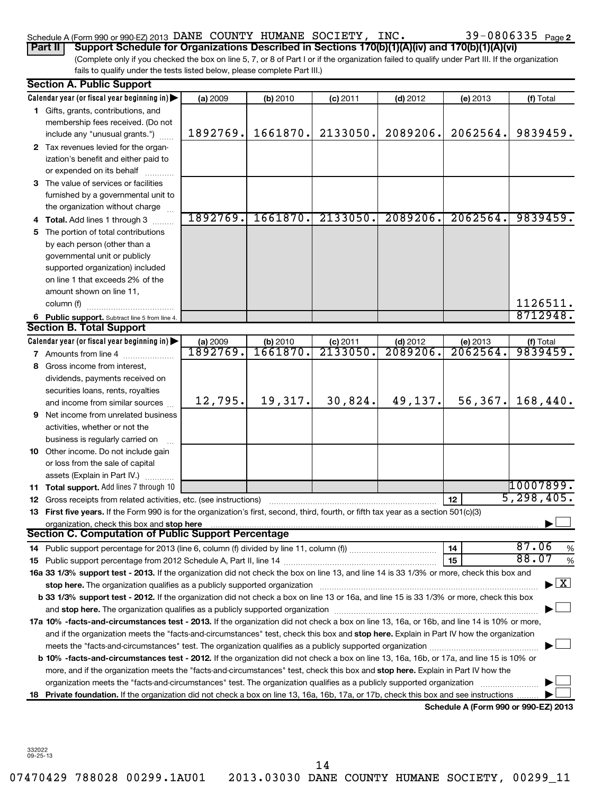## Schedule A (Form 990 or 990-EZ) 2013 DANE COUNTY HUMANE SOCIETY, INC.  $39-0806335$   $_{\rm Page}$

39-0806335 Page 2

(Complete only if you checked the box on line 5, 7, or 8 of Part I or if the organization failed to qualify under Part III. If the organization fails to qualify under the tests listed below, please complete Part III.) **Part II Support Schedule for Organizations Described in Sections 170(b)(1)(A)(iv) and 170(b)(1)(A)(vi)**

|    | <b>Section A. Public Support</b>                                                                                                                                                                                               |          |          |                     |                              |                                      |                                    |
|----|--------------------------------------------------------------------------------------------------------------------------------------------------------------------------------------------------------------------------------|----------|----------|---------------------|------------------------------|--------------------------------------|------------------------------------|
|    | Calendar year (or fiscal year beginning in)                                                                                                                                                                                    | (a) 2009 | (b) 2010 | $(c)$ 2011          | $(d)$ 2012                   | (e) 2013                             | (f) Total                          |
|    | 1 Gifts, grants, contributions, and                                                                                                                                                                                            |          |          |                     |                              |                                      |                                    |
|    | membership fees received. (Do not                                                                                                                                                                                              |          |          |                     |                              |                                      |                                    |
|    | include any "unusual grants.")                                                                                                                                                                                                 | 1892769. | 1661870. | 2133050.            | 2089206.                     | 2062564.                             | 9839459.                           |
|    | 2 Tax revenues levied for the organ-                                                                                                                                                                                           |          |          |                     |                              |                                      |                                    |
|    | ization's benefit and either paid to                                                                                                                                                                                           |          |          |                     |                              |                                      |                                    |
|    | or expended on its behalf                                                                                                                                                                                                      |          |          |                     |                              |                                      |                                    |
|    | 3 The value of services or facilities                                                                                                                                                                                          |          |          |                     |                              |                                      |                                    |
|    | furnished by a governmental unit to                                                                                                                                                                                            |          |          |                     |                              |                                      |                                    |
|    | the organization without charge                                                                                                                                                                                                |          |          |                     |                              |                                      |                                    |
|    | Total. Add lines 1 through 3                                                                                                                                                                                                   | 1892769. | 1661870. | 2133050.            | 2089206.                     | 2062564.                             | 9839459.                           |
| 5. | The portion of total contributions                                                                                                                                                                                             |          |          |                     |                              |                                      |                                    |
|    | by each person (other than a                                                                                                                                                                                                   |          |          |                     |                              |                                      |                                    |
|    | governmental unit or publicly                                                                                                                                                                                                  |          |          |                     |                              |                                      |                                    |
|    | supported organization) included                                                                                                                                                                                               |          |          |                     |                              |                                      |                                    |
|    | on line 1 that exceeds 2% of the                                                                                                                                                                                               |          |          |                     |                              |                                      |                                    |
|    | amount shown on line 11,                                                                                                                                                                                                       |          |          |                     |                              |                                      |                                    |
|    | column (f)                                                                                                                                                                                                                     |          |          |                     |                              |                                      | 1126511.                           |
|    | 6 Public support. Subtract line 5 from line 4.                                                                                                                                                                                 |          |          |                     |                              |                                      | 8712948                            |
|    | <b>Section B. Total Support</b>                                                                                                                                                                                                |          |          |                     |                              |                                      |                                    |
|    | Calendar year (or fiscal year beginning in)                                                                                                                                                                                    | (a) 2009 | (b) 2010 | $\frac{c}{2133050}$ | $\frac{$ (d) 2012<br>2089206 | (e) 2013                             | $(f)$ Total 9839459.               |
|    | 7 Amounts from line 4                                                                                                                                                                                                          | 1892769. | 1661870. |                     |                              | 2062564.                             |                                    |
| 8  | Gross income from interest,                                                                                                                                                                                                    |          |          |                     |                              |                                      |                                    |
|    | dividends, payments received on                                                                                                                                                                                                |          |          |                     |                              |                                      |                                    |
|    | securities loans, rents, royalties                                                                                                                                                                                             |          |          |                     |                              |                                      |                                    |
|    | and income from similar sources                                                                                                                                                                                                | 12,795.  | 19,317.  | 30,824.             | 49,137.                      | 56,367.                              | 168,440.                           |
| 9  | Net income from unrelated business                                                                                                                                                                                             |          |          |                     |                              |                                      |                                    |
|    | activities, whether or not the                                                                                                                                                                                                 |          |          |                     |                              |                                      |                                    |
|    | business is regularly carried on                                                                                                                                                                                               |          |          |                     |                              |                                      |                                    |
|    | 10 Other income. Do not include gain                                                                                                                                                                                           |          |          |                     |                              |                                      |                                    |
|    | or loss from the sale of capital                                                                                                                                                                                               |          |          |                     |                              |                                      |                                    |
|    | assets (Explain in Part IV.)                                                                                                                                                                                                   |          |          |                     |                              |                                      |                                    |
| 11 | Total support. Add lines 7 through 10                                                                                                                                                                                          |          |          |                     |                              |                                      | 10007899.                          |
|    | 12 Gross receipts from related activities, etc. (see instructions)                                                                                                                                                             |          |          |                     |                              | 12                                   | 5, 298, 405.                       |
|    | 13 First five years. If the Form 990 is for the organization's first, second, third, fourth, or fifth tax year as a section 501(c)(3)                                                                                          |          |          |                     |                              |                                      |                                    |
|    | organization, check this box and stop here<br>Section C. Computation of Public Support Percentage                                                                                                                              |          |          |                     |                              |                                      |                                    |
|    |                                                                                                                                                                                                                                |          |          |                     |                              | 14                                   | 87.06                              |
|    | 14 Public support percentage for 2013 (line 6, column (f) divided by line 11, column (f) <i>marroummaname</i>                                                                                                                  |          |          |                     |                              | 15                                   | %<br>88.07<br>%                    |
|    | 16a 33 1/3% support test - 2013. If the organization did not check the box on line 13, and line 14 is 33 1/3% or more, check this box and                                                                                      |          |          |                     |                              |                                      |                                    |
|    | stop here. The organization qualifies as a publicly supported organization manufactured content and the content of the state of the state of the state of the state of the state of the state of the state of the state of the |          |          |                     |                              |                                      | $\blacktriangleright$ $\mathbf{X}$ |
|    | b 33 1/3% support test - 2012. If the organization did not check a box on line 13 or 16a, and line 15 is 33 1/3% or more, check this box                                                                                       |          |          |                     |                              |                                      |                                    |
|    |                                                                                                                                                                                                                                |          |          |                     |                              |                                      |                                    |
|    | 17a 10% -facts-and-circumstances test - 2013. If the organization did not check a box on line 13, 16a, or 16b, and line 14 is 10% or more,                                                                                     |          |          |                     |                              |                                      |                                    |
|    | and if the organization meets the "facts-and-circumstances" test, check this box and stop here. Explain in Part IV how the organization                                                                                        |          |          |                     |                              |                                      |                                    |
|    | meets the "facts-and-circumstances" test. The organization qualifies as a publicly supported organization manument                                                                                                             |          |          |                     |                              |                                      |                                    |
|    | b 10% -facts-and-circumstances test - 2012. If the organization did not check a box on line 13, 16a, 16b, or 17a, and line 15 is 10% or                                                                                        |          |          |                     |                              |                                      |                                    |
|    | more, and if the organization meets the "facts-and-circumstances" test, check this box and stop here. Explain in Part IV how the                                                                                               |          |          |                     |                              |                                      |                                    |
|    | organization meets the "facts-and-circumstances" test. The organization qualifies as a publicly supported organization                                                                                                         |          |          |                     |                              |                                      |                                    |
| 18 | Private foundation. If the organization did not check a box on line 13, 16a, 16b, 17a, or 17b, check this box and see instructions                                                                                             |          |          |                     |                              |                                      |                                    |
|    |                                                                                                                                                                                                                                |          |          |                     |                              | Schedule A (Form 990 or 990-EZ) 2013 |                                    |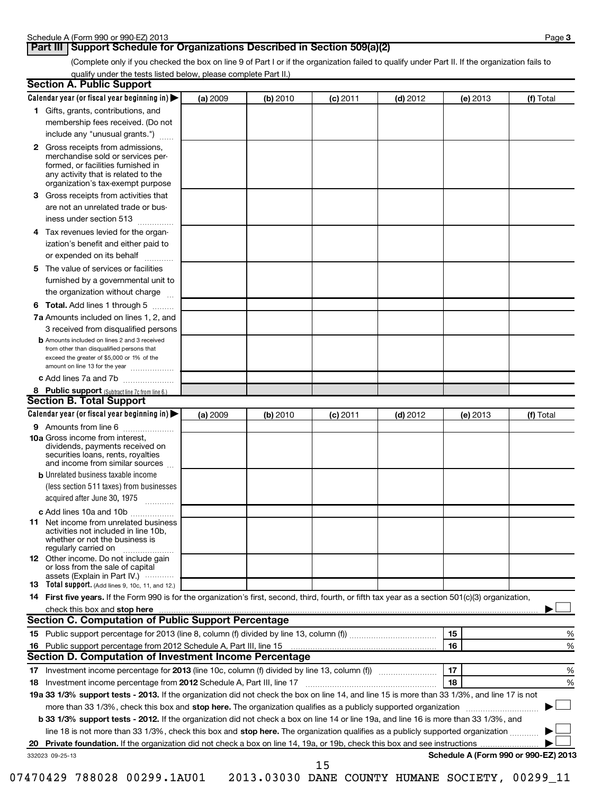## **Part III** Support Schedule for Organizations Described in Section 509(a)(2)

(Complete only if you checked the box on line 9 of Part I or if the organization failed to qualify under Part II. If the organization fails to qualify under the tests listed below, please complete Part II.)

|    | <b>Section A. Public Support</b>                                                                                                                                                                |          |          |            |            |                                      |           |
|----|-------------------------------------------------------------------------------------------------------------------------------------------------------------------------------------------------|----------|----------|------------|------------|--------------------------------------|-----------|
|    | Calendar year (or fiscal year beginning in)                                                                                                                                                     | (a) 2009 | (b) 2010 | (c) 2011   | $(d)$ 2012 | (e) 2013                             | (f) Total |
|    | 1 Gifts, grants, contributions, and                                                                                                                                                             |          |          |            |            |                                      |           |
|    | membership fees received. (Do not                                                                                                                                                               |          |          |            |            |                                      |           |
|    | include any "unusual grants.")                                                                                                                                                                  |          |          |            |            |                                      |           |
|    | <b>2</b> Gross receipts from admissions,<br>merchandise sold or services per-<br>formed, or facilities furnished in<br>any activity that is related to the<br>organization's tax-exempt purpose |          |          |            |            |                                      |           |
|    | 3 Gross receipts from activities that                                                                                                                                                           |          |          |            |            |                                      |           |
|    | are not an unrelated trade or bus-                                                                                                                                                              |          |          |            |            |                                      |           |
|    | iness under section 513                                                                                                                                                                         |          |          |            |            |                                      |           |
| 4  | Tax revenues levied for the organ-                                                                                                                                                              |          |          |            |            |                                      |           |
|    | ization's benefit and either paid to<br>or expended on its behalf                                                                                                                               |          |          |            |            |                                      |           |
|    | 5 The value of services or facilities                                                                                                                                                           |          |          |            |            |                                      |           |
|    | furnished by a governmental unit to                                                                                                                                                             |          |          |            |            |                                      |           |
|    | the organization without charge                                                                                                                                                                 |          |          |            |            |                                      |           |
|    | <b>6 Total.</b> Add lines 1 through 5                                                                                                                                                           |          |          |            |            |                                      |           |
|    | 7a Amounts included on lines 1, 2, and                                                                                                                                                          |          |          |            |            |                                      |           |
|    | 3 received from disqualified persons                                                                                                                                                            |          |          |            |            |                                      |           |
|    | <b>b</b> Amounts included on lines 2 and 3 received<br>from other than disqualified persons that<br>exceed the greater of \$5,000 or 1% of the                                                  |          |          |            |            |                                      |           |
|    | amount on line 13 for the year<br>c Add lines 7a and 7b                                                                                                                                         |          |          |            |            |                                      |           |
|    |                                                                                                                                                                                                 |          |          |            |            |                                      |           |
|    | 8 Public support (Subtract line 7c from line 6.)<br><b>Section B. Total Support</b>                                                                                                             |          |          |            |            |                                      |           |
|    | Calendar year (or fiscal year beginning in)                                                                                                                                                     | (a) 2009 | (b) 2010 | $(c)$ 2011 | $(d)$ 2012 | (e) 2013                             | (f) Total |
|    | 9 Amounts from line 6                                                                                                                                                                           |          |          |            |            |                                      |           |
|    | <b>10a</b> Gross income from interest,<br>dividends, payments received on<br>securities loans, rents, royalties<br>and income from similar sources                                              |          |          |            |            |                                      |           |
|    | <b>b</b> Unrelated business taxable income                                                                                                                                                      |          |          |            |            |                                      |           |
|    | (less section 511 taxes) from businesses                                                                                                                                                        |          |          |            |            |                                      |           |
|    | acquired after June 30, 1975<br>$\overline{\phantom{a}}$                                                                                                                                        |          |          |            |            |                                      |           |
|    | c Add lines 10a and 10b                                                                                                                                                                         |          |          |            |            |                                      |           |
|    | <b>11</b> Net income from unrelated business<br>activities not included in line 10b,<br>whether or not the business is<br>regularly carried on                                                  |          |          |            |            |                                      |           |
|    | 12 Other income. Do not include gain<br>or loss from the sale of capital<br>assets (Explain in Part IV.)                                                                                        |          |          |            |            |                                      |           |
|    | <b>13</b> Total support. (Add lines 9, 10c, 11, and 12.)                                                                                                                                        |          |          |            |            |                                      |           |
|    | 14 First five years. If the Form 990 is for the organization's first, second, third, fourth, or fifth tax year as a section 501(c)(3) organization,                                             |          |          |            |            |                                      |           |
|    | check this box and stop here www.communications.com/multiple/example.org/communications.com/multiple/example.org/                                                                               |          |          |            |            |                                      |           |
|    | <b>Section C. Computation of Public Support Percentage</b>                                                                                                                                      |          |          |            |            |                                      |           |
|    |                                                                                                                                                                                                 |          |          |            |            | 15                                   | %         |
|    |                                                                                                                                                                                                 |          |          |            |            | 16                                   | %         |
|    | Section D. Computation of Investment Income Percentage                                                                                                                                          |          |          |            |            |                                      |           |
|    |                                                                                                                                                                                                 |          |          |            |            | 17                                   | %         |
|    | 18 Investment income percentage from 2012 Schedule A, Part III, line 17                                                                                                                         |          |          |            |            | 18                                   | %         |
|    | 19a 33 1/3% support tests - 2013. If the organization did not check the box on line 14, and line 15 is more than 33 1/3%, and line 17 is not                                                    |          |          |            |            |                                      |           |
|    | more than 33 1/3%, check this box and stop here. The organization qualifies as a publicly supported organization                                                                                |          |          |            |            |                                      |           |
|    | b 33 1/3% support tests - 2012. If the organization did not check a box on line 14 or line 19a, and line 16 is more than 33 1/3%, and                                                           |          |          |            |            |                                      |           |
|    | line 18 is not more than 33 1/3%, check this box and stop here. The organization qualifies as a publicly supported organization                                                                 |          |          |            |            |                                      |           |
| 20 |                                                                                                                                                                                                 |          |          |            |            |                                      |           |
|    | 332023 09-25-13                                                                                                                                                                                 |          |          | 1 E        |            | Schedule A (Form 990 or 990-EZ) 2013 |           |

07470429 788028 00299.1AU01 2013.03030 DANE COUNTY HUMANE SOCIETY, 00299\_11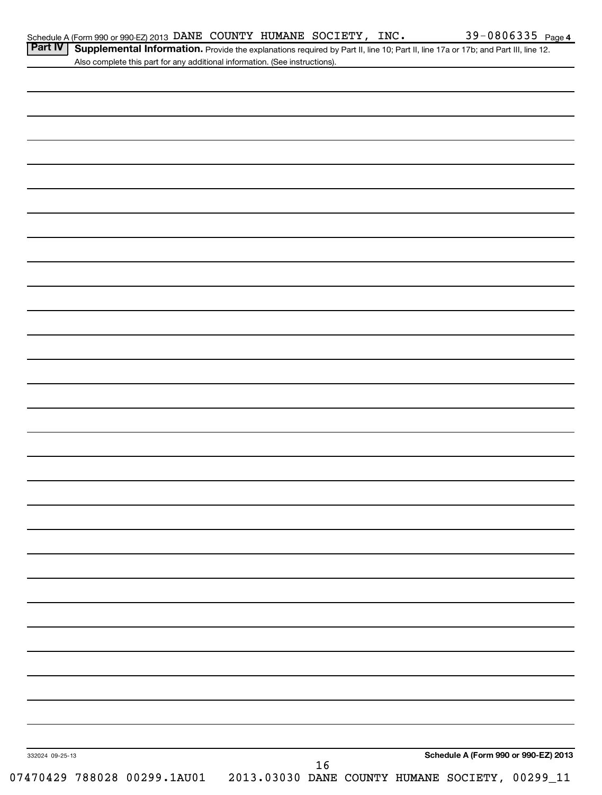| Schedule A (Form 990 or 990-EZ) 2013 DANE COUNTY HUMANE SOCIETY, |  |  |  | INC. | $39 - 0806335$<br>Page 4 |
|------------------------------------------------------------------|--|--|--|------|--------------------------|
|------------------------------------------------------------------|--|--|--|------|--------------------------|

Part IV | Supplemental Information. Provide the explanations required by Part II, line 10; Part II, line 17a or 17b; and Part III, line 12. Also complete this part for any additional information. (See instructions).

| 332024 09-25-13 | 16<br>11_07470429 788028 00299.1AU01 2013.03030 DANE COUNTY HUMANE SOCIETY, 00299_11 |  |  |  | Schedule A (Form 990 or 990-EZ) 2013 |  |
|-----------------|--------------------------------------------------------------------------------------|--|--|--|--------------------------------------|--|
|                 |                                                                                      |  |  |  |                                      |  |
|                 |                                                                                      |  |  |  |                                      |  |
|                 |                                                                                      |  |  |  |                                      |  |
|                 |                                                                                      |  |  |  |                                      |  |
|                 |                                                                                      |  |  |  |                                      |  |
|                 |                                                                                      |  |  |  |                                      |  |
|                 |                                                                                      |  |  |  |                                      |  |
|                 |                                                                                      |  |  |  |                                      |  |
|                 |                                                                                      |  |  |  |                                      |  |
|                 |                                                                                      |  |  |  |                                      |  |
|                 |                                                                                      |  |  |  |                                      |  |
|                 |                                                                                      |  |  |  |                                      |  |
|                 |                                                                                      |  |  |  |                                      |  |
|                 |                                                                                      |  |  |  |                                      |  |
|                 |                                                                                      |  |  |  |                                      |  |
|                 |                                                                                      |  |  |  |                                      |  |
|                 |                                                                                      |  |  |  |                                      |  |
|                 |                                                                                      |  |  |  |                                      |  |
|                 |                                                                                      |  |  |  |                                      |  |
|                 |                                                                                      |  |  |  |                                      |  |
|                 |                                                                                      |  |  |  |                                      |  |
|                 |                                                                                      |  |  |  |                                      |  |
|                 |                                                                                      |  |  |  |                                      |  |
|                 |                                                                                      |  |  |  |                                      |  |
|                 |                                                                                      |  |  |  |                                      |  |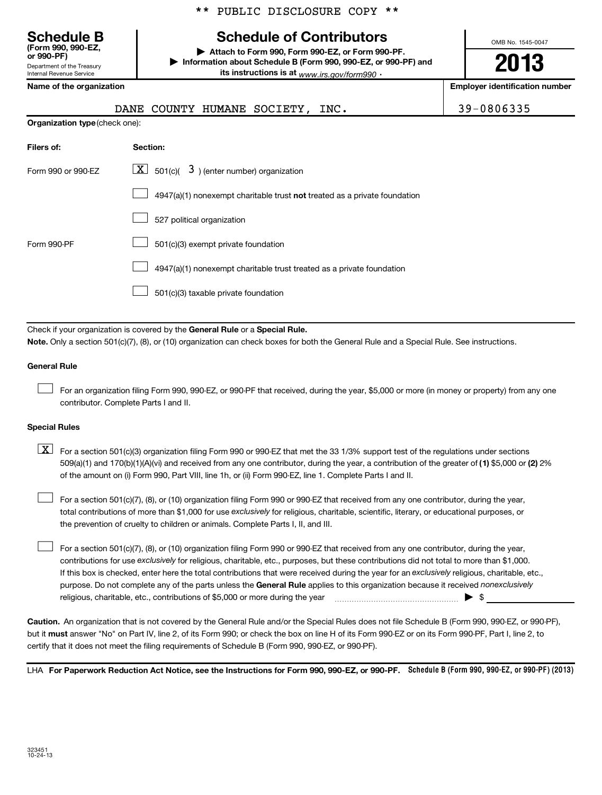|  |  | ** PUBLIC DISCLOSURE COPY ** |  |  |
|--|--|------------------------------|--|--|
|--|--|------------------------------|--|--|

# **Schedule B Schedule of Contributors**

**or 990-PF) | Attach to Form 990, Form 990-EZ, or Form 990-PF. | Information about Schedule B (Form 990, 990-EZ, or 990-PF) and its instructions is at** www.irs.gov/form990  $\cdot$ 

OMB No. 1545-0047

# **2013**

| Name of the organization |  |  |
|--------------------------|--|--|
|                          |  |  |

Department of the Treasury Internal Revenue Service

**(Form 990, 990-EZ,**

| Name of the organization       |                                                                             | <b>Employer identification number</b> |
|--------------------------------|-----------------------------------------------------------------------------|---------------------------------------|
|                                | DANE COUNTY HUMANE SOCIETY, INC.                                            | 39-0806335                            |
| Organization type (check one): |                                                                             |                                       |
| Filers of:                     | Section:                                                                    |                                       |
| Form 990 or 990-EZ             | $\lfloor \underline{X} \rfloor$ 501(c)( 3) (enter number) organization      |                                       |
|                                | $4947(a)(1)$ nonexempt charitable trust not treated as a private foundation |                                       |
|                                | 527 political organization                                                  |                                       |
| Form 990-PF                    | 501(c)(3) exempt private foundation                                         |                                       |
|                                | 4947(a)(1) nonexempt charitable trust treated as a private foundation       |                                       |
|                                | 501(c)(3) taxable private foundation                                        |                                       |

Check if your organization is covered by the General Rule or a Special Rule. **Note.**  Only a section 501(c)(7), (8), or (10) organization can check boxes for both the General Rule and a Special Rule. See instructions.

## **General Rule**

For an organization filing Form 990, 990-EZ, or 990-PF that received, during the year, \$5,000 or more (in money or property) from any one contributor. Complete Parts I and II.  $\left\vert \cdot\right\vert$ 

## **Special Rules**

509(a)(1) and 170(b)(1)(A)(vi) and received from any one contributor, during the year, a contribution of the greater of (1**)** \$5,000 or (**2**) 2%  $\boxed{\textbf{X}}$  For a section 501(c)(3) organization filing Form 990 or 990-EZ that met the 33 1/3% support test of the regulations under sections of the amount on (i) Form 990, Part VIII, line 1h, or (ii) Form 990-EZ, line 1. Complete Parts I and II.

total contributions of more than \$1,000 for use exclusively for religious, charitable, scientific, literary, or educational purposes, or For a section 501(c)(7), (8), or (10) organization filing Form 990 or 990-EZ that received from any one contributor, during the year, the prevention of cruelty to children or animals. Complete Parts I, II, and III.  $\left\vert \cdot\right\vert$ 

purpose. Do not complete any of the parts unless the General Rule applies to this organization because it received nonexclusively contributions for use exclusively for religious, charitable, etc., purposes, but these contributions did not total to more than \$1,000. If this box is checked, enter here the total contributions that were received during the year for an exclusively religious, charitable, etc., For a section 501(c)(7), (8), or (10) organization filing Form 990 or 990-EZ that received from any one contributor, during the year, religious, charitable, etc., contributions of \$5,000 or more during the year  $\Box$   $\Box$   $\Box$   $\Box$  $\left\vert \cdot\right\vert$ 

**Caution.** An organization that is not covered by the General Rule and/or the Special Rules does not file Schedule B (Form 990, 990-EZ, or 990-PF),  **must** but it answer "No" on Part IV, line 2, of its Form 990; or check the box on line H of its Form 990-EZ or on its Form 990-PF, Part I, line 2, to certify that it does not meet the filing requirements of Schedule B (Form 990, 990-EZ, or 990-PF).

LHA For Paperwork Reduction Act Notice, see the Instructions for Form 990, 990-EZ, or 990-PF. Schedule B (Form 990, 990-EZ, or 990-PF) (2013)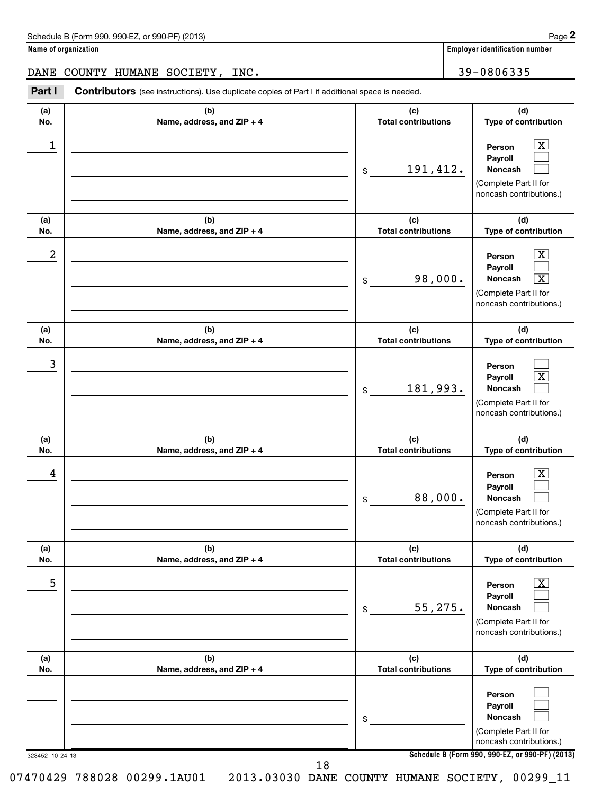| Schedule B (Form 990, 990-EZ, or 990-PF) (2013) | Page |
|-------------------------------------------------|------|
|-------------------------------------------------|------|

**2**

**Name of organization Employer identification number**

DANE COUNTY HUMANE SOCIETY, INC.  $\vert$  39-0806335

323452 10-24-13 **Schedule B (Form 990, 990-EZ, or 990-PF) (2013) (a) No. (b) Name, address, and ZIP + 4 (c) Total contributions (d) Type of contribution Person Payroll Noncash (a) No. (b) Name, address, and ZIP + 4 (c) Total contributions (d) Type of contribution Person Payroll Noncash (a) No. (b) Name, address, and ZIP + 4 (c) Total contributions (d) Type of contribution Person Payroll Noncash (a) No. (b) Name, address, and ZIP + 4 (c) Total contributions (d) Type of contribution Person Payroll Noncash (a) No. (b) Name, address, and ZIP + 4 (c) Total contributions (d) Type of contribution Person Payroll Noncash (a) No. (b) Name, address, and ZIP + 4 (c) Total contributions (d) Type of contribution Person Payroll Noncash** Part I Contributors (see instructions). Use duplicate copies of Part I if additional space is needed. \$ (Complete Part II for noncash contributions.) \$ (Complete Part II for noncash contributions.) \$ (Complete Part II for noncash contributions.) \$ (Complete Part II for noncash contributions.) \$ (Complete Part II for noncash contributions.) \$ (Complete Part II for noncash contributions.)  $\overline{X}$  $\Box$  $\Box$  $\boxed{\text{X}}$  $\Box$  $\overline{\mathbf{x}}$  $\Box$  $\lfloor x \rfloor$  $\Box$  $\overline{X}$  $\Box$  $\Box$  $\lfloor x \rfloor$  $\Box$  $\Box$  $\Box$  $\Box$  $\Box$ 1 X 191,412.  $2$  Person  $\overline{\text{X}}$ 98,000. X 3 181,993.  $\begin{array}{|c|c|c|c|c|}\hline \text{4} & \text{Person} & \text{X} \ \hline \end{array}$ 88,000. 5 X 55,275.

18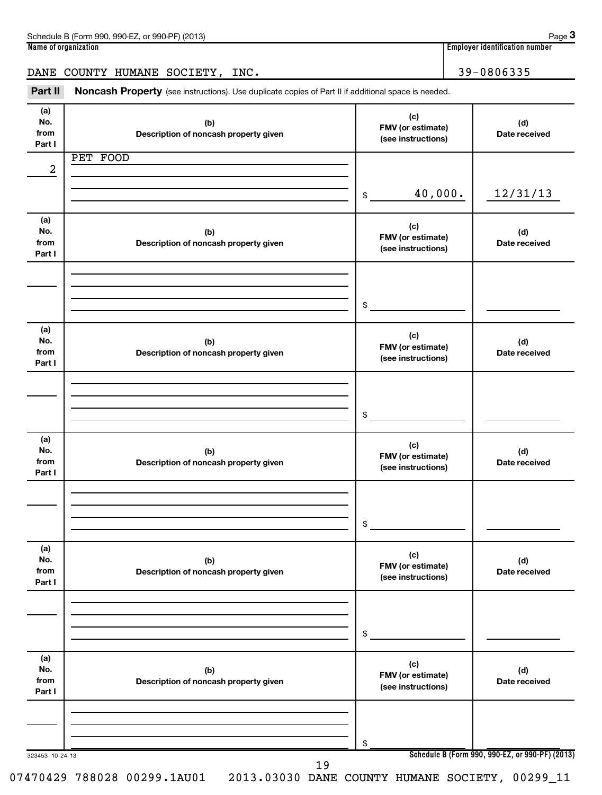| 990-EZ<br>Schedule B (Form 990,<br>(2013)<br>or 990-PF) | Page                                 |
|---------------------------------------------------------|--------------------------------------|
| Name of organization                                    | <br>. Emplover identification number |

|--|--|

## DANE COUNTY HUMANE SOCIETY, INC. 39-0806335

Part II Noncash Property (see instructions). Use duplicate copies of Part II if additional space is needed.

| (a)<br>No.<br>from<br>Part I | (b)<br>Description of noncash property given | (c)<br>FMV (or estimate)<br>(see instructions) | (d)<br>Date received                            |
|------------------------------|----------------------------------------------|------------------------------------------------|-------------------------------------------------|
|                              | PET FOOD                                     |                                                |                                                 |
| $\overline{a}$               |                                              |                                                |                                                 |
|                              |                                              | 40,000.<br>$\frac{1}{2}$                       | 12/31/13                                        |
|                              |                                              |                                                |                                                 |
| (a)                          |                                              | (c)                                            |                                                 |
| No.<br>from                  | (b)<br>Description of noncash property given | FMV (or estimate)                              | (d)<br>Date received                            |
| Part I                       |                                              | (see instructions)                             |                                                 |
|                              |                                              |                                                |                                                 |
|                              |                                              |                                                |                                                 |
|                              |                                              | \$                                             |                                                 |
|                              |                                              |                                                |                                                 |
| (a)<br>No.                   |                                              | (c)                                            |                                                 |
| from                         | (b)<br>Description of noncash property given | FMV (or estimate)                              | (d)<br>Date received                            |
| Part I                       |                                              | (see instructions)                             |                                                 |
|                              |                                              |                                                |                                                 |
|                              |                                              |                                                |                                                 |
|                              |                                              | $\frac{1}{2}$                                  |                                                 |
|                              |                                              |                                                |                                                 |
| (a)<br>No.                   | (b)                                          | (c)                                            | (d)                                             |
| from                         | Description of noncash property given        | FMV (or estimate)<br>(see instructions)        | Date received                                   |
| Part I                       |                                              |                                                |                                                 |
|                              |                                              |                                                |                                                 |
|                              |                                              |                                                |                                                 |
|                              |                                              | \$                                             |                                                 |
| (a)                          |                                              |                                                |                                                 |
| No.                          | (b)                                          | (c)<br>FMV (or estimate)                       | (d)                                             |
| from<br>Part I               | Description of noncash property given        | (see instructions)                             | Date received                                   |
|                              |                                              |                                                |                                                 |
|                              |                                              |                                                |                                                 |
|                              |                                              |                                                |                                                 |
|                              |                                              | \$                                             |                                                 |
| (a)                          |                                              |                                                |                                                 |
| No.                          | (b)                                          | (c)<br>FMV (or estimate)                       | (d)                                             |
| from<br>Part I               | Description of noncash property given        | (see instructions)                             | Date received                                   |
|                              |                                              |                                                |                                                 |
|                              |                                              |                                                |                                                 |
|                              |                                              |                                                |                                                 |
| 323453 10-24-13              |                                              | \$                                             | Schedule B (Form 990, 990-EZ, or 990-PF) (2013) |
|                              | 19                                           |                                                |                                                 |

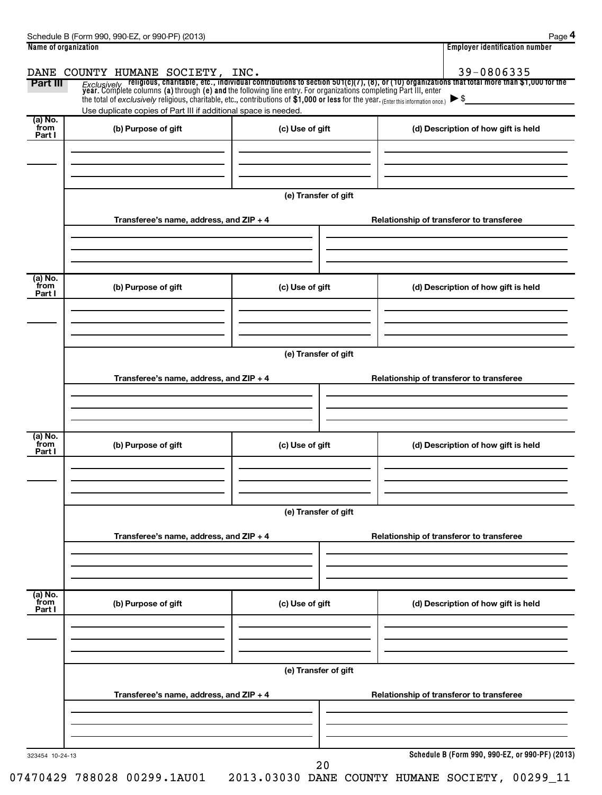| Name of organization |                                                                                                                                     |                      | <b>Employer identification number</b> |                                                                                                                                                                                                                                    |  |  |  |  |  |  |  |
|----------------------|-------------------------------------------------------------------------------------------------------------------------------------|----------------------|---------------------------------------|------------------------------------------------------------------------------------------------------------------------------------------------------------------------------------------------------------------------------------|--|--|--|--|--|--|--|
|                      | DANE COUNTY HUMANE SOCIETY, INC.                                                                                                    |                      |                                       | 39-0806335                                                                                                                                                                                                                         |  |  |  |  |  |  |  |
| <b>Part III</b>      |                                                                                                                                     |                      |                                       | Exclusively religious, charitable, etc., individual contributions to section 501(c)(7), (8), or (10) organizations that total more than \$1,000 for the<br>year. Complete columns (a) through (e) and the following line entry. Fo |  |  |  |  |  |  |  |
|                      | the total of exclusively religious, charitable, etc., contributions of \$1,000 or less for the year. (Enter this information once.) |                      |                                       | $\blacktriangleright$ \$                                                                                                                                                                                                           |  |  |  |  |  |  |  |
| (a) No.              | Use duplicate copies of Part III if additional space is needed.                                                                     |                      |                                       |                                                                                                                                                                                                                                    |  |  |  |  |  |  |  |
| from                 | (b) Purpose of gift                                                                                                                 | (c) Use of gift      |                                       | (d) Description of how gift is held                                                                                                                                                                                                |  |  |  |  |  |  |  |
| Part I               |                                                                                                                                     |                      |                                       |                                                                                                                                                                                                                                    |  |  |  |  |  |  |  |
|                      |                                                                                                                                     |                      |                                       |                                                                                                                                                                                                                                    |  |  |  |  |  |  |  |
|                      |                                                                                                                                     |                      |                                       |                                                                                                                                                                                                                                    |  |  |  |  |  |  |  |
|                      |                                                                                                                                     |                      |                                       |                                                                                                                                                                                                                                    |  |  |  |  |  |  |  |
|                      |                                                                                                                                     | (e) Transfer of gift |                                       |                                                                                                                                                                                                                                    |  |  |  |  |  |  |  |
|                      | Transferee's name, address, and ZIP + 4                                                                                             |                      |                                       |                                                                                                                                                                                                                                    |  |  |  |  |  |  |  |
|                      |                                                                                                                                     |                      |                                       | Relationship of transferor to transferee                                                                                                                                                                                           |  |  |  |  |  |  |  |
|                      |                                                                                                                                     |                      |                                       |                                                                                                                                                                                                                                    |  |  |  |  |  |  |  |
|                      |                                                                                                                                     |                      |                                       |                                                                                                                                                                                                                                    |  |  |  |  |  |  |  |
| (a) No.              |                                                                                                                                     |                      |                                       |                                                                                                                                                                                                                                    |  |  |  |  |  |  |  |
| from                 | (b) Purpose of gift                                                                                                                 | (c) Use of gift      |                                       | (d) Description of how gift is held                                                                                                                                                                                                |  |  |  |  |  |  |  |
| Part I               |                                                                                                                                     |                      |                                       |                                                                                                                                                                                                                                    |  |  |  |  |  |  |  |
|                      |                                                                                                                                     |                      |                                       |                                                                                                                                                                                                                                    |  |  |  |  |  |  |  |
|                      |                                                                                                                                     |                      |                                       |                                                                                                                                                                                                                                    |  |  |  |  |  |  |  |
|                      |                                                                                                                                     |                      |                                       |                                                                                                                                                                                                                                    |  |  |  |  |  |  |  |
|                      |                                                                                                                                     | (e) Transfer of gift |                                       |                                                                                                                                                                                                                                    |  |  |  |  |  |  |  |
|                      | Transferee's name, address, and ZIP + 4                                                                                             |                      |                                       | Relationship of transferor to transferee                                                                                                                                                                                           |  |  |  |  |  |  |  |
|                      |                                                                                                                                     |                      |                                       |                                                                                                                                                                                                                                    |  |  |  |  |  |  |  |
|                      |                                                                                                                                     |                      |                                       |                                                                                                                                                                                                                                    |  |  |  |  |  |  |  |
|                      |                                                                                                                                     |                      |                                       |                                                                                                                                                                                                                                    |  |  |  |  |  |  |  |
| (a) No.              |                                                                                                                                     |                      |                                       |                                                                                                                                                                                                                                    |  |  |  |  |  |  |  |
| from<br>Part I       | (b) Purpose of gift                                                                                                                 | (c) Use of gift      |                                       | (d) Description of how gift is held                                                                                                                                                                                                |  |  |  |  |  |  |  |
|                      |                                                                                                                                     |                      |                                       |                                                                                                                                                                                                                                    |  |  |  |  |  |  |  |
|                      |                                                                                                                                     |                      |                                       |                                                                                                                                                                                                                                    |  |  |  |  |  |  |  |
|                      |                                                                                                                                     |                      |                                       |                                                                                                                                                                                                                                    |  |  |  |  |  |  |  |
|                      |                                                                                                                                     |                      |                                       |                                                                                                                                                                                                                                    |  |  |  |  |  |  |  |
|                      | (e) Transfer of gift                                                                                                                |                      |                                       |                                                                                                                                                                                                                                    |  |  |  |  |  |  |  |
|                      | Transferee's name, address, and ZIP + 4                                                                                             |                      |                                       | Relationship of transferor to transferee                                                                                                                                                                                           |  |  |  |  |  |  |  |
|                      |                                                                                                                                     |                      |                                       |                                                                                                                                                                                                                                    |  |  |  |  |  |  |  |
|                      |                                                                                                                                     |                      |                                       |                                                                                                                                                                                                                                    |  |  |  |  |  |  |  |
|                      |                                                                                                                                     |                      |                                       |                                                                                                                                                                                                                                    |  |  |  |  |  |  |  |
| (a) No.              |                                                                                                                                     |                      |                                       |                                                                                                                                                                                                                                    |  |  |  |  |  |  |  |
| from<br>Part I       | (b) Purpose of gift                                                                                                                 | (c) Use of gift      |                                       | (d) Description of how gift is held                                                                                                                                                                                                |  |  |  |  |  |  |  |
|                      |                                                                                                                                     |                      |                                       |                                                                                                                                                                                                                                    |  |  |  |  |  |  |  |
|                      |                                                                                                                                     |                      |                                       |                                                                                                                                                                                                                                    |  |  |  |  |  |  |  |
|                      |                                                                                                                                     |                      |                                       |                                                                                                                                                                                                                                    |  |  |  |  |  |  |  |
|                      |                                                                                                                                     | (e) Transfer of gift |                                       |                                                                                                                                                                                                                                    |  |  |  |  |  |  |  |
|                      |                                                                                                                                     |                      |                                       |                                                                                                                                                                                                                                    |  |  |  |  |  |  |  |
|                      | Transferee's name, address, and ZIP + 4                                                                                             |                      |                                       | Relationship of transferor to transferee                                                                                                                                                                                           |  |  |  |  |  |  |  |
|                      |                                                                                                                                     |                      |                                       |                                                                                                                                                                                                                                    |  |  |  |  |  |  |  |
|                      |                                                                                                                                     |                      |                                       |                                                                                                                                                                                                                                    |  |  |  |  |  |  |  |
|                      |                                                                                                                                     |                      |                                       |                                                                                                                                                                                                                                    |  |  |  |  |  |  |  |
| 323454 10-24-13      |                                                                                                                                     |                      |                                       | Schedule B (Form 990, 990-EZ, or 990-PF) (2013)                                                                                                                                                                                    |  |  |  |  |  |  |  |
|                      |                                                                                                                                     |                      |                                       |                                                                                                                                                                                                                                    |  |  |  |  |  |  |  |

20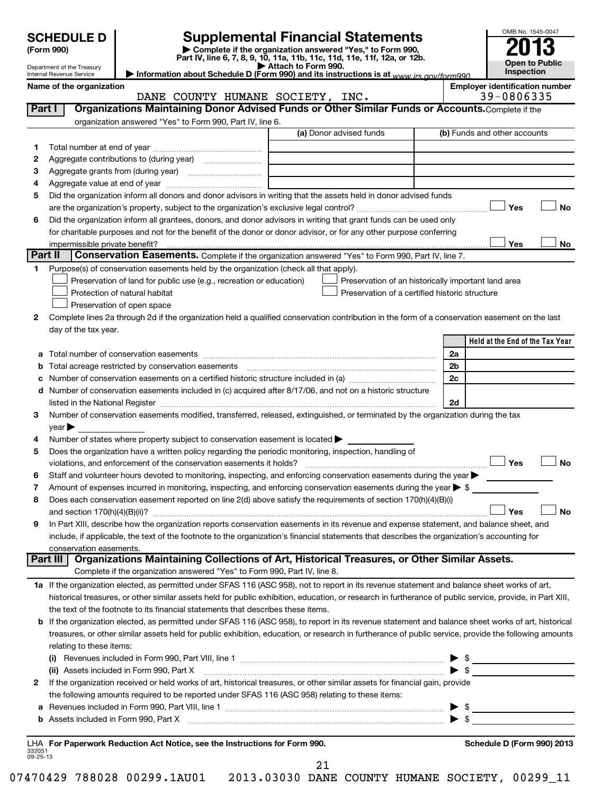|         | <b>SCHEDULE D</b><br>(Form 990)  |                                                                                                                                                                                                                               | <b>Supplemental Financial Statements</b><br>Complete if the organization answered "Yes," to Form 990,<br>Part IV, line 6, 7, 8, 9, 10, 11a, 11b, 11c, 11d, 11e, 11f, 12a, or 12b.                                             |                |                                       | OMB No. 1545-0047            |
|---------|----------------------------------|-------------------------------------------------------------------------------------------------------------------------------------------------------------------------------------------------------------------------------|-------------------------------------------------------------------------------------------------------------------------------------------------------------------------------------------------------------------------------|----------------|---------------------------------------|------------------------------|
|         | Department of the Treasury       |                                                                                                                                                                                                                               | Attach to Form 990.                                                                                                                                                                                                           |                |                                       | Open to Public<br>Inspection |
|         | Internal Revenue Service         |                                                                                                                                                                                                                               | Information about Schedule D (Form 990) and its instructions is at www irs gov/form990                                                                                                                                        |                | <b>Employer identification number</b> |                              |
|         | Name of the organization         | DANE COUNTY HUMANE SOCIETY, INC.                                                                                                                                                                                              |                                                                                                                                                                                                                               |                | 39-0806335                            |                              |
| Part I  |                                  |                                                                                                                                                                                                                               | Organizations Maintaining Donor Advised Funds or Other Similar Funds or Accounts. Complete if the                                                                                                                             |                |                                       |                              |
|         |                                  | organization answered "Yes" to Form 990, Part IV, line 6.                                                                                                                                                                     |                                                                                                                                                                                                                               |                |                                       |                              |
|         |                                  |                                                                                                                                                                                                                               | (a) Donor advised funds                                                                                                                                                                                                       |                | (b) Funds and other accounts          |                              |
| 1       |                                  |                                                                                                                                                                                                                               |                                                                                                                                                                                                                               |                |                                       |                              |
| 2       |                                  |                                                                                                                                                                                                                               |                                                                                                                                                                                                                               |                |                                       |                              |
| з       |                                  |                                                                                                                                                                                                                               |                                                                                                                                                                                                                               |                |                                       |                              |
| 4       | Aggregate value at end of year   |                                                                                                                                                                                                                               |                                                                                                                                                                                                                               |                |                                       |                              |
| 5       |                                  |                                                                                                                                                                                                                               | Did the organization inform all donors and donor advisors in writing that the assets held in donor advised funds                                                                                                              |                |                                       |                              |
|         |                                  |                                                                                                                                                                                                                               |                                                                                                                                                                                                                               |                | Yes                                   | <b>No</b>                    |
| 6       |                                  |                                                                                                                                                                                                                               | Did the organization inform all grantees, donors, and donor advisors in writing that grant funds can be used only                                                                                                             |                |                                       |                              |
|         |                                  |                                                                                                                                                                                                                               | for charitable purposes and not for the benefit of the donor or donor advisor, or for any other purpose conferring                                                                                                            |                |                                       |                              |
| Part II | impermissible private benefit?   |                                                                                                                                                                                                                               | Conservation Easements. Complete if the organization answered "Yes" to Form 990, Part IV, line 7.                                                                                                                             |                | Yes                                   | No                           |
| 1       |                                  | Purpose(s) of conservation easements held by the organization (check all that apply).                                                                                                                                         |                                                                                                                                                                                                                               |                |                                       |                              |
|         |                                  | Preservation of land for public use (e.g., recreation or education)                                                                                                                                                           | Preservation of an historically important land area                                                                                                                                                                           |                |                                       |                              |
|         |                                  | Protection of natural habitat                                                                                                                                                                                                 | Preservation of a certified historic structure                                                                                                                                                                                |                |                                       |                              |
|         |                                  | Preservation of open space                                                                                                                                                                                                    |                                                                                                                                                                                                                               |                |                                       |                              |
| 2       |                                  |                                                                                                                                                                                                                               | Complete lines 2a through 2d if the organization held a qualified conservation contribution in the form of a conservation easement on the last                                                                                |                |                                       |                              |
|         | day of the tax year.             |                                                                                                                                                                                                                               |                                                                                                                                                                                                                               |                |                                       |                              |
|         |                                  |                                                                                                                                                                                                                               |                                                                                                                                                                                                                               |                | Held at the End of the Tax Year       |                              |
| а       |                                  |                                                                                                                                                                                                                               | Total number of conservation easements [111] The conservation of conservation of conservation easements [11] The conservation of conservation easements [11] The conservation of conservation of conservation of conservation | 2a             |                                       |                              |
| b       |                                  | Total acreage restricted by conservation easements                                                                                                                                                                            |                                                                                                                                                                                                                               | 2 <sub>b</sub> |                                       |                              |
|         |                                  |                                                                                                                                                                                                                               |                                                                                                                                                                                                                               | 2c             |                                       |                              |
| d       |                                  |                                                                                                                                                                                                                               | Number of conservation easements included in (c) acquired after 8/17/06, and not on a historic structure                                                                                                                      |                |                                       |                              |
|         |                                  | listed in the National Register [111] Marshall Register [11] Marshall Register [11] Marshall Register [11] Marshall Register [11] Marshall Register [11] Marshall Register [11] Marshall Register [11] Marshall Register [11] |                                                                                                                                                                                                                               | 2d             |                                       |                              |
| 3       |                                  |                                                                                                                                                                                                                               | Number of conservation easements modified, transferred, released, extinguished, or terminated by the organization during the tax                                                                                              |                |                                       |                              |
|         | $\vee$ ear $\blacktriangleright$ |                                                                                                                                                                                                                               |                                                                                                                                                                                                                               |                |                                       |                              |
| 4       |                                  | Number of states where property subject to conservation easement is located >                                                                                                                                                 |                                                                                                                                                                                                                               |                |                                       |                              |
| 5       |                                  | Does the organization have a written policy regarding the periodic monitoring, inspection, handling of                                                                                                                        |                                                                                                                                                                                                                               |                | Yes                                   | <b>No</b>                    |
| 6       |                                  |                                                                                                                                                                                                                               | Staff and volunteer hours devoted to monitoring, inspecting, and enforcing conservation easements during the year                                                                                                             |                |                                       |                              |
| 7       |                                  |                                                                                                                                                                                                                               | Amount of expenses incurred in monitoring, inspecting, and enforcing conservation easements during the year $\triangleright$ \$                                                                                               |                |                                       |                              |
| 8       |                                  |                                                                                                                                                                                                                               | Does each conservation easement reported on line 2(d) above satisfy the requirements of section 170(h)(4)(B)(i)                                                                                                               |                |                                       |                              |
|         | and section $170(h)(4)(B)(ii)?$  |                                                                                                                                                                                                                               |                                                                                                                                                                                                                               |                | Yes                                   | <b>No</b>                    |
| 9       |                                  |                                                                                                                                                                                                                               | In Part XIII, describe how the organization reports conservation easements in its revenue and expense statement, and balance sheet, and                                                                                       |                |                                       |                              |
|         |                                  |                                                                                                                                                                                                                               | include, if applicable, the text of the footnote to the organization's financial statements that describes the organization's accounting for                                                                                  |                |                                       |                              |
|         | conservation easements.          |                                                                                                                                                                                                                               |                                                                                                                                                                                                                               |                |                                       |                              |
|         | Part III                         |                                                                                                                                                                                                                               | Organizations Maintaining Collections of Art, Historical Treasures, or Other Similar Assets.                                                                                                                                  |                |                                       |                              |
|         |                                  | Complete if the organization answered "Yes" to Form 990, Part IV, line 8.                                                                                                                                                     |                                                                                                                                                                                                                               |                |                                       |                              |
|         |                                  |                                                                                                                                                                                                                               | 1a If the organization elected, as permitted under SFAS 116 (ASC 958), not to report in its revenue statement and balance sheet works of art,                                                                                 |                |                                       |                              |
|         |                                  |                                                                                                                                                                                                                               | historical treasures, or other similar assets held for public exhibition, education, or research in furtherance of public service, provide, in Part XIII,                                                                     |                |                                       |                              |
|         |                                  | the text of the footnote to its financial statements that describes these items.                                                                                                                                              |                                                                                                                                                                                                                               |                |                                       |                              |
| b       |                                  |                                                                                                                                                                                                                               | If the organization elected, as permitted under SFAS 116 (ASC 958), to report in its revenue statement and balance sheet works of art, historical                                                                             |                |                                       |                              |
|         |                                  |                                                                                                                                                                                                                               | treasures, or other similar assets held for public exhibition, education, or research in furtherance of public service, provide the following amounts                                                                         |                |                                       |                              |
|         | relating to these items:         |                                                                                                                                                                                                                               |                                                                                                                                                                                                                               |                |                                       |                              |
|         |                                  |                                                                                                                                                                                                                               |                                                                                                                                                                                                                               |                | $\blacktriangleright$ s               |                              |
| 2       |                                  | (ii) Assets included in Form 990, Part X                                                                                                                                                                                      | If the organization received or held works of art, historical treasures, or other similar assets for financial gain, provide                                                                                                  |                |                                       |                              |
|         |                                  | the following amounts required to be reported under SFAS 116 (ASC 958) relating to these items:                                                                                                                               |                                                                                                                                                                                                                               |                |                                       |                              |
| а       |                                  |                                                                                                                                                                                                                               |                                                                                                                                                                                                                               |                |                                       |                              |
| b       |                                  |                                                                                                                                                                                                                               |                                                                                                                                                                                                                               |                |                                       |                              |
|         |                                  |                                                                                                                                                                                                                               |                                                                                                                                                                                                                               |                |                                       |                              |
|         |                                  | LHA For Paperwork Reduction Act Notice, see the Instructions for Form 990.                                                                                                                                                    |                                                                                                                                                                                                                               |                | Schedule D (Form 990) 2013            |                              |

21

332051 09-25-13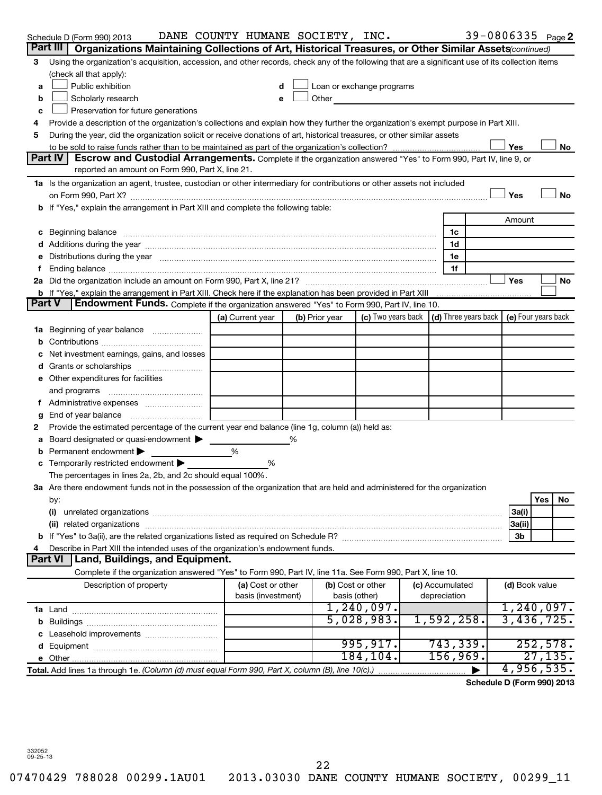|               | Schedule D (Form 990) 2013                                                                                                                                                                                                     | DANE COUNTY HUMANE SOCIETY, INC. |                |                                                                                                                                                                                                                               |                                                                             | 39-0806335 Page 2          |            |           |
|---------------|--------------------------------------------------------------------------------------------------------------------------------------------------------------------------------------------------------------------------------|----------------------------------|----------------|-------------------------------------------------------------------------------------------------------------------------------------------------------------------------------------------------------------------------------|-----------------------------------------------------------------------------|----------------------------|------------|-----------|
| Part III      | Organizations Maintaining Collections of Art, Historical Treasures, or Other Similar Assets (continued)                                                                                                                        |                                  |                |                                                                                                                                                                                                                               |                                                                             |                            |            |           |
| 3             | Using the organization's acquisition, accession, and other records, check any of the following that are a significant use of its collection items                                                                              |                                  |                |                                                                                                                                                                                                                               |                                                                             |                            |            |           |
|               | (check all that apply):                                                                                                                                                                                                        |                                  |                |                                                                                                                                                                                                                               |                                                                             |                            |            |           |
| a             | Public exhibition                                                                                                                                                                                                              |                                  |                | Loan or exchange programs                                                                                                                                                                                                     |                                                                             |                            |            |           |
| b             | Scholarly research                                                                                                                                                                                                             | e                                |                | Other and the contract of the contract of the contract of the contract of the contract of the contract of the contract of the contract of the contract of the contract of the contract of the contract of the contract of the |                                                                             |                            |            |           |
| c             | Preservation for future generations                                                                                                                                                                                            |                                  |                |                                                                                                                                                                                                                               |                                                                             |                            |            |           |
| 4             | Provide a description of the organization's collections and explain how they further the organization's exempt purpose in Part XIII.                                                                                           |                                  |                |                                                                                                                                                                                                                               |                                                                             |                            |            |           |
| 5             | During the year, did the organization solicit or receive donations of art, historical treasures, or other similar assets                                                                                                       |                                  |                |                                                                                                                                                                                                                               |                                                                             |                            |            |           |
|               |                                                                                                                                                                                                                                |                                  |                |                                                                                                                                                                                                                               |                                                                             | Yes                        |            | No        |
|               | Part IV<br>Escrow and Custodial Arrangements. Complete if the organization answered "Yes" to Form 990, Part IV, line 9, or<br>reported an amount on Form 990, Part X, line 21.                                                 |                                  |                |                                                                                                                                                                                                                               |                                                                             |                            |            |           |
|               | 1a Is the organization an agent, trustee, custodian or other intermediary for contributions or other assets not included                                                                                                       |                                  |                |                                                                                                                                                                                                                               |                                                                             |                            |            |           |
|               |                                                                                                                                                                                                                                |                                  |                |                                                                                                                                                                                                                               |                                                                             | Yes                        |            | <b>No</b> |
|               | b If "Yes," explain the arrangement in Part XIII and complete the following table:                                                                                                                                             |                                  |                |                                                                                                                                                                                                                               |                                                                             |                            |            |           |
|               |                                                                                                                                                                                                                                |                                  |                |                                                                                                                                                                                                                               |                                                                             | Amount                     |            |           |
|               | c Beginning balance measurements and the contract of the contract of the contract of the contract of the contract of the contract of the contract of the contract of the contract of the contract of the contract of the contr |                                  |                |                                                                                                                                                                                                                               | 1c                                                                          |                            |            |           |
|               |                                                                                                                                                                                                                                |                                  |                |                                                                                                                                                                                                                               | 1d                                                                          |                            |            |           |
|               | Distributions during the year manufactured and an account of the year manufactured and the year manufactured and the year manufactured and the year manufactured and the year manufactured and the year manufactured and the y |                                  |                |                                                                                                                                                                                                                               | 1e                                                                          |                            |            |           |
|               |                                                                                                                                                                                                                                |                                  |                |                                                                                                                                                                                                                               | 1f                                                                          |                            |            |           |
|               |                                                                                                                                                                                                                                |                                  |                |                                                                                                                                                                                                                               |                                                                             | Yes                        |            | No        |
|               | b If "Yes," explain the arrangement in Part XIII. Check here if the explanation has been provided in Part XIII                                                                                                                 |                                  |                |                                                                                                                                                                                                                               |                                                                             |                            |            |           |
| <b>Part V</b> | <b>Endowment Funds.</b> Complete if the organization answered "Yes" to Form 990, Part IV, line 10.                                                                                                                             |                                  |                |                                                                                                                                                                                                                               |                                                                             |                            |            |           |
|               |                                                                                                                                                                                                                                | (a) Current year                 | (b) Prior year |                                                                                                                                                                                                                               | (c) Two years back $\vert$ (d) Three years back $\vert$ (e) Four years back |                            |            |           |
| 1a            | Beginning of year balance                                                                                                                                                                                                      |                                  |                |                                                                                                                                                                                                                               |                                                                             |                            |            |           |
| b             |                                                                                                                                                                                                                                |                                  |                |                                                                                                                                                                                                                               |                                                                             |                            |            |           |
|               | Net investment earnings, gains, and losses                                                                                                                                                                                     |                                  |                |                                                                                                                                                                                                                               |                                                                             |                            |            |           |
|               |                                                                                                                                                                                                                                |                                  |                |                                                                                                                                                                                                                               |                                                                             |                            |            |           |
|               | e Other expenditures for facilities                                                                                                                                                                                            |                                  |                |                                                                                                                                                                                                                               |                                                                             |                            |            |           |
|               | and programs                                                                                                                                                                                                                   |                                  |                |                                                                                                                                                                                                                               |                                                                             |                            |            |           |
|               |                                                                                                                                                                                                                                |                                  |                |                                                                                                                                                                                                                               |                                                                             |                            |            |           |
| g             | End of year balance                                                                                                                                                                                                            |                                  |                |                                                                                                                                                                                                                               |                                                                             |                            |            |           |
| 2             | Provide the estimated percentage of the current year end balance (line 1g, column (a)) held as:                                                                                                                                |                                  |                |                                                                                                                                                                                                                               |                                                                             |                            |            |           |
| а             | Board designated or quasi-endowment                                                                                                                                                                                            |                                  |                |                                                                                                                                                                                                                               |                                                                             |                            |            |           |
|               | Permanent endowment                                                                                                                                                                                                            | %                                |                |                                                                                                                                                                                                                               |                                                                             |                            |            |           |
|               | Temporarily restricted endowment                                                                                                                                                                                               | %                                |                |                                                                                                                                                                                                                               |                                                                             |                            |            |           |
|               | The percentages in lines 2a, 2b, and 2c should equal 100%.                                                                                                                                                                     |                                  |                |                                                                                                                                                                                                                               |                                                                             |                            |            |           |
|               | 3a Are there endowment funds not in the possession of the organization that are held and administered for the organization                                                                                                     |                                  |                |                                                                                                                                                                                                                               |                                                                             |                            |            |           |
|               | by:                                                                                                                                                                                                                            |                                  |                |                                                                                                                                                                                                                               |                                                                             |                            | <b>Yes</b> | No        |
|               | (i)                                                                                                                                                                                                                            |                                  |                |                                                                                                                                                                                                                               |                                                                             | 3a(i)                      |            |           |
|               | (ii)                                                                                                                                                                                                                           |                                  |                |                                                                                                                                                                                                                               |                                                                             | 3a(ii)                     |            |           |
|               |                                                                                                                                                                                                                                |                                  |                |                                                                                                                                                                                                                               |                                                                             | 3b                         |            |           |
|               | Describe in Part XIII the intended uses of the organization's endowment funds.<br><b>Part VI</b><br>Land, Buildings, and Equipment.                                                                                            |                                  |                |                                                                                                                                                                                                                               |                                                                             |                            |            |           |
|               | Complete if the organization answered "Yes" to Form 990, Part IV, line 11a. See Form 990, Part X, line 10.                                                                                                                     |                                  |                |                                                                                                                                                                                                                               |                                                                             |                            |            |           |
|               | Description of property                                                                                                                                                                                                        | (a) Cost or other                |                | (b) Cost or other                                                                                                                                                                                                             | (c) Accumulated                                                             | (d) Book value             |            |           |
|               |                                                                                                                                                                                                                                | basis (investment)               |                | basis (other)                                                                                                                                                                                                                 | depreciation                                                                |                            |            |           |
|               |                                                                                                                                                                                                                                |                                  |                | 1, 240, 097.                                                                                                                                                                                                                  |                                                                             | 1, 240, 097.               |            |           |
|               |                                                                                                                                                                                                                                |                                  |                | 5,028,983.                                                                                                                                                                                                                    | 1,592,258.                                                                  | 3,436,725.                 |            |           |
|               |                                                                                                                                                                                                                                |                                  |                |                                                                                                                                                                                                                               |                                                                             |                            |            |           |
|               |                                                                                                                                                                                                                                |                                  |                | 995, 917.                                                                                                                                                                                                                     | 743, 339.                                                                   |                            |            | 252,578.  |
|               |                                                                                                                                                                                                                                |                                  |                | 184, 104.                                                                                                                                                                                                                     | 156,969.                                                                    |                            |            | 27, 135.  |
|               | Total. Add lines 1a through 1e. (Column (d) must equal Form 990, Part X, column (B), line 10(c).)                                                                                                                              |                                  |                |                                                                                                                                                                                                                               |                                                                             | 4,956,535.                 |            |           |
|               |                                                                                                                                                                                                                                |                                  |                |                                                                                                                                                                                                                               |                                                                             | Schedule D (Form 990) 2013 |            |           |
|               |                                                                                                                                                                                                                                |                                  |                |                                                                                                                                                                                                                               |                                                                             |                            |            |           |

332052 09-25-13

22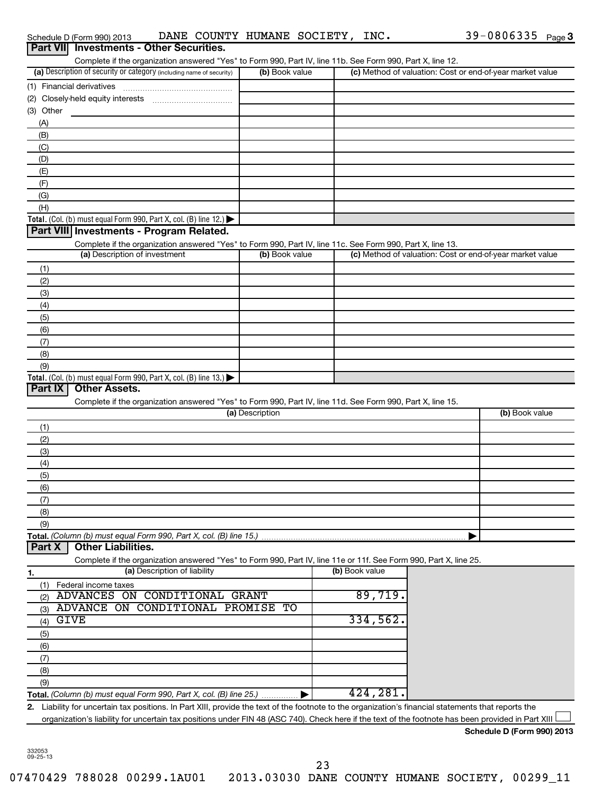|           | Part VII Investments - Other Securities.                                                                                                             |                 |                |                                                           |
|-----------|------------------------------------------------------------------------------------------------------------------------------------------------------|-----------------|----------------|-----------------------------------------------------------|
|           | Complete if the organization answered "Yes" to Form 990, Part IV, line 11b. See Form 990, Part X, line 12.                                           |                 |                |                                                           |
|           | (a) Description of security or category (including name of security)                                                                                 | (b) Book value  |                | (c) Method of valuation: Cost or end-of-year market value |
|           |                                                                                                                                                      |                 |                |                                                           |
|           |                                                                                                                                                      |                 |                |                                                           |
| (3) Other |                                                                                                                                                      |                 |                |                                                           |
| (A)       |                                                                                                                                                      |                 |                |                                                           |
| (B)       |                                                                                                                                                      |                 |                |                                                           |
| (C)       |                                                                                                                                                      |                 |                |                                                           |
| (D)       |                                                                                                                                                      |                 |                |                                                           |
| (E)       |                                                                                                                                                      |                 |                |                                                           |
| (F)       |                                                                                                                                                      |                 |                |                                                           |
| (G)       |                                                                                                                                                      |                 |                |                                                           |
| (H)       |                                                                                                                                                      |                 |                |                                                           |
|           | Total. (Col. (b) must equal Form 990, Part X, col. (B) line 12.) $\blacktriangleright$                                                               |                 |                |                                                           |
|           | Part VIII Investments - Program Related.                                                                                                             |                 |                |                                                           |
|           | Complete if the organization answered "Yes" to Form 990, Part IV, line 11c. See Form 990, Part X, line 13.                                           |                 |                |                                                           |
|           | (a) Description of investment                                                                                                                        | (b) Book value  |                | (c) Method of valuation: Cost or end-of-year market value |
| (1)       |                                                                                                                                                      |                 |                |                                                           |
| (2)       |                                                                                                                                                      |                 |                |                                                           |
| (3)       |                                                                                                                                                      |                 |                |                                                           |
| (4)       |                                                                                                                                                      |                 |                |                                                           |
| (5)       |                                                                                                                                                      |                 |                |                                                           |
| (6)       |                                                                                                                                                      |                 |                |                                                           |
| (7)       |                                                                                                                                                      |                 |                |                                                           |
| (8)       |                                                                                                                                                      |                 |                |                                                           |
| (9)       |                                                                                                                                                      |                 |                |                                                           |
|           | Total. (Col. (b) must equal Form 990, Part X, col. (B) line 13.)                                                                                     |                 |                |                                                           |
| Part IX   | <b>Other Assets.</b>                                                                                                                                 |                 |                |                                                           |
|           | Complete if the organization answered "Yes" to Form 990, Part IV, line 11d. See Form 990, Part X, line 15.                                           |                 |                |                                                           |
|           |                                                                                                                                                      | (a) Description |                | (b) Book value                                            |
| (1)       |                                                                                                                                                      |                 |                |                                                           |
| (2)       |                                                                                                                                                      |                 |                |                                                           |
| (3)       |                                                                                                                                                      |                 |                |                                                           |
| (4)       |                                                                                                                                                      |                 |                |                                                           |
| (5)       |                                                                                                                                                      |                 |                |                                                           |
| (6)       |                                                                                                                                                      |                 |                |                                                           |
| (7)       |                                                                                                                                                      |                 |                |                                                           |
| (8)       |                                                                                                                                                      |                 |                |                                                           |
| (9)       |                                                                                                                                                      |                 |                |                                                           |
| Part X    | Total. (Column (b) must equal Form 990, Part X, col. (B) line 15.)<br><b>Other Liabilities.</b>                                                      |                 |                |                                                           |
|           | Complete if the organization answered "Yes" to Form 990, Part IV, line 11e or 11f. See Form 990, Part X, line 25.                                    |                 |                |                                                           |
|           | (a) Description of liability                                                                                                                         |                 | (b) Book value |                                                           |
| 1.        |                                                                                                                                                      |                 |                |                                                           |
| (1)       | Federal income taxes<br>ADVANCES ON CONDITIONAL GRANT                                                                                                |                 | 89,719.        |                                                           |
| (2)       | CONDITIONAL PROMISE<br>ADVANCE ON                                                                                                                    | TО              |                |                                                           |
| (3)       | GIVE                                                                                                                                                 |                 | 334,562.       |                                                           |
| (4)       |                                                                                                                                                      |                 |                |                                                           |
| (5)       |                                                                                                                                                      |                 |                |                                                           |
| (6)       |                                                                                                                                                      |                 |                |                                                           |
| (7)       |                                                                                                                                                      |                 |                |                                                           |
| (8)       |                                                                                                                                                      |                 |                |                                                           |
| (9)       |                                                                                                                                                      |                 | 424,281.       |                                                           |
|           | Total. (Column (b) must equal Form 990, Part X, col. (B) line 25.)                                                                                   |                 |                |                                                           |
|           | 2. Liability for uncertain tax positions. In Part XIII, provide the text of the footnote to the organization's financial statements that reports the |                 |                |                                                           |
|           | organization's liability for uncertain tax positions under FIN 48 (ASC 740). Check here if the text of the footnote has been provided in Part XIII   |                 |                |                                                           |
|           |                                                                                                                                                      |                 |                | Schedule D (Form 990) 2013                                |

Schedule D (Form 990) 2013 **DANE COUNTY HUMANE SOCIETY, INC .** 39-0806335 <sub>Page</sub> 3

332053 09-25-13

23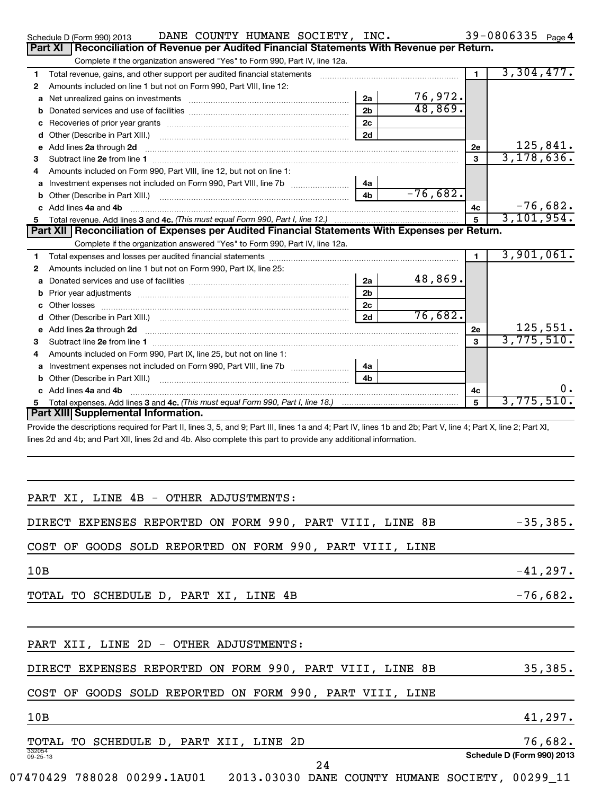|     | DANE COUNTY HUMANE SOCIETY, INC.<br>Schedule D (Form 990) 2013                                                                                                 |                |            |              | 39-0806335 Page 4 |
|-----|----------------------------------------------------------------------------------------------------------------------------------------------------------------|----------------|------------|--------------|-------------------|
|     | Reconciliation of Revenue per Audited Financial Statements With Revenue per Return.<br>Part XI                                                                 |                |            |              |                   |
|     | Complete if the organization answered "Yes" to Form 990, Part IV, line 12a.                                                                                    |                |            |              |                   |
| 1   |                                                                                                                                                                |                |            | $\mathbf{1}$ | 3,304,477.        |
| 2   | Amounts included on line 1 but not on Form 990, Part VIII, line 12:                                                                                            |                |            |              |                   |
| а   |                                                                                                                                                                | 2a             | 76,972.    |              |                   |
| b   |                                                                                                                                                                | 2 <sub>b</sub> | 48,869.    |              |                   |
| c   |                                                                                                                                                                | 2c             |            |              |                   |
| d   |                                                                                                                                                                | 2d             |            |              |                   |
| е   | Add lines 2a through 2d                                                                                                                                        |                |            | <b>2e</b>    | 125,841.          |
| з   |                                                                                                                                                                |                |            | 3            | 3, 178, 636.      |
| 4   | Amounts included on Form 990, Part VIII, line 12, but not on line 1:                                                                                           |                |            |              |                   |
| а   |                                                                                                                                                                | 4a             |            |              |                   |
| b   |                                                                                                                                                                | 4 <sub>b</sub> | $-76,682.$ |              |                   |
|     | c Add lines 4a and 4b                                                                                                                                          |                |            | 4с           | $-76,682.$        |
| 5   |                                                                                                                                                                |                |            | 5            | 3, 101, 954.      |
|     | Part XII   Reconciliation of Expenses per Audited Financial Statements With Expenses per Return.                                                               |                |            |              |                   |
|     | Complete if the organization answered "Yes" to Form 990, Part IV, line 12a.                                                                                    |                |            |              | 3,901,061.        |
| 1.  |                                                                                                                                                                |                |            | $\mathbf{1}$ |                   |
| 2   | Amounts included on line 1 but not on Form 990, Part IX, line 25:                                                                                              |                | 48,869.    |              |                   |
| а   |                                                                                                                                                                | 2a             |            |              |                   |
| b   |                                                                                                                                                                | 2 <sub>b</sub> |            |              |                   |
| c   |                                                                                                                                                                | 2 <sub>c</sub> | 76,682.    |              |                   |
| d   |                                                                                                                                                                | 2d             |            |              | 125,551.          |
| 3   |                                                                                                                                                                |                |            | 2e<br>3      | 3,775,510.        |
| 4   | Amounts included on Form 990, Part IX, line 25, but not on line 1:                                                                                             |                |            |              |                   |
| а   |                                                                                                                                                                | 4a             |            |              |                   |
|     |                                                                                                                                                                | 4b             |            |              |                   |
|     | c Add lines 4a and 4b                                                                                                                                          |                |            | 4с           | υ.                |
| 5.  |                                                                                                                                                                |                |            | 5            | 3,775,510.        |
|     | Part XIII Supplemental Information.                                                                                                                            |                |            |              |                   |
|     | Provide the descriptions required for Part II, lines 3, 5, and 9; Part III, lines 1a and 4; Part IV, lines 1b and 2b; Part V, line 4; Part X, line 2; Part XI, |                |            |              |                   |
|     | lines 2d and 4b; and Part XII, lines 2d and 4b. Also complete this part to provide any additional information.                                                 |                |            |              |                   |
|     | PART XI, LINE 4B - OTHER ADJUSTMENTS:                                                                                                                          |                |            |              |                   |
|     | DIRECT EXPENSES REPORTED ON FORM 990, PART VIII, LINE 8B                                                                                                       |                |            |              | $-35,385.$        |
|     | COST OF GOODS SOLD REPORTED ON FORM 990, PART VIII, LINE                                                                                                       |                |            |              |                   |
| 10B |                                                                                                                                                                |                |            |              | $-41,297.$        |
|     | TOTAL TO SCHEDULE D, PART XI, LINE 4B                                                                                                                          |                |            |              | $-76,682.$        |
|     | PART XII, LINE 2D - OTHER ADJUSTMENTS:                                                                                                                         |                |            |              |                   |

# DIRECT EXPENSES REPORTED ON FORM 990, PART VIII, LINE 8B 35,385.

# COST OF GOODS SOLD REPORTED ON FORM 990, PART VIII, LINE

332054 09-25-13 **Schedule D (Form 990) 2013**  $10B$   $41,297$ . TOTAL TO SCHEDULE D, PART XII, LINE 2D 76,682.

24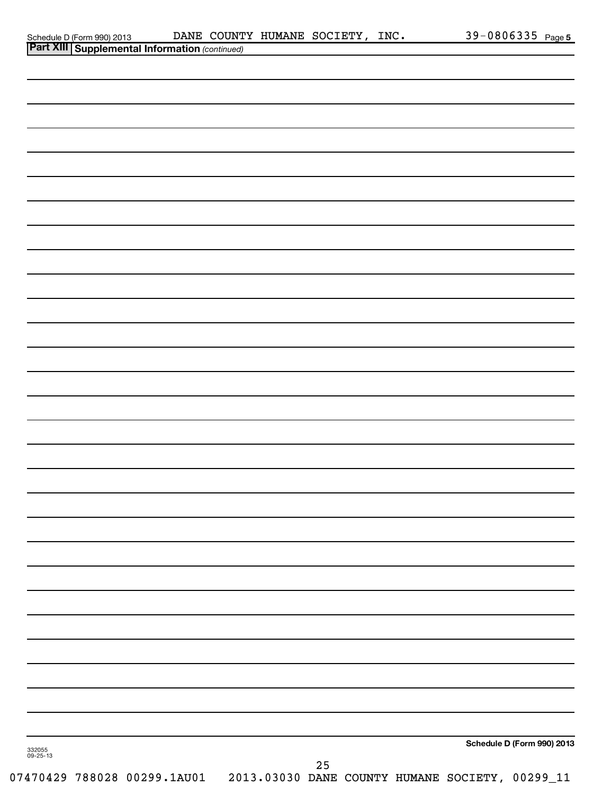|                    | Schedule D (Form 990) 2013 DANE COUNT<br>Part XIII Supplemental Information (continued) |  | DANE COUNTY HUMANE SOCIETY, INC. |    |  |                                                                             | 39-0806335 Page 5          |
|--------------------|-----------------------------------------------------------------------------------------|--|----------------------------------|----|--|-----------------------------------------------------------------------------|----------------------------|
|                    |                                                                                         |  |                                  |    |  |                                                                             |                            |
|                    |                                                                                         |  |                                  |    |  |                                                                             |                            |
|                    |                                                                                         |  |                                  |    |  |                                                                             |                            |
|                    |                                                                                         |  |                                  |    |  |                                                                             |                            |
|                    |                                                                                         |  |                                  |    |  |                                                                             |                            |
|                    |                                                                                         |  |                                  |    |  |                                                                             |                            |
|                    |                                                                                         |  |                                  |    |  |                                                                             |                            |
|                    |                                                                                         |  |                                  |    |  |                                                                             |                            |
|                    |                                                                                         |  |                                  |    |  |                                                                             |                            |
|                    |                                                                                         |  |                                  |    |  |                                                                             |                            |
|                    |                                                                                         |  |                                  |    |  |                                                                             |                            |
|                    |                                                                                         |  |                                  |    |  |                                                                             |                            |
|                    |                                                                                         |  |                                  |    |  |                                                                             |                            |
|                    |                                                                                         |  |                                  |    |  |                                                                             |                            |
|                    |                                                                                         |  |                                  |    |  |                                                                             |                            |
|                    |                                                                                         |  |                                  |    |  |                                                                             |                            |
|                    |                                                                                         |  |                                  |    |  |                                                                             |                            |
|                    |                                                                                         |  |                                  |    |  |                                                                             |                            |
|                    |                                                                                         |  |                                  |    |  |                                                                             |                            |
|                    |                                                                                         |  |                                  |    |  |                                                                             |                            |
|                    |                                                                                         |  |                                  |    |  |                                                                             |                            |
|                    |                                                                                         |  |                                  |    |  |                                                                             |                            |
|                    |                                                                                         |  |                                  |    |  |                                                                             |                            |
|                    |                                                                                         |  |                                  |    |  |                                                                             |                            |
|                    |                                                                                         |  |                                  |    |  |                                                                             |                            |
|                    |                                                                                         |  |                                  |    |  |                                                                             |                            |
|                    |                                                                                         |  |                                  |    |  |                                                                             |                            |
|                    |                                                                                         |  |                                  |    |  |                                                                             |                            |
|                    |                                                                                         |  |                                  |    |  |                                                                             |                            |
|                    |                                                                                         |  |                                  |    |  |                                                                             |                            |
|                    |                                                                                         |  |                                  |    |  |                                                                             |                            |
|                    |                                                                                         |  |                                  |    |  |                                                                             |                            |
|                    |                                                                                         |  |                                  |    |  |                                                                             |                            |
|                    |                                                                                         |  |                                  |    |  |                                                                             |                            |
|                    |                                                                                         |  |                                  |    |  |                                                                             |                            |
|                    |                                                                                         |  |                                  |    |  |                                                                             |                            |
|                    |                                                                                         |  |                                  |    |  |                                                                             |                            |
|                    |                                                                                         |  |                                  |    |  |                                                                             |                            |
|                    |                                                                                         |  |                                  |    |  |                                                                             |                            |
|                    |                                                                                         |  |                                  |    |  |                                                                             |                            |
|                    |                                                                                         |  |                                  |    |  |                                                                             | Schedule D (Form 990) 2013 |
| 332055<br>09-25-13 |                                                                                         |  |                                  | 25 |  |                                                                             |                            |
|                    |                                                                                         |  |                                  |    |  | 07470429 788028 00299.1AU01 2013.03030 DANE COUNTY HUMANE SOCIETY, 00299_11 |                            |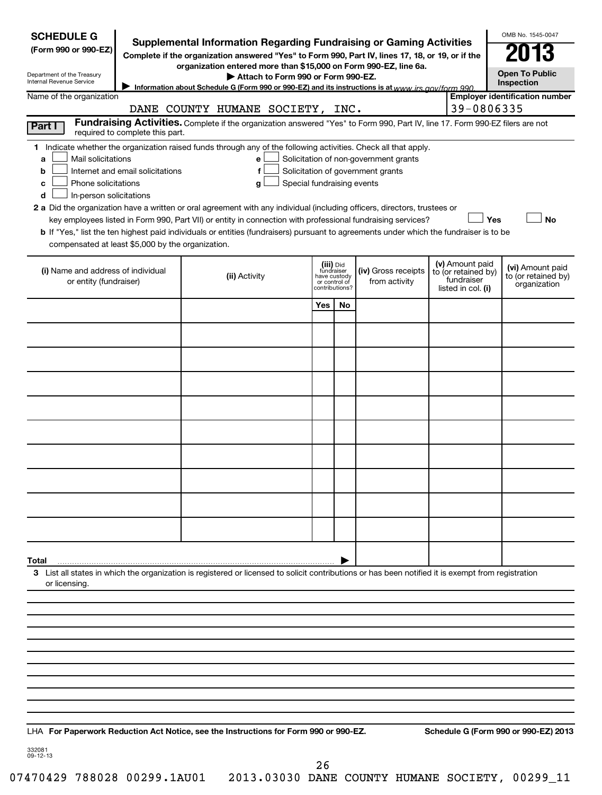| <b>SCHEDULE G</b><br>(Form 990 or 990-EZ)<br>Department of the Treasury<br>Internal Revenue Service                                           |                                                                     | <b>Supplemental Information Regarding Fundraising or Gaming Activities</b><br>Complete if the organization answered "Yes" to Form 990, Part IV, lines 17, 18, or 19, or if the<br>organization entered more than \$15,000 on Form 990-EZ, line 6a.<br>Attach to Form 990 or Form 990-EZ.<br>Information about Schedule G (Form 990 or 990-EZ) and its instructions is at www irs gov/form 990                                                                                                                               |                            |                                                                            |                                                                            |                                                         |            | OMB No. 1545-0047<br><b>Open To Public</b><br>Inspection |
|-----------------------------------------------------------------------------------------------------------------------------------------------|---------------------------------------------------------------------|-----------------------------------------------------------------------------------------------------------------------------------------------------------------------------------------------------------------------------------------------------------------------------------------------------------------------------------------------------------------------------------------------------------------------------------------------------------------------------------------------------------------------------|----------------------------|----------------------------------------------------------------------------|----------------------------------------------------------------------------|---------------------------------------------------------|------------|----------------------------------------------------------|
| Name of the organization                                                                                                                      |                                                                     | DANE COUNTY HUMANE SOCIETY, INC.                                                                                                                                                                                                                                                                                                                                                                                                                                                                                            |                            |                                                                            |                                                                            |                                                         | 39-0806335 | <b>Employer identification number</b>                    |
| Part I                                                                                                                                        |                                                                     | Fundraising Activities. Complete if the organization answered "Yes" to Form 990, Part IV, line 17. Form 990-EZ filers are not                                                                                                                                                                                                                                                                                                                                                                                               |                            |                                                                            |                                                                            |                                                         |            |                                                          |
| Mail solicitations<br>a<br>b<br>Phone solicitations<br>c<br>In-person solicitations<br>d<br>compensated at least \$5,000 by the organization. | required to complete this part.<br>Internet and email solicitations | 1 Indicate whether the organization raised funds through any of the following activities. Check all that apply.<br>е<br>f<br>q<br>2 a Did the organization have a written or oral agreement with any individual (including officers, directors, trustees or<br>key employees listed in Form 990, Part VII) or entity in connection with professional fundraising services?<br><b>b</b> If "Yes," list the ten highest paid individuals or entities (fundraisers) pursuant to agreements under which the fundraiser is to be | Special fundraising events |                                                                            | Solicitation of non-government grants<br>Solicitation of government grants |                                                         | Yes        | No                                                       |
| (i) Name and address of individual<br>or entity (fundraiser)                                                                                  |                                                                     | (iii) Did<br>fundraiser<br>(iv) Gross receipts<br>(ii) Activity<br>have custody<br>from activity<br>or control of<br>contributions?                                                                                                                                                                                                                                                                                                                                                                                         |                            | (v) Amount paid<br>to (or retained by)<br>fundraiser<br>listed in col. (i) |                                                                            | (vi) Amount paid<br>to (or retained by)<br>organization |            |                                                          |
|                                                                                                                                               |                                                                     |                                                                                                                                                                                                                                                                                                                                                                                                                                                                                                                             | Yes                        | No                                                                         |                                                                            |                                                         |            |                                                          |
|                                                                                                                                               |                                                                     |                                                                                                                                                                                                                                                                                                                                                                                                                                                                                                                             |                            |                                                                            |                                                                            |                                                         |            |                                                          |
|                                                                                                                                               |                                                                     |                                                                                                                                                                                                                                                                                                                                                                                                                                                                                                                             |                            |                                                                            |                                                                            |                                                         |            |                                                          |
|                                                                                                                                               |                                                                     |                                                                                                                                                                                                                                                                                                                                                                                                                                                                                                                             |                            |                                                                            |                                                                            |                                                         |            |                                                          |
|                                                                                                                                               |                                                                     |                                                                                                                                                                                                                                                                                                                                                                                                                                                                                                                             |                            |                                                                            |                                                                            |                                                         |            |                                                          |
|                                                                                                                                               |                                                                     |                                                                                                                                                                                                                                                                                                                                                                                                                                                                                                                             |                            |                                                                            |                                                                            |                                                         |            |                                                          |
|                                                                                                                                               |                                                                     |                                                                                                                                                                                                                                                                                                                                                                                                                                                                                                                             |                            |                                                                            |                                                                            |                                                         |            |                                                          |
|                                                                                                                                               |                                                                     |                                                                                                                                                                                                                                                                                                                                                                                                                                                                                                                             |                            |                                                                            |                                                                            |                                                         |            |                                                          |
|                                                                                                                                               |                                                                     |                                                                                                                                                                                                                                                                                                                                                                                                                                                                                                                             |                            |                                                                            |                                                                            |                                                         |            |                                                          |
|                                                                                                                                               |                                                                     |                                                                                                                                                                                                                                                                                                                                                                                                                                                                                                                             |                            |                                                                            |                                                                            |                                                         |            |                                                          |
|                                                                                                                                               |                                                                     |                                                                                                                                                                                                                                                                                                                                                                                                                                                                                                                             |                            |                                                                            |                                                                            |                                                         |            |                                                          |
|                                                                                                                                               |                                                                     |                                                                                                                                                                                                                                                                                                                                                                                                                                                                                                                             |                            |                                                                            |                                                                            |                                                         |            |                                                          |
| Total                                                                                                                                         |                                                                     |                                                                                                                                                                                                                                                                                                                                                                                                                                                                                                                             |                            |                                                                            |                                                                            |                                                         |            |                                                          |
| or licensing.                                                                                                                                 |                                                                     | 3 List all states in which the organization is registered or licensed to solicit contributions or has been notified it is exempt from registration                                                                                                                                                                                                                                                                                                                                                                          |                            |                                                                            |                                                                            |                                                         |            |                                                          |
|                                                                                                                                               |                                                                     |                                                                                                                                                                                                                                                                                                                                                                                                                                                                                                                             |                            |                                                                            |                                                                            |                                                         |            |                                                          |
|                                                                                                                                               |                                                                     |                                                                                                                                                                                                                                                                                                                                                                                                                                                                                                                             |                            |                                                                            |                                                                            |                                                         |            |                                                          |
|                                                                                                                                               |                                                                     |                                                                                                                                                                                                                                                                                                                                                                                                                                                                                                                             |                            |                                                                            |                                                                            |                                                         |            |                                                          |
|                                                                                                                                               |                                                                     |                                                                                                                                                                                                                                                                                                                                                                                                                                                                                                                             |                            |                                                                            |                                                                            |                                                         |            |                                                          |
|                                                                                                                                               |                                                                     |                                                                                                                                                                                                                                                                                                                                                                                                                                                                                                                             |                            |                                                                            |                                                                            |                                                         |            |                                                          |
|                                                                                                                                               |                                                                     |                                                                                                                                                                                                                                                                                                                                                                                                                                                                                                                             |                            |                                                                            |                                                                            |                                                         |            |                                                          |
|                                                                                                                                               |                                                                     | LHA For Paperwork Reduction Act Notice, see the Instructions for Form 990 or 990-EZ.                                                                                                                                                                                                                                                                                                                                                                                                                                        |                            |                                                                            |                                                                            |                                                         |            | Schedule G (Form 990 or 990-EZ) 2013                     |
| 332081<br>09-12-13                                                                                                                            |                                                                     |                                                                                                                                                                                                                                                                                                                                                                                                                                                                                                                             |                            |                                                                            |                                                                            |                                                         |            |                                                          |

07470429 788028 00299.1AU01 2013.03030 DANE COUNTY HUMANE SOCIETY, 00299\_11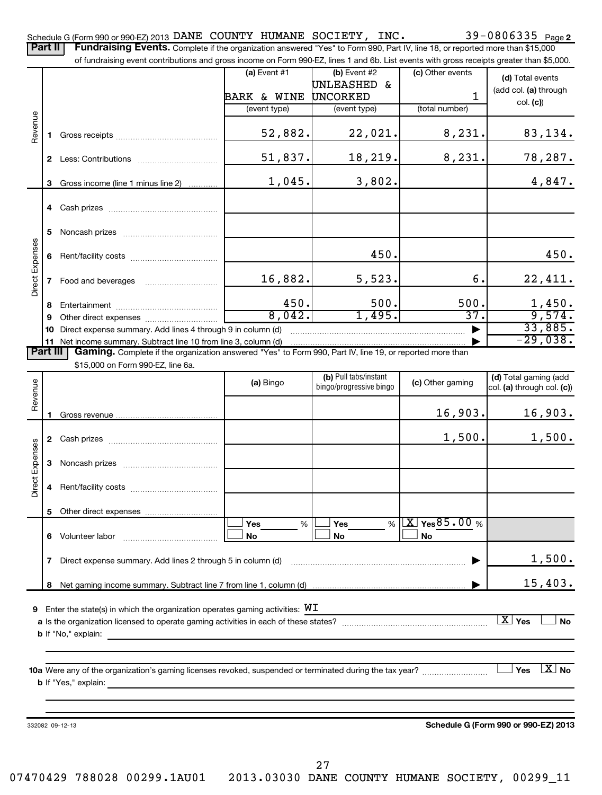Part II | Fundraising Events. Complete if the organization answered "Yes" to Form 990, Part IV, line 18, or reported more than \$15,000

|                 |                                                                 | of fundraising event contributions and gross income on Form 990-EZ, lines 1 and 6b. List events with gross receipts greater than \$5,000. |                        |                                                  |                    |                                                     |
|-----------------|-----------------------------------------------------------------|-------------------------------------------------------------------------------------------------------------------------------------------|------------------------|--------------------------------------------------|--------------------|-----------------------------------------------------|
|                 |                                                                 |                                                                                                                                           | $(a)$ Event #1         | $(b)$ Event #2                                   | (c) Other events   | (d) Total events                                    |
|                 |                                                                 |                                                                                                                                           |                        | UNLEASHED &                                      |                    | (add col. (a) through                               |
|                 |                                                                 |                                                                                                                                           | <b>BARK &amp; WINE</b> | <b>UNCORKED</b>                                  | 1                  | col. (c)                                            |
|                 |                                                                 |                                                                                                                                           | (event type)           | (event type)                                     | (total number)     |                                                     |
| Revenue         | $\mathbf{1}$                                                    |                                                                                                                                           | 52,882.                | 22,021.                                          | 8,231.             | 83,134.                                             |
|                 |                                                                 |                                                                                                                                           | 51,837.                | 18, 219.                                         | 8,231.             | 78,287.                                             |
|                 | 3                                                               | Gross income (line 1 minus line 2)                                                                                                        | 1,045.                 | 3,802.                                           |                    | 4,847.                                              |
|                 | 4                                                               |                                                                                                                                           |                        |                                                  |                    |                                                     |
|                 | 5                                                               |                                                                                                                                           |                        |                                                  |                    |                                                     |
|                 | 6                                                               |                                                                                                                                           |                        | 450.                                             |                    | 450.                                                |
| Direct Expenses | 7 <sup>7</sup>                                                  |                                                                                                                                           | 16,882.                | 5,523.                                           | б.                 | 22,411.                                             |
|                 | 8                                                               |                                                                                                                                           | 450.                   | 500.                                             | 500.               |                                                     |
|                 | 9                                                               |                                                                                                                                           | 8,042.                 | 1,495.                                           | $\overline{37}$ .  | $\frac{1,450}{9,574}$                               |
|                 | 10                                                              | Direct expense summary. Add lines 4 through 9 in column (d)                                                                               |                        |                                                  |                    | 33,885.                                             |
|                 | 11 Net income summary. Subtract line 10 from line 3, column (d) | $-29,038.$                                                                                                                                |                        |                                                  |                    |                                                     |
| <b>Part III</b> |                                                                 | Gaming. Complete if the organization answered "Yes" to Form 990, Part IV, line 19, or reported more than                                  |                        |                                                  |                    |                                                     |
|                 |                                                                 | \$15,000 on Form 990-EZ, line 6a.                                                                                                         |                        |                                                  |                    |                                                     |
| Revenue         |                                                                 |                                                                                                                                           | (a) Bingo              | (b) Pull tabs/instant<br>bingo/progressive bingo | (c) Other gaming   | (d) Total gaming (add<br>col. (a) through col. (c)) |
|                 |                                                                 |                                                                                                                                           |                        |                                                  | 16,903.            | 16,903.                                             |
|                 |                                                                 |                                                                                                                                           |                        |                                                  |                    |                                                     |
|                 |                                                                 |                                                                                                                                           |                        |                                                  | 1,500.             | 1,500.                                              |
| Direct Expenses | 3                                                               |                                                                                                                                           |                        |                                                  |                    |                                                     |
|                 | 4                                                               |                                                                                                                                           |                        |                                                  |                    |                                                     |
|                 | 5                                                               | Other direct expenses                                                                                                                     |                        |                                                  |                    |                                                     |
|                 |                                                                 |                                                                                                                                           | Yes<br>%               | <b>Yes</b><br>%                                  | $X \times 85.00$ % |                                                     |
|                 | 6                                                               | Volunteer labor<br>and a strategic contract of the contract of the contract of the contract of the contract of the contract of th         | No                     | No                                               | <b>No</b>          |                                                     |
|                 | 7                                                               | Direct expense summary. Add lines 2 through 5 in column (d)                                                                               |                        |                                                  |                    | 1,500.                                              |
|                 | 8                                                               |                                                                                                                                           |                        |                                                  |                    | 15,403.                                             |
|                 |                                                                 |                                                                                                                                           |                        |                                                  |                    |                                                     |
| 9               |                                                                 | Enter the state(s) in which the organization operates gaming activities: $WI$                                                             |                        |                                                  |                    |                                                     |
|                 |                                                                 |                                                                                                                                           |                        |                                                  |                    | $\boxed{\text{X}}$ Yes<br><b>No</b>                 |
|                 |                                                                 | <b>b</b> If "No," explain:                                                                                                                |                        |                                                  |                    |                                                     |
|                 |                                                                 |                                                                                                                                           |                        |                                                  |                    |                                                     |
|                 |                                                                 |                                                                                                                                           |                        |                                                  |                    | $X_{0}$<br><b>Yes</b>                               |
|                 |                                                                 | <b>b</b> If "Yes," explain:                                                                                                               |                        |                                                  |                    |                                                     |
|                 |                                                                 |                                                                                                                                           |                        |                                                  |                    |                                                     |
|                 |                                                                 |                                                                                                                                           |                        |                                                  |                    |                                                     |
|                 |                                                                 | 332082 09-12-13                                                                                                                           |                        |                                                  |                    | Schedule G (Form 990 or 990-EZ) 2013                |
|                 |                                                                 |                                                                                                                                           |                        |                                                  |                    |                                                     |
|                 |                                                                 |                                                                                                                                           |                        |                                                  |                    |                                                     |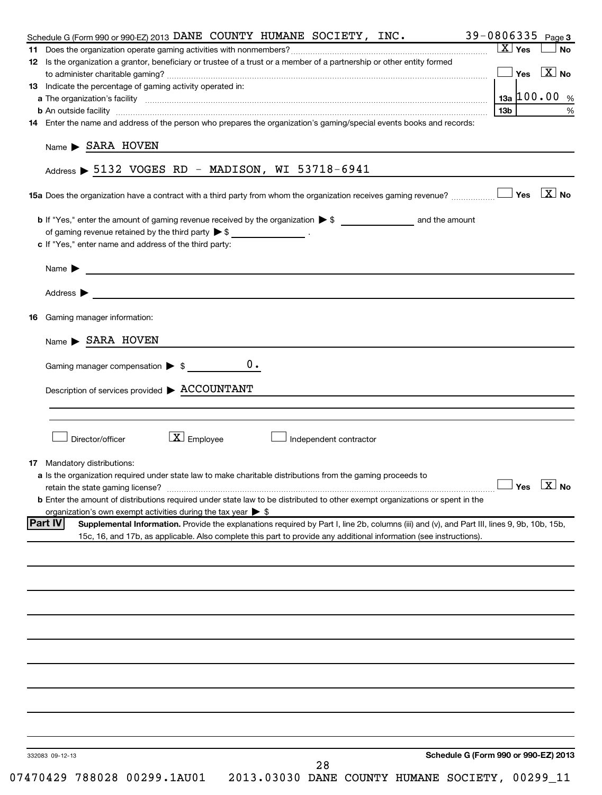| 39-0806335 Page 3<br>Schedule G (Form 990 or 990-EZ) 2013 DANE COUNTY HUMANE SOCIETY, INC.<br>12 Is the organization a grantor, beneficiary or trustee of a trust or a member of a partnership or other entity formed<br>13 Indicate the percentage of gaming activity operated in:<br><b>b</b> An outside facility <i>www.communicality www.communicality.communicality www.communicality www.communicality.communicality www.communicality.com</i><br>14 Enter the name and address of the person who prepares the organization's gaming/special events books and records:<br>Name SARA HOVEN<br>Address $\triangleright$ 5132 VOGES RD - MADISON, WI 53718-6941<br>of gaming revenue retained by the third party $\triangleright$ \$ __________________.<br>c If "Yes," enter name and address of the third party:<br>Address $\blacktriangleright$<br><u> 1989 - Johann Stoff, deutscher Stoff, der Stoff, der Stoff, der Stoff, der Stoff, der Stoff, der Stoff, der S</u> | $X \vert Y$ es<br>13 <sub>b</sub> | $\Box$ Yes $\boxed{\text{X}}$ No<br>13a   100.00 % |
|---------------------------------------------------------------------------------------------------------------------------------------------------------------------------------------------------------------------------------------------------------------------------------------------------------------------------------------------------------------------------------------------------------------------------------------------------------------------------------------------------------------------------------------------------------------------------------------------------------------------------------------------------------------------------------------------------------------------------------------------------------------------------------------------------------------------------------------------------------------------------------------------------------------------------------------------------------------------------------|-----------------------------------|----------------------------------------------------|
|                                                                                                                                                                                                                                                                                                                                                                                                                                                                                                                                                                                                                                                                                                                                                                                                                                                                                                                                                                                 |                                   |                                                    |
|                                                                                                                                                                                                                                                                                                                                                                                                                                                                                                                                                                                                                                                                                                                                                                                                                                                                                                                                                                                 |                                   |                                                    |
|                                                                                                                                                                                                                                                                                                                                                                                                                                                                                                                                                                                                                                                                                                                                                                                                                                                                                                                                                                                 |                                   |                                                    |
|                                                                                                                                                                                                                                                                                                                                                                                                                                                                                                                                                                                                                                                                                                                                                                                                                                                                                                                                                                                 |                                   |                                                    |
|                                                                                                                                                                                                                                                                                                                                                                                                                                                                                                                                                                                                                                                                                                                                                                                                                                                                                                                                                                                 |                                   |                                                    |
|                                                                                                                                                                                                                                                                                                                                                                                                                                                                                                                                                                                                                                                                                                                                                                                                                                                                                                                                                                                 |                                   |                                                    |
|                                                                                                                                                                                                                                                                                                                                                                                                                                                                                                                                                                                                                                                                                                                                                                                                                                                                                                                                                                                 |                                   |                                                    |
|                                                                                                                                                                                                                                                                                                                                                                                                                                                                                                                                                                                                                                                                                                                                                                                                                                                                                                                                                                                 |                                   |                                                    |
|                                                                                                                                                                                                                                                                                                                                                                                                                                                                                                                                                                                                                                                                                                                                                                                                                                                                                                                                                                                 |                                   |                                                    |
|                                                                                                                                                                                                                                                                                                                                                                                                                                                                                                                                                                                                                                                                                                                                                                                                                                                                                                                                                                                 |                                   |                                                    |
|                                                                                                                                                                                                                                                                                                                                                                                                                                                                                                                                                                                                                                                                                                                                                                                                                                                                                                                                                                                 |                                   |                                                    |
|                                                                                                                                                                                                                                                                                                                                                                                                                                                                                                                                                                                                                                                                                                                                                                                                                                                                                                                                                                                 |                                   |                                                    |
|                                                                                                                                                                                                                                                                                                                                                                                                                                                                                                                                                                                                                                                                                                                                                                                                                                                                                                                                                                                 |                                   |                                                    |
|                                                                                                                                                                                                                                                                                                                                                                                                                                                                                                                                                                                                                                                                                                                                                                                                                                                                                                                                                                                 |                                   |                                                    |
|                                                                                                                                                                                                                                                                                                                                                                                                                                                                                                                                                                                                                                                                                                                                                                                                                                                                                                                                                                                 |                                   |                                                    |
| <b>16</b> Gaming manager information:                                                                                                                                                                                                                                                                                                                                                                                                                                                                                                                                                                                                                                                                                                                                                                                                                                                                                                                                           |                                   |                                                    |
| Name SARA HOVEN                                                                                                                                                                                                                                                                                                                                                                                                                                                                                                                                                                                                                                                                                                                                                                                                                                                                                                                                                                 |                                   |                                                    |
| 0.<br>Gaming manager compensation $\triangleright$ \$                                                                                                                                                                                                                                                                                                                                                                                                                                                                                                                                                                                                                                                                                                                                                                                                                                                                                                                           |                                   |                                                    |
|                                                                                                                                                                                                                                                                                                                                                                                                                                                                                                                                                                                                                                                                                                                                                                                                                                                                                                                                                                                 |                                   |                                                    |
| Description of services provided > ACCOUNTANT                                                                                                                                                                                                                                                                                                                                                                                                                                                                                                                                                                                                                                                                                                                                                                                                                                                                                                                                   |                                   |                                                    |
|                                                                                                                                                                                                                                                                                                                                                                                                                                                                                                                                                                                                                                                                                                                                                                                                                                                                                                                                                                                 |                                   |                                                    |
|                                                                                                                                                                                                                                                                                                                                                                                                                                                                                                                                                                                                                                                                                                                                                                                                                                                                                                                                                                                 |                                   |                                                    |
| $\boxed{\textbf{X}}$ Employee<br>Director/officer<br>Independent contractor                                                                                                                                                                                                                                                                                                                                                                                                                                                                                                                                                                                                                                                                                                                                                                                                                                                                                                     |                                   |                                                    |
|                                                                                                                                                                                                                                                                                                                                                                                                                                                                                                                                                                                                                                                                                                                                                                                                                                                                                                                                                                                 |                                   |                                                    |
| <b>17</b> Mandatory distributions:                                                                                                                                                                                                                                                                                                                                                                                                                                                                                                                                                                                                                                                                                                                                                                                                                                                                                                                                              |                                   |                                                    |
| a Is the organization required under state law to make charitable distributions from the gaming proceeds to                                                                                                                                                                                                                                                                                                                                                                                                                                                                                                                                                                                                                                                                                                                                                                                                                                                                     |                                   |                                                    |
|                                                                                                                                                                                                                                                                                                                                                                                                                                                                                                                                                                                                                                                                                                                                                                                                                                                                                                                                                                                 |                                   | $\Box$ Yes $\Box$ No                               |
| <b>b</b> Enter the amount of distributions required under state law to be distributed to other exempt organizations or spent in the                                                                                                                                                                                                                                                                                                                                                                                                                                                                                                                                                                                                                                                                                                                                                                                                                                             |                                   |                                                    |
| organization's own exempt activities during the tax year $\triangleright$ \$                                                                                                                                                                                                                                                                                                                                                                                                                                                                                                                                                                                                                                                                                                                                                                                                                                                                                                    |                                   |                                                    |
| Part IV <br>Supplemental Information. Provide the explanations required by Part I, line 2b, columns (iii) and (v), and Part III, lines 9, 9b, 10b, 15b,                                                                                                                                                                                                                                                                                                                                                                                                                                                                                                                                                                                                                                                                                                                                                                                                                         |                                   |                                                    |
| 15c, 16, and 17b, as applicable. Also complete this part to provide any additional information (see instructions).                                                                                                                                                                                                                                                                                                                                                                                                                                                                                                                                                                                                                                                                                                                                                                                                                                                              |                                   |                                                    |
|                                                                                                                                                                                                                                                                                                                                                                                                                                                                                                                                                                                                                                                                                                                                                                                                                                                                                                                                                                                 |                                   |                                                    |
|                                                                                                                                                                                                                                                                                                                                                                                                                                                                                                                                                                                                                                                                                                                                                                                                                                                                                                                                                                                 |                                   |                                                    |
|                                                                                                                                                                                                                                                                                                                                                                                                                                                                                                                                                                                                                                                                                                                                                                                                                                                                                                                                                                                 |                                   |                                                    |
|                                                                                                                                                                                                                                                                                                                                                                                                                                                                                                                                                                                                                                                                                                                                                                                                                                                                                                                                                                                 |                                   |                                                    |
|                                                                                                                                                                                                                                                                                                                                                                                                                                                                                                                                                                                                                                                                                                                                                                                                                                                                                                                                                                                 |                                   |                                                    |
|                                                                                                                                                                                                                                                                                                                                                                                                                                                                                                                                                                                                                                                                                                                                                                                                                                                                                                                                                                                 |                                   |                                                    |
|                                                                                                                                                                                                                                                                                                                                                                                                                                                                                                                                                                                                                                                                                                                                                                                                                                                                                                                                                                                 |                                   |                                                    |
|                                                                                                                                                                                                                                                                                                                                                                                                                                                                                                                                                                                                                                                                                                                                                                                                                                                                                                                                                                                 |                                   |                                                    |
|                                                                                                                                                                                                                                                                                                                                                                                                                                                                                                                                                                                                                                                                                                                                                                                                                                                                                                                                                                                 |                                   |                                                    |
|                                                                                                                                                                                                                                                                                                                                                                                                                                                                                                                                                                                                                                                                                                                                                                                                                                                                                                                                                                                 |                                   |                                                    |
|                                                                                                                                                                                                                                                                                                                                                                                                                                                                                                                                                                                                                                                                                                                                                                                                                                                                                                                                                                                 |                                   |                                                    |
|                                                                                                                                                                                                                                                                                                                                                                                                                                                                                                                                                                                                                                                                                                                                                                                                                                                                                                                                                                                 |                                   |                                                    |
|                                                                                                                                                                                                                                                                                                                                                                                                                                                                                                                                                                                                                                                                                                                                                                                                                                                                                                                                                                                 |                                   |                                                    |
|                                                                                                                                                                                                                                                                                                                                                                                                                                                                                                                                                                                                                                                                                                                                                                                                                                                                                                                                                                                 |                                   |                                                    |
|                                                                                                                                                                                                                                                                                                                                                                                                                                                                                                                                                                                                                                                                                                                                                                                                                                                                                                                                                                                 |                                   |                                                    |
|                                                                                                                                                                                                                                                                                                                                                                                                                                                                                                                                                                                                                                                                                                                                                                                                                                                                                                                                                                                 |                                   |                                                    |
| Schedule G (Form 990 or 990-EZ) 2013<br>332083 09-12-13                                                                                                                                                                                                                                                                                                                                                                                                                                                                                                                                                                                                                                                                                                                                                                                                                                                                                                                         |                                   |                                                    |
| 28<br>07470429 788028 00299.1AU01<br>2013.03030 DANE COUNTY HUMANE SOCIETY, 00299_11                                                                                                                                                                                                                                                                                                                                                                                                                                                                                                                                                                                                                                                                                                                                                                                                                                                                                            |                                   |                                                    |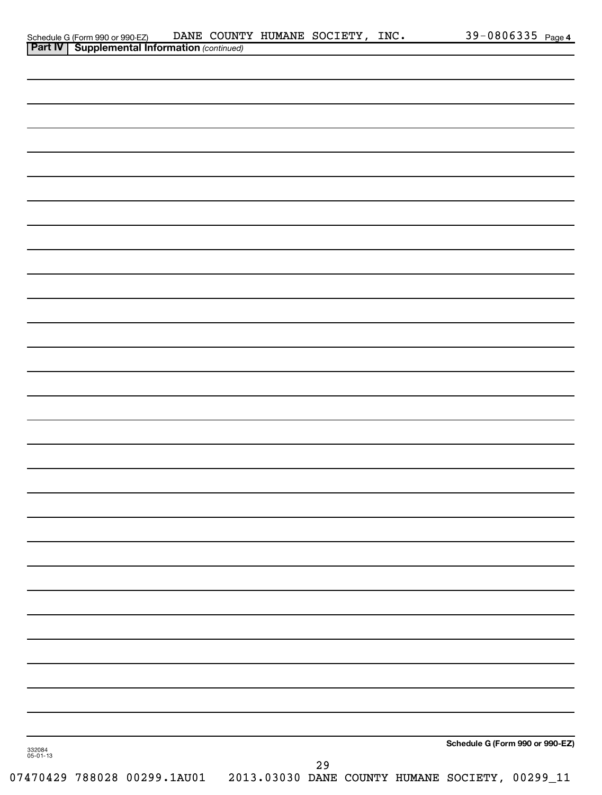|                    | Schedule G (Form 990 or 990-EZ) DANE COUNT<br><b>Part IV   Supplemental Information</b> (continued) |  | DANE COUNTY HUMANE SOCIETY, INC. |    |  |                                                 | 39-0806335 Page 4 |
|--------------------|-----------------------------------------------------------------------------------------------------|--|----------------------------------|----|--|-------------------------------------------------|-------------------|
|                    |                                                                                                     |  |                                  |    |  |                                                 |                   |
|                    |                                                                                                     |  |                                  |    |  |                                                 |                   |
|                    |                                                                                                     |  |                                  |    |  |                                                 |                   |
|                    |                                                                                                     |  |                                  |    |  |                                                 |                   |
|                    |                                                                                                     |  |                                  |    |  |                                                 |                   |
|                    |                                                                                                     |  |                                  |    |  |                                                 |                   |
|                    |                                                                                                     |  |                                  |    |  |                                                 |                   |
|                    |                                                                                                     |  |                                  |    |  |                                                 |                   |
|                    |                                                                                                     |  |                                  |    |  |                                                 |                   |
|                    |                                                                                                     |  |                                  |    |  |                                                 |                   |
|                    |                                                                                                     |  |                                  |    |  |                                                 |                   |
|                    |                                                                                                     |  |                                  |    |  |                                                 |                   |
|                    |                                                                                                     |  |                                  |    |  |                                                 |                   |
|                    |                                                                                                     |  |                                  |    |  |                                                 |                   |
|                    |                                                                                                     |  |                                  |    |  |                                                 |                   |
|                    |                                                                                                     |  |                                  |    |  |                                                 |                   |
|                    |                                                                                                     |  |                                  |    |  |                                                 |                   |
|                    |                                                                                                     |  |                                  |    |  |                                                 |                   |
|                    |                                                                                                     |  |                                  |    |  |                                                 |                   |
|                    |                                                                                                     |  |                                  |    |  |                                                 |                   |
|                    |                                                                                                     |  |                                  |    |  |                                                 |                   |
|                    |                                                                                                     |  |                                  |    |  |                                                 |                   |
|                    |                                                                                                     |  |                                  |    |  |                                                 |                   |
|                    |                                                                                                     |  |                                  |    |  |                                                 |                   |
|                    |                                                                                                     |  |                                  |    |  |                                                 |                   |
|                    |                                                                                                     |  |                                  |    |  |                                                 |                   |
|                    |                                                                                                     |  |                                  |    |  |                                                 |                   |
|                    |                                                                                                     |  |                                  |    |  |                                                 |                   |
|                    |                                                                                                     |  |                                  |    |  |                                                 |                   |
|                    |                                                                                                     |  |                                  |    |  |                                                 |                   |
|                    |                                                                                                     |  |                                  |    |  |                                                 |                   |
|                    |                                                                                                     |  |                                  |    |  |                                                 |                   |
|                    |                                                                                                     |  |                                  |    |  |                                                 |                   |
|                    |                                                                                                     |  |                                  |    |  |                                                 |                   |
|                    |                                                                                                     |  |                                  |    |  |                                                 |                   |
|                    |                                                                                                     |  |                                  |    |  |                                                 |                   |
|                    |                                                                                                     |  |                                  |    |  | Schedule G (Form 990 or 990-EZ)                 |                   |
| 332084<br>05-01-13 |                                                                                                     |  |                                  |    |  |                                                 |                   |
|                    | 07470429 788028 00299.1AU01                                                                         |  |                                  | 29 |  | 2013.03030 DANE COUNTY HUMANE SOCIETY, 00299_11 |                   |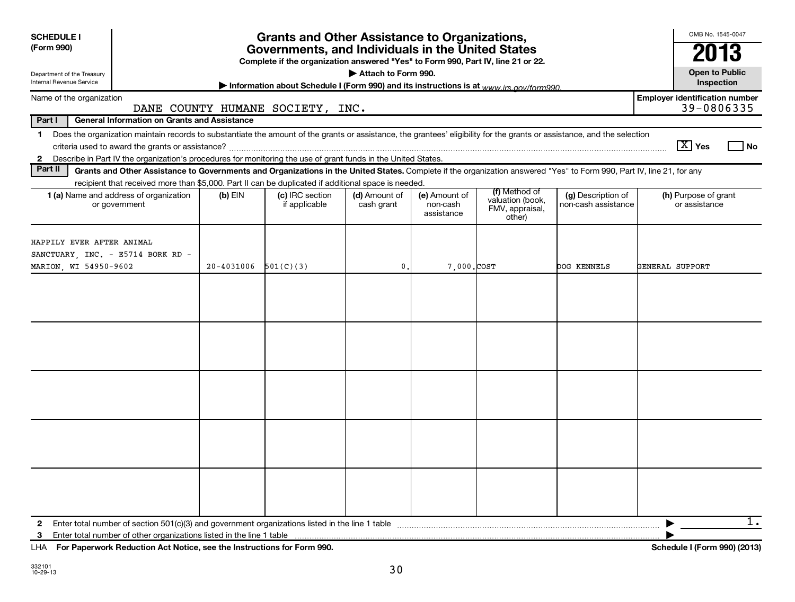| <b>SCHEDULE I</b><br>(Form 990)<br>Department of the Treasury<br>Internal Revenue Service                                                                                                                                                                                                                   |                                                                                                                  | <b>Grants and Other Assistance to Organizations,</b><br>Governments, and Individuals in the United States<br>Complete if the organization answered "Yes" to Form 990, Part IV, line 21 or 22.<br>Information about Schedule I (Form 990) and its instructions is at www irs gov/form990 | Attach to Form 990.         |                                         |                                                                |                                           | OMB No. 1545-0047<br>2013<br><b>Open to Public</b><br>Inspection |
|-------------------------------------------------------------------------------------------------------------------------------------------------------------------------------------------------------------------------------------------------------------------------------------------------------------|------------------------------------------------------------------------------------------------------------------|-----------------------------------------------------------------------------------------------------------------------------------------------------------------------------------------------------------------------------------------------------------------------------------------|-----------------------------|-----------------------------------------|----------------------------------------------------------------|-------------------------------------------|------------------------------------------------------------------|
| Name of the organization                                                                                                                                                                                                                                                                                    |                                                                                                                  |                                                                                                                                                                                                                                                                                         |                             |                                         |                                                                |                                           | <b>Employer identification number</b>                            |
| Part I<br><b>General Information on Grants and Assistance</b>                                                                                                                                                                                                                                               | DANE COUNTY HUMANE SOCIETY, INC.                                                                                 |                                                                                                                                                                                                                                                                                         |                             |                                         |                                                                |                                           | 39-0806335                                                       |
| 1 Does the organization maintain records to substantiate the amount of the grants or assistance, the grantees' eligibility for the grants or assistance, and the selection<br>Describe in Part IV the organization's procedures for monitoring the use of grant funds in the United States.<br>$\mathbf{2}$ |                                                                                                                  |                                                                                                                                                                                                                                                                                         |                             |                                         |                                                                |                                           | $\boxed{\text{X}}$ Yes<br>l No                                   |
| Part II<br>Grants and Other Assistance to Governments and Organizations in the United States. Complete if the organization answered "Yes" to Form 990, Part IV, line 21, for any                                                                                                                            |                                                                                                                  |                                                                                                                                                                                                                                                                                         |                             |                                         |                                                                |                                           |                                                                  |
| 1 (a) Name and address of organization<br>or government                                                                                                                                                                                                                                                     | recipient that received more than \$5,000. Part II can be duplicated if additional space is needed.<br>$(b)$ EIN | (c) IRC section<br>if applicable                                                                                                                                                                                                                                                        | (d) Amount of<br>cash grant | (e) Amount of<br>non-cash<br>assistance | (f) Method of<br>valuation (book,<br>FMV, appraisal,<br>other) | (g) Description of<br>non-cash assistance | (h) Purpose of grant<br>or assistance                            |
| HAPPILY EVER AFTER ANIMAL<br>SANCTUARY, INC. - E5714 BORK RD -<br>MARION, WI 54950-9602                                                                                                                                                                                                                     | 20-4031006                                                                                                       | 501(C)(3)                                                                                                                                                                                                                                                                               | $\mathbf{0}$ .              | 7.000.COST                              |                                                                | <b>DOG KENNELS</b>                        | GENERAL SUPPORT                                                  |
|                                                                                                                                                                                                                                                                                                             |                                                                                                                  |                                                                                                                                                                                                                                                                                         |                             |                                         |                                                                |                                           |                                                                  |
| 3                                                                                                                                                                                                                                                                                                           |                                                                                                                  |                                                                                                                                                                                                                                                                                         |                             |                                         |                                                                |                                           | 1.                                                               |

**For Paperwork Reduction Act Notice, see the Instructions for Form 990. Schedule I (Form 990) (2013)** LHA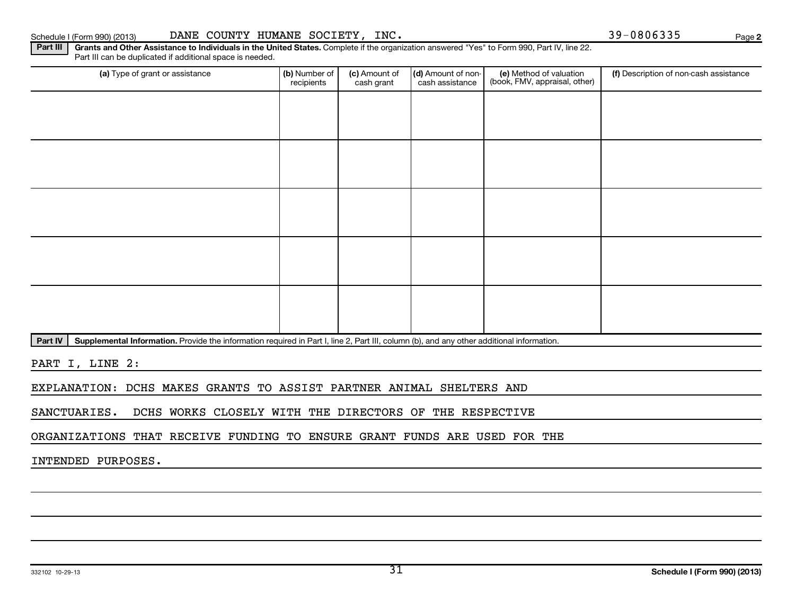332102 10-29-13

# Schedule I (Form 990) (2013) DANE COUNTY HUMANE SOCIETY, INC. 39-0806335 Page

Part III | Grants and Other Assistance to Individuals in the United States. Complete if the organization answered "Yes" to Form 990, Part IV, line 22. Part III can be duplicated if additional space is needed.

| (a) Type of grant or assistance | (b) Number of<br>recipients | (c) Amount of<br>cash grant | (d) Amount of non-<br>cash assistance | (e) Method of valuation<br>(book, FMV, appraisal, other) | (f) Description of non-cash assistance |
|---------------------------------|-----------------------------|-----------------------------|---------------------------------------|----------------------------------------------------------|----------------------------------------|
|                                 |                             |                             |                                       |                                                          |                                        |
|                                 |                             |                             |                                       |                                                          |                                        |
|                                 |                             |                             |                                       |                                                          |                                        |
|                                 |                             |                             |                                       |                                                          |                                        |
|                                 |                             |                             |                                       |                                                          |                                        |
|                                 |                             |                             |                                       |                                                          |                                        |
|                                 |                             |                             |                                       |                                                          |                                        |
|                                 |                             |                             |                                       |                                                          |                                        |
|                                 |                             |                             |                                       |                                                          |                                        |
|                                 |                             |                             |                                       |                                                          |                                        |

Part IV | Supplemental Information. Provide the information required in Part I, line 2, Part III, column (b), and any other additional information.

PART I, LINE 2:

EXPLANATION: DCHS MAKES GRANTS TO ASSIST PARTNER ANIMAL SHELTERS AND

SANCTUARIES. DCHS WORKS CLOSELY WITH THE DIRECTORS OF THE RESPECTIVE

ORGANIZATIONS THAT RECEIVE FUNDING TO ENSURE GRANT FUNDS ARE USED FOR THE

INTENDED PURPOSES.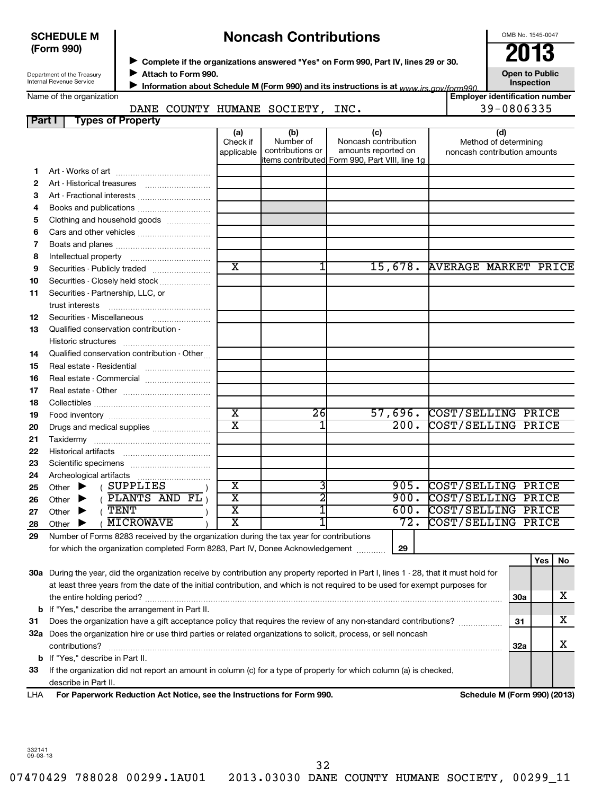## **SCHEDULE M (Form 990)**

# ◆ Complete if the organizations answered "Yes" on Form 990, Part IV, lines 29 or 30.<br>▶ Complete if the organizations answered "Yes" on Form 990, Part IV, lines 29 or 30. **Noncash Contributions**

OMB No. 1545-0047

| Open to Public    |  |
|-------------------|--|
| <b>Inspection</b> |  |

**Employer identification number**

Department of the Treasury Internal Revenue Service

**Attach to Form 990.** J

**Information about Schedule M (Form 990) and its instructions is at www irs gov/form990.** 

Name of the organization

## DANE COUNTY HUMANE SOCIETY, INC. 199-0806335

|    | <b>Types of Property</b><br>Part I                                                      |                               |                                      |                                                                                                      |                                                              |
|----|-----------------------------------------------------------------------------------------|-------------------------------|--------------------------------------|------------------------------------------------------------------------------------------------------|--------------------------------------------------------------|
|    |                                                                                         | (a)<br>Check if<br>applicable | (b)<br>Number of<br>contributions or | (c)<br>Noncash contribution<br>amounts reported on<br>items contributed Form 990, Part VIII, line 1g | (d)<br>Method of determining<br>noncash contribution amounts |
| 1. |                                                                                         |                               |                                      |                                                                                                      |                                                              |
| 2  |                                                                                         |                               |                                      |                                                                                                      |                                                              |
| 3  | Art - Fractional interests                                                              |                               |                                      |                                                                                                      |                                                              |
| 4  | Books and publications                                                                  |                               |                                      |                                                                                                      |                                                              |
| 5  | Clothing and household goods                                                            |                               |                                      |                                                                                                      |                                                              |
| 6  |                                                                                         |                               |                                      |                                                                                                      |                                                              |
| 7  |                                                                                         |                               |                                      |                                                                                                      |                                                              |
| 8  |                                                                                         |                               |                                      |                                                                                                      |                                                              |
| 9  |                                                                                         | $\overline{\text{x}}$         | 1                                    | 15,678.                                                                                              | <b>AVERAGE MARKET PRICE</b>                                  |
| 10 | Securities - Closely held stock                                                         |                               |                                      |                                                                                                      |                                                              |
| 11 | Securities - Partnership, LLC, or<br>trust interests                                    |                               |                                      |                                                                                                      |                                                              |
| 12 | Securities - Miscellaneous                                                              |                               |                                      |                                                                                                      |                                                              |
| 13 | Qualified conservation contribution -                                                   |                               |                                      |                                                                                                      |                                                              |
|    | Historic structures                                                                     |                               |                                      |                                                                                                      |                                                              |
| 14 | Qualified conservation contribution - Other                                             |                               |                                      |                                                                                                      |                                                              |
| 15 | Real estate - Residential                                                               |                               |                                      |                                                                                                      |                                                              |
| 16 |                                                                                         |                               |                                      |                                                                                                      |                                                              |
| 17 |                                                                                         |                               |                                      |                                                                                                      |                                                              |
| 18 |                                                                                         |                               |                                      |                                                                                                      |                                                              |
| 19 |                                                                                         | $\overline{\text{x}}$         | $\overline{26}$                      | 57,696.                                                                                              | COST/SELLING PRICE                                           |
| 20 | Drugs and medical supplies                                                              | $\overline{\text{x}}$         |                                      | 200.                                                                                                 | COST/SELLING PRICE                                           |
| 21 |                                                                                         |                               |                                      |                                                                                                      |                                                              |
| 22 | <b>Historical artifacts</b>                                                             |                               |                                      |                                                                                                      |                                                              |
| 23 |                                                                                         |                               |                                      |                                                                                                      |                                                              |
| 24 |                                                                                         |                               |                                      |                                                                                                      |                                                              |
| 25 | (SUPPLIES<br>Other $\blacktriangleright$                                                | $\overline{\textbf{x}}$       | 3                                    | 905.                                                                                                 | COST/SELLING PRICE                                           |
| 26 | $($ PLANTS AND FL $)$<br>$\blacktriangleright$<br>Other                                 | $\overline{\textnormal{x}}$   | 2                                    | 900.                                                                                                 | COST/SELLING PRICE                                           |
| 27 | $($ TENT<br>Other<br>▶                                                                  | $\overline{\texttt{x}}$       | 1                                    | 600.                                                                                                 | COST/SELLING PRICE                                           |
| 28 | <b>MICROWAVE</b><br>Other $\blacktriangleright$                                         | $\overline{\text{x}}$         | 1                                    | $\overline{72.}$                                                                                     | COST/SELLING PRICE                                           |
| 29 | Number of Forms 8283 received by the organization during the tax year for contributions |                               |                                      |                                                                                                      |                                                              |
|    | for which the organization completed Form 8283, Part IV, Donee Acknowledgement          |                               |                                      | 29                                                                                                   |                                                              |
|    |                                                                                         |                               |                                      |                                                                                                      | Yes  <br>No                                                  |

**30 a** During the year, did the organization receive by contribution any property reported in Part I, lines 1 - 28, that it must hold for **31** Does the organization have a gift acceptance policy that requires the review of any non-standard contributions?  $\ldots$ **32 a** Does the organization hire or use third parties or related organizations to solicit, process, or sell noncash **b** If "Yes," describe the arrangement in Part II. **30a 31** at least three years from the date of the initial contribution, and which is not required to be used for exempt purposes for the entire holding period? ~~~~~~~~~~~~~~~~~~~~~~~~~~~~~~~~~~~~~~~~~~~~~~~~~ X X

**b** If "Yes," describe in Part II. contributions? ~~~~~~~~~~~~~~~~~~~~~~~~~~~~~~~~~~~~~~~~~~~~~~~~~~~~~~

**33** If the organization did not report an amount in column (c) for a type of property for which column (a) is checked, describe in Part II.

**For Paperwork Reduction Act Notice, see the Instructions for Form 990. Schedule M (Form 990) (2013)** LHA

**32a**

X

332141 09-03-13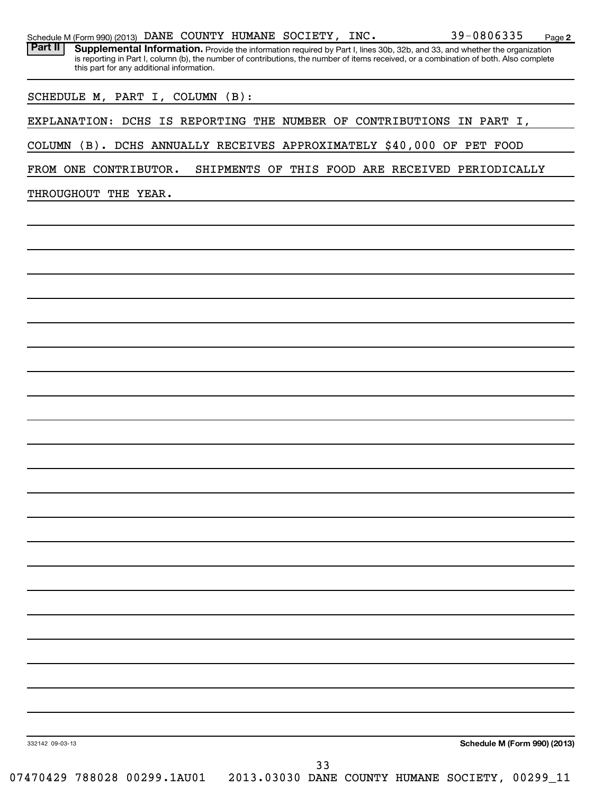| FROM ONE CONTRIBUTOR.<br>SHIPMENTS OF THIS FOOD ARE RECEIVED PERIODICALLY<br>THROUGHOUT THE YEAR.<br>Schedule M (Form 990) (2013)<br>332142 09-03-13<br>33<br>07470429 788028 00299.1AU01  2013.03030 DANE COUNTY HUMANE SOCIETY, 00299_11 |  | COLUMN (B). DCHS ANNUALLY RECEIVES APPROXIMATELY \$40,000 OF PET FOOD |  |  |  |  |
|--------------------------------------------------------------------------------------------------------------------------------------------------------------------------------------------------------------------------------------------|--|-----------------------------------------------------------------------|--|--|--|--|
|                                                                                                                                                                                                                                            |  |                                                                       |  |  |  |  |
|                                                                                                                                                                                                                                            |  |                                                                       |  |  |  |  |
|                                                                                                                                                                                                                                            |  |                                                                       |  |  |  |  |
|                                                                                                                                                                                                                                            |  |                                                                       |  |  |  |  |
|                                                                                                                                                                                                                                            |  |                                                                       |  |  |  |  |
|                                                                                                                                                                                                                                            |  |                                                                       |  |  |  |  |
|                                                                                                                                                                                                                                            |  |                                                                       |  |  |  |  |
|                                                                                                                                                                                                                                            |  |                                                                       |  |  |  |  |
|                                                                                                                                                                                                                                            |  |                                                                       |  |  |  |  |
|                                                                                                                                                                                                                                            |  |                                                                       |  |  |  |  |
|                                                                                                                                                                                                                                            |  |                                                                       |  |  |  |  |
|                                                                                                                                                                                                                                            |  |                                                                       |  |  |  |  |
|                                                                                                                                                                                                                                            |  |                                                                       |  |  |  |  |
|                                                                                                                                                                                                                                            |  |                                                                       |  |  |  |  |
|                                                                                                                                                                                                                                            |  |                                                                       |  |  |  |  |
|                                                                                                                                                                                                                                            |  |                                                                       |  |  |  |  |
|                                                                                                                                                                                                                                            |  |                                                                       |  |  |  |  |
|                                                                                                                                                                                                                                            |  |                                                                       |  |  |  |  |
|                                                                                                                                                                                                                                            |  |                                                                       |  |  |  |  |
|                                                                                                                                                                                                                                            |  |                                                                       |  |  |  |  |
|                                                                                                                                                                                                                                            |  |                                                                       |  |  |  |  |
|                                                                                                                                                                                                                                            |  |                                                                       |  |  |  |  |
|                                                                                                                                                                                                                                            |  |                                                                       |  |  |  |  |
|                                                                                                                                                                                                                                            |  |                                                                       |  |  |  |  |
|                                                                                                                                                                                                                                            |  |                                                                       |  |  |  |  |
|                                                                                                                                                                                                                                            |  |                                                                       |  |  |  |  |
|                                                                                                                                                                                                                                            |  |                                                                       |  |  |  |  |

Part II | Supplemental Information. Provide the information required by Part I, lines 30b, 32b, and 33, and whether the organization

EXPLANATION: DCHS IS REPORTING THE NUMBER OF CONTRIBUTIONS IN PART I,

is reporting in Part I, column (b), the number of contributions, the number of items received, or a combination of both. Also complete

| Schedule M (Form 990) (2013) DANE COUNTY HUMANE SOCIETY, |  |  |  | INC. |  | Page |
|----------------------------------------------------------|--|--|--|------|--|------|
|----------------------------------------------------------|--|--|--|------|--|------|

this part for any additional information.

SCHEDULE M, PART I, COLUMN (B):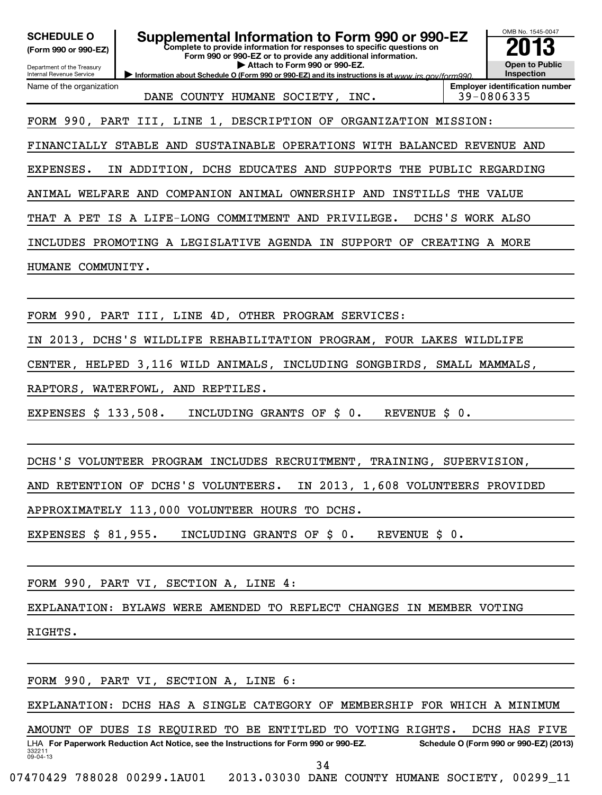| <b>SCHEDULE O</b><br>(Form 990 or 990-EZ)<br>Department of the Treasury | Supplemental Information to Form 990 or 990-EZ<br>Complete to provide information for responses to specific questions on<br>Form 990 or 990-EZ or to provide any additional information.<br>Attach to Form 990 or 990-EZ. | OMB No. 1545-0047<br><b>Open to Public</b>          |
|-------------------------------------------------------------------------|---------------------------------------------------------------------------------------------------------------------------------------------------------------------------------------------------------------------------|-----------------------------------------------------|
| Internal Revenue Service                                                | Information about Schedule O (Form 990 or 990-EZ) and its instructions is at www.jrs.gov/form990                                                                                                                          | Inspection                                          |
| Name of the organization                                                | DANE COUNTY HUMANE SOCIETY, INC.                                                                                                                                                                                          | <b>Employer identification number</b><br>39-0806335 |
|                                                                         | FORM 990, PART III, LINE 1, DESCRIPTION OF ORGANIZATION MISSION:                                                                                                                                                          |                                                     |
|                                                                         | FINANCIALLY STABLE AND SUSTAINABLE OPERATIONS WITH BALANCED REVENUE AND                                                                                                                                                   |                                                     |
| EXPENSES.                                                               | IN ADDITION, DCHS EDUCATES AND SUPPORTS THE PUBLIC REGARDING                                                                                                                                                              |                                                     |
|                                                                         | ANIMAL WELFARE AND COMPANION ANIMAL OWNERSHIP AND INSTILLS THE VALUE                                                                                                                                                      |                                                     |
|                                                                         | THAT A PET IS A LIFE-LONG COMMITMENT AND PRIVILEGE.                                                                                                                                                                       | DCHS'S WORK ALSO                                    |
|                                                                         | INCLUDES PROMOTING A LEGISLATIVE AGENDA IN SUPPORT OF CREATING A MORE                                                                                                                                                     |                                                     |
| HUMANE COMMUNITY.                                                       |                                                                                                                                                                                                                           |                                                     |
|                                                                         |                                                                                                                                                                                                                           |                                                     |
|                                                                         | FORM 990, PART III, LINE 4D, OTHER PROGRAM SERVICES:                                                                                                                                                                      |                                                     |
|                                                                         | IN 2013, DCHS'S WILDLIFE REHABILITATION PROGRAM, FOUR LAKES WILDLIFE                                                                                                                                                      |                                                     |
|                                                                         | CENTER, HELPED 3,116 WILD ANIMALS, INCLUDING SONGBIRDS, SMALL MAMMALS,                                                                                                                                                    |                                                     |
|                                                                         | RAPTORS, WATERFOWL, AND REPTILES.                                                                                                                                                                                         |                                                     |
| EXPENSES $$133,508$ .                                                   | INCLUDING GRANTS OF \$ 0.<br>REVENUE \$ 0.                                                                                                                                                                                |                                                     |
|                                                                         |                                                                                                                                                                                                                           |                                                     |
|                                                                         | DCHS'S VOLUNTEER PROGRAM INCLUDES RECRUITMENT, TRAINING, SUPERVISION,                                                                                                                                                     |                                                     |
|                                                                         | IN 2013, 1,608 VOLUNTEERS PROVIDED<br>AND RETENTION OF DCHS'S VOLUNTEERS.                                                                                                                                                 |                                                     |
|                                                                         | APPROXIMATELY 113,000 VOLUNTEER HOURS TO DCHS.                                                                                                                                                                            |                                                     |
| EXPENSES \$ 81,955.                                                     | REVENUE \$ 0.<br>INCLUDING GRANTS OF \$ 0.                                                                                                                                                                                |                                                     |
|                                                                         |                                                                                                                                                                                                                           |                                                     |
|                                                                         | FORM 990, PART VI, SECTION A, LINE 4:                                                                                                                                                                                     |                                                     |
|                                                                         | EXPLANATION: BYLAWS WERE AMENDED TO REFLECT CHANGES IN MEMBER VOTING                                                                                                                                                      |                                                     |
| RIGHTS.                                                                 |                                                                                                                                                                                                                           |                                                     |
|                                                                         |                                                                                                                                                                                                                           |                                                     |
|                                                                         | FORM 990, PART VI, SECTION A, LINE 6:                                                                                                                                                                                     |                                                     |
|                                                                         | EXPLANATION: DCHS HAS A SINGLE CATEGORY OF MEMBERSHIP FOR WHICH A MINIMUM                                                                                                                                                 |                                                     |
|                                                                         | AMOUNT OF DUES IS REQUIRED TO BE ENTITLED TO VOTING RIGHTS.                                                                                                                                                               | DCHS HAS FIVE                                       |
| 332211<br>09-04-13                                                      | LHA For Paperwork Reduction Act Notice, see the Instructions for Form 990 or 990-EZ.                                                                                                                                      | Schedule O (Form 990 or 990-EZ) (2013)              |
|                                                                         | 34<br>07470429 788028 00299.1AU01  2013.03030 DANE COUNTY HUMANE SOCIETY, 00299 11                                                                                                                                        |                                                     |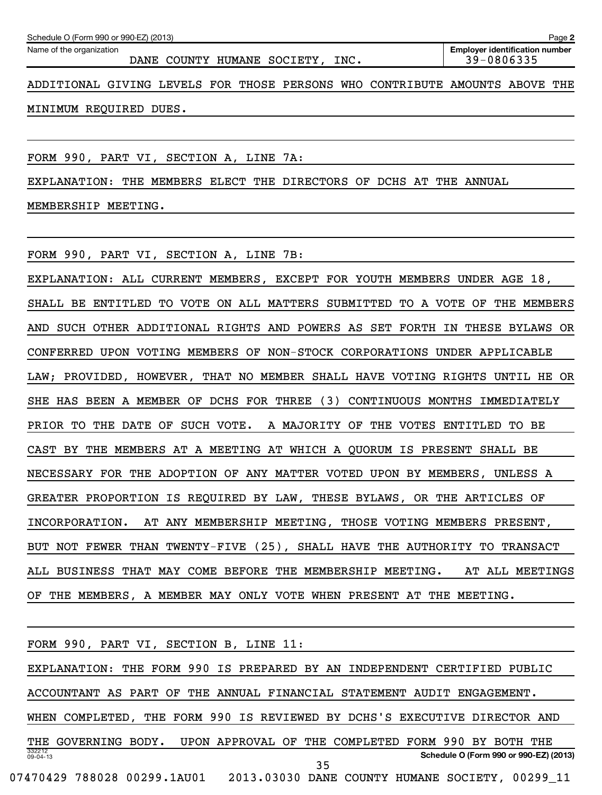| Schedule O (Form 990 or 990-EZ) (2013)<br>Page 2                            |                                                     |  |  |  |  |  |
|-----------------------------------------------------------------------------|-----------------------------------------------------|--|--|--|--|--|
| Name of the organization<br>COUNTY HUMANE SOCIETY,<br>DANE<br>INC.          | <b>Employer identification number</b><br>39-0806335 |  |  |  |  |  |
| ADDITIONAL GIVING LEVELS FOR THOSE PERSONS WHO CONTRIBUTE AMOUNTS ABOVE THE |                                                     |  |  |  |  |  |

MINIMUM REQUIRED DUES.

FORM 990, PART VI, SECTION A, LINE 7A:

EXPLANATION: THE MEMBERS ELECT THE DIRECTORS OF DCHS AT THE ANNUAL

MEMBERSHIP MEETING.

FORM 990, PART VI, SECTION A, LINE 7B:

EXPLANATION: ALL CURRENT MEMBERS, EXCEPT FOR YOUTH MEMBERS UNDER AGE 18, SHALL BE ENTITLED TO VOTE ON ALL MATTERS SUBMITTED TO A VOTE OF THE MEMBERS AND SUCH OTHER ADDITIONAL RIGHTS AND POWERS AS SET FORTH IN THESE BYLAWS OR CONFERRED UPON VOTING MEMBERS OF NON-STOCK CORPORATIONS UNDER APPLICABLE LAW; PROVIDED, HOWEVER, THAT NO MEMBER SHALL HAVE VOTING RIGHTS UNTIL HE OR SHE HAS BEEN A MEMBER OF DCHS FOR THREE (3) CONTINUOUS MONTHS IMMEDIATELY PRIOR TO THE DATE OF SUCH VOTE. A MAJORITY OF THE VOTES ENTITLED TO BE CAST BY THE MEMBERS AT A MEETING AT WHICH A QUORUM IS PRESENT SHALL BE NECESSARY FOR THE ADOPTION OF ANY MATTER VOTED UPON BY MEMBERS, UNLESS A GREATER PROPORTION IS REQUIRED BY LAW, THESE BYLAWS, OR THE ARTICLES OF INCORPORATION. AT ANY MEMBERSHIP MEETING, THOSE VOTING MEMBERS PRESENT, BUT NOT FEWER THAN TWENTY-FIVE (25), SHALL HAVE THE AUTHORITY TO TRANSACT ALL BUSINESS THAT MAY COME BEFORE THE MEMBERSHIP MEETING. AT ALL MEETINGS OF THE MEMBERS, A MEMBER MAY ONLY VOTE WHEN PRESENT AT THE MEETING.

| FORM 990, PART VI, SECTION B, LINE 11:                                         |
|--------------------------------------------------------------------------------|
| EXPLANATION: THE FORM 990 IS PREPARED BY AN INDEPENDENT CERTIFIED PUBLIC       |
| ACCOUNTANT AS PART OF THE ANNUAL FINANCIAL STATEMENT AUDIT ENGAGEMENT.         |
| WHEN COMPLETED, THE FORM 990 IS REVIEWED BY DCHS'S EXECUTIVE DIRECTOR AND      |
| THE GOVERNING BODY. UPON APPROVAL OF THE COMPLETED FORM 990 BY BOTH THE        |
| 332212<br>Schedule O (Form 990 or 990-EZ) (2013)<br>$09 - 04 - 13$<br>35       |
| 07470429 788028 00299.1AU01<br>2013.03030 DANE COUNTY HUMANE SOCIETY, 00299 11 |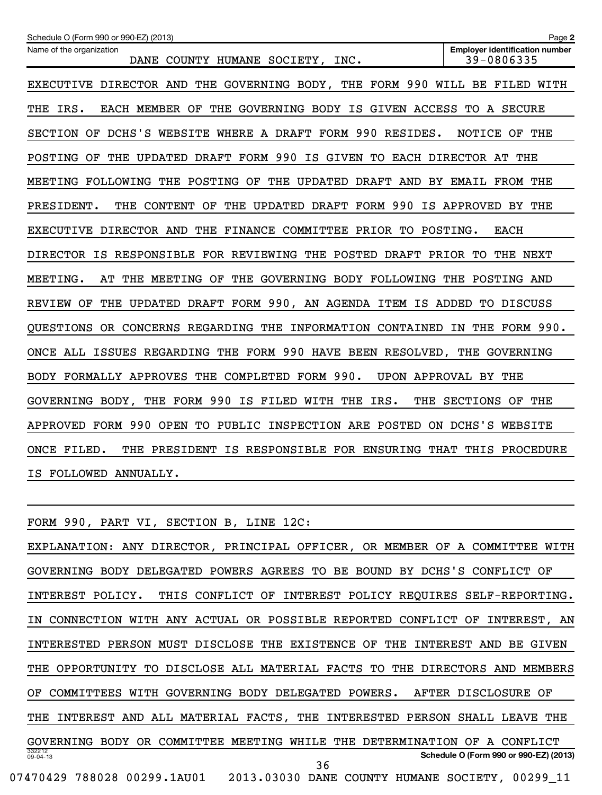| Schedule O (Form 990 or 990-EZ) (2013)                                           | Page 2                                              |
|----------------------------------------------------------------------------------|-----------------------------------------------------|
| Name of the organization<br>DANE COUNTY HUMANE SOCIETY, INC.                     | <b>Employer identification number</b><br>39-0806335 |
| EXECUTIVE DIRECTOR AND THE GOVERNING BODY, THE FORM 990 WILL BE FILED WITH       |                                                     |
| THE IRS.<br>EACH MEMBER OF THE GOVERNING BODY IS GIVEN ACCESS TO A SECURE        |                                                     |
| SECTION OF DCHS'S WEBSITE WHERE A DRAFT FORM 990 RESIDES.                        | NOTICE OF THE                                       |
| THE UPDATED DRAFT FORM 990 IS GIVEN TO EACH DIRECTOR AT THE<br>POSTING OF        |                                                     |
| MEETING FOLLOWING THE POSTING OF THE UPDATED DRAFT AND BY EMAIL FROM THE         |                                                     |
| THE CONTENT<br>THE UPDATED DRAFT FORM 990 IS APPROVED BY THE<br>PRESIDENT.<br>OF |                                                     |
| EXECUTIVE DIRECTOR AND THE<br>FINANCE COMMITTEE PRIOR TO POSTING.                | <b>EACH</b>                                         |
| DIRECTOR IS RESPONSIBLE FOR REVIEWING THE POSTED DRAFT PRIOR TO                  | THE NEXT                                            |
| MEETING.<br>THE MEETING OF THE GOVERNING BODY FOLLOWING THE POSTING AND<br>AT    |                                                     |
| THE UPDATED DRAFT FORM 990, AN AGENDA ITEM IS ADDED TO DISCUSS<br>REVIEW OF      |                                                     |
| QUESTIONS OR CONCERNS REGARDING THE INFORMATION CONTAINED                        | IN THE FORM 990.                                    |
| ONCE ALL ISSUES REGARDING THE FORM 990 HAVE BEEN RESOLVED, THE GOVERNING         |                                                     |
| BODY FORMALLY APPROVES THE COMPLETED FORM 990.                                   | UPON APPROVAL BY THE                                |
| GOVERNING BODY, THE FORM 990 IS FILED WITH THE IRS.<br>THE                       | SECTIONS OF THE                                     |
| APPROVED FORM 990 OPEN TO PUBLIC INSPECTION ARE POSTED ON DCHS'S WEBSITE         |                                                     |
| ONCE FILED.<br>THE PRESIDENT IS RESPONSIBLE FOR ENSURING THAT THIS PROCEDURE     |                                                     |
| IS FOLLOWED ANNUALLY.                                                            |                                                     |

332212 09-04-13 **Schedule O (Form 990 or 990-EZ) (2013)** FORM 990, PART VI, SECTION B, LINE 12C: EXPLANATION: ANY DIRECTOR, PRINCIPAL OFFICER, OR MEMBER OF A COMMITTEE WITH GOVERNING BODY DELEGATED POWERS AGREES TO BE BOUND BY DCHS'S CONFLICT OF INTEREST POLICY. THIS CONFLICT OF INTEREST POLICY REQUIRES SELF-REPORTING. IN CONNECTION WITH ANY ACTUAL OR POSSIBLE REPORTED CONFLICT OF INTEREST, AN INTERESTED PERSON MUST DISCLOSE THE EXISTENCE OF THE INTEREST AND BE GIVEN THE OPPORTUNITY TO DISCLOSE ALL MATERIAL FACTS TO THE DIRECTORS AND MEMBERS OF COMMITTEES WITH GOVERNING BODY DELEGATED POWERS. AFTER DISCLOSURE OF THE INTEREST AND ALL MATERIAL FACTS, THE INTERESTED PERSON SHALL LEAVE THE GOVERNING BODY OR COMMITTEE MEETING WHILE THE DETERMINATION OF A CONFLICT 07470429 788028 00299.1AU01 2013.03030 DANE COUNTY HUMANE SOCIETY, 00299\_11 36